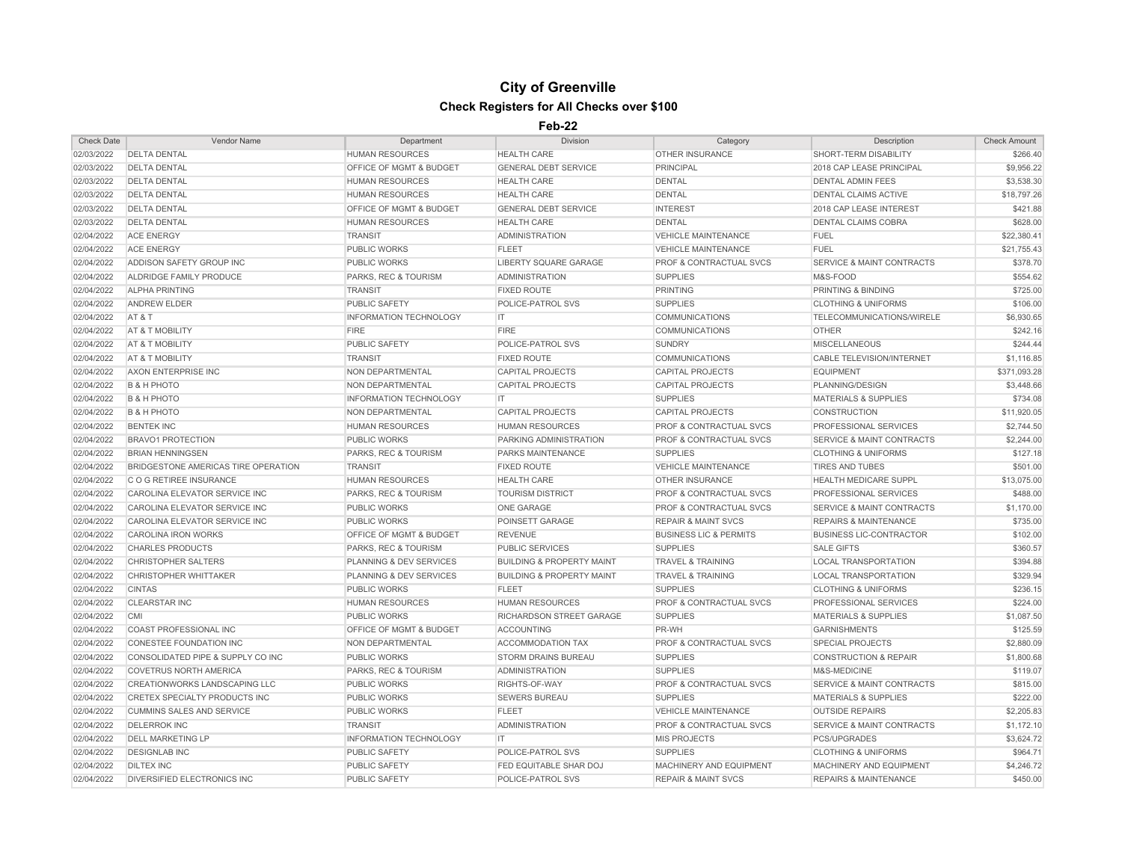## **City of Greenville Check Registers for All Checks over \$100**

## **Feb-22**

| <b>Check Date</b> | Vendor Name                         | Department                         | <b>Division</b>                      | Category                           | Description                          | <b>Check Amount</b> |
|-------------------|-------------------------------------|------------------------------------|--------------------------------------|------------------------------------|--------------------------------------|---------------------|
| 02/03/2022        | <b>DELTA DENTAL</b>                 | <b>HUMAN RESOURCES</b>             | <b>HEALTH CARE</b>                   | OTHER INSURANCE                    | SHORT-TERM DISABILITY                | \$266.40            |
| 02/03/2022        | <b>DELTA DENTAL</b>                 | OFFICE OF MGMT & BUDGET            | <b>GENERAL DEBT SERVICE</b>          | <b>PRINCIPAL</b>                   | 2018 CAP LEASE PRINCIPAL             | \$9,956.22          |
| 02/03/2022        | <b>DELTA DENTAL</b>                 | <b>HUMAN RESOURCES</b>             | <b>HEALTH CARE</b>                   | <b>DENTAL</b>                      | <b>DENTAL ADMIN FEES</b>             | \$3,538.30          |
| 02/03/2022        | <b>DELTA DENTAL</b>                 | <b>HUMAN RESOURCES</b>             | <b>HEALTH CARE</b>                   | <b>DENTAL</b>                      | <b>DENTAL CLAIMS ACTIVE</b>          | \$18,797.26         |
| 02/03/2022        | <b>DELTA DENTAL</b>                 | OFFICE OF MGMT & BUDGET            | <b>GENERAL DEBT SERVICE</b>          | <b>INTEREST</b>                    | 2018 CAP LEASE INTEREST              | \$421.88            |
| 02/03/2022        | <b>DELTA DENTAL</b>                 | <b>HUMAN RESOURCES</b>             | <b>HEALTH CARE</b>                   | <b>DENTAL</b>                      | DENTAL CLAIMS COBRA                  | \$628.00            |
| 02/04/2022        | <b>ACE ENERGY</b>                   | <b>TRANSIT</b>                     | <b>ADMINISTRATION</b>                | <b>VEHICLE MAINTENANCE</b>         | <b>FUEL</b>                          | \$22,380.41         |
| 02/04/2022        | <b>ACE ENERGY</b>                   | <b>PUBLIC WORKS</b>                | <b>FLEET</b>                         | <b>VEHICLE MAINTENANCE</b>         | <b>FUEL</b>                          | \$21,755.43         |
| 02/04/2022        | ADDISON SAFETY GROUP INC            | <b>PUBLIC WORKS</b>                | <b>LIBERTY SQUARE GARAGE</b>         | <b>PROF &amp; CONTRACTUAL SVCS</b> | <b>SERVICE &amp; MAINT CONTRACTS</b> | \$378.70            |
| 02/04/2022        | ALDRIDGE FAMILY PRODUCE             | PARKS, REC & TOURISM               | <b>ADMINISTRATION</b>                | <b>SUPPLIES</b>                    | M&S-FOOD                             | \$554.62            |
| 02/04/2022        | <b>ALPHA PRINTING</b>               | <b>TRANSIT</b>                     | <b>FIXED ROUTE</b>                   | <b>PRINTING</b>                    | PRINTING & BINDING                   | \$725.00            |
| 02/04/2022        | <b>ANDREW ELDER</b>                 | <b>PUBLIC SAFETY</b>               | POLICE-PATROL SVS                    | <b>SUPPLIES</b>                    | <b>CLOTHING &amp; UNIFORMS</b>       | \$106.00            |
| 02/04/2022        | AT&T                                | <b>INFORMATION TECHNOLOGY</b>      | IT.                                  | <b>COMMUNICATIONS</b>              | TELECOMMUNICATIONS/WIRELE            | \$6,930.65          |
| 02/04/2022        | AT & T MOBILITY                     | <b>FIRE</b>                        | <b>FIRE</b>                          | <b>COMMUNICATIONS</b>              | <b>OTHER</b>                         | \$242.16            |
| 02/04/2022        | AT & T MOBILITY                     | <b>PUBLIC SAFETY</b>               | POLICE-PATROL SVS                    | <b>SUNDRY</b>                      | <b>MISCELLANEOUS</b>                 | \$244.44            |
| 02/04/2022        | AT & T MOBILITY                     | <b>TRANSIT</b>                     | <b>FIXED ROUTE</b>                   | <b>COMMUNICATIONS</b>              | <b>CABLE TELEVISION/INTERNET</b>     | \$1,116.85          |
| 02/04/2022        | AXON ENTERPRISE INC                 | NON DEPARTMENTAL                   | <b>CAPITAL PROJECTS</b>              | <b>CAPITAL PROJECTS</b>            | <b>EQUIPMENT</b>                     | \$371,093.28        |
| 02/04/2022        | <b>B &amp; H PHOTO</b>              | NON DEPARTMENTAL                   | <b>CAPITAL PROJECTS</b>              | <b>CAPITAL PROJECTS</b>            | PLANNING/DESIGN                      | \$3,448.66          |
| 02/04/2022        | <b>B &amp; H PHOTO</b>              | <b>INFORMATION TECHNOLOGY</b>      | IT.                                  | <b>SUPPLIES</b>                    | <b>MATERIALS &amp; SUPPLIES</b>      | \$734.08            |
| 02/04/2022        | <b>B &amp; H PHOTO</b>              | <b>NON DEPARTMENTAL</b>            | <b>CAPITAL PROJECTS</b>              | <b>CAPITAL PROJECTS</b>            | <b>CONSTRUCTION</b>                  | \$11,920.05         |
| 02/04/2022        | <b>BENTEK INC</b>                   | HUMAN RESOURCES                    | <b>HUMAN RESOURCES</b>               | <b>PROF &amp; CONTRACTUAL SVCS</b> | PROFESSIONAL SERVICES                | \$2,744.50          |
| 02/04/2022        | <b>BRAVO1 PROTECTION</b>            | <b>PUBLIC WORKS</b>                | PARKING ADMINISTRATION               | PROF & CONTRACTUAL SVCS            | <b>SERVICE &amp; MAINT CONTRACTS</b> | \$2,244.00          |
| 02/04/2022        | <b>BRIAN HENNINGSEN</b>             | PARKS, REC & TOURISM               | <b>PARKS MAINTENANCE</b>             | <b>SUPPLIES</b>                    | <b>CLOTHING &amp; UNIFORMS</b>       | \$127.18            |
| 02/04/2022        | BRIDGESTONE AMERICAS TIRE OPERATION | <b>TRANSIT</b>                     | <b>FIXED ROUTE</b>                   | <b>VEHICLE MAINTENANCE</b>         | <b>TIRES AND TUBES</b>               | \$501.00            |
| 02/04/2022        | C O G RETIREE INSURANCE             | <b>HUMAN RESOURCES</b>             | <b>HEALTH CARE</b>                   | OTHER INSURANCE                    | <b>HEALTH MEDICARE SUPPL</b>         | \$13,075.00         |
| 02/04/2022        | CAROLINA ELEVATOR SERVICE INC       | PARKS, REC & TOURISM               | <b>TOURISM DISTRICT</b>              | PROF & CONTRACTUAL SVCS            | PROFESSIONAL SERVICES                | \$488.00            |
| 02/04/2022        | CAROLINA ELEVATOR SERVICE INC       | <b>PUBLIC WORKS</b>                | <b>ONE GARAGE</b>                    | <b>PROF &amp; CONTRACTUAL SVCS</b> | <b>SERVICE &amp; MAINT CONTRACTS</b> | \$1,170.00          |
| 02/04/2022        | CAROLINA ELEVATOR SERVICE INC       | <b>PUBLIC WORKS</b>                | POINSETT GARAGE                      | <b>REPAIR &amp; MAINT SVCS</b>     | <b>REPAIRS &amp; MAINTENANCE</b>     | \$735.00            |
| 02/04/2022        | <b>CAROLINA IRON WORKS</b>          | OFFICE OF MGMT & BUDGET            | <b>REVENUE</b>                       | <b>BUSINESS LIC &amp; PERMITS</b>  | <b>BUSINESS LIC-CONTRACTOR</b>       | \$102.00            |
| 02/04/2022        | <b>CHARLES PRODUCTS</b>             | PARKS, REC & TOURISM               | PUBLIC SERVICES                      | <b>SUPPLIES</b>                    | <b>SALE GIFTS</b>                    | \$360.57            |
| 02/04/2022        | <b>CHRISTOPHER SALTERS</b>          | <b>PLANNING &amp; DEV SERVICES</b> | <b>BUILDING &amp; PROPERTY MAINT</b> | <b>TRAVEL &amp; TRAINING</b>       | <b>LOCAL TRANSPORTATION</b>          | \$394.88            |
| 02/04/2022        | <b>CHRISTOPHER WHITTAKER</b>        | PLANNING & DEV SERVICES            | <b>BUILDING &amp; PROPERTY MAINT</b> | <b>TRAVEL &amp; TRAINING</b>       | <b>LOCAL TRANSPORTATION</b>          | \$329.94            |
| 02/04/2022        | <b>CINTAS</b>                       | <b>PUBLIC WORKS</b>                | <b>FLEET</b>                         | <b>SUPPLIES</b>                    | <b>CLOTHING &amp; UNIFORMS</b>       | \$236.15            |
| 02/04/2022        | <b>CLEARSTAR INC</b>                | <b>HUMAN RESOURCES</b>             | <b>HUMAN RESOURCES</b>               | PROF & CONTRACTUAL SVCS            | PROFESSIONAL SERVICES                | \$224.00            |
| 02/04/2022        | <b>CMI</b>                          | <b>PUBLIC WORKS</b>                | <b>RICHARDSON STREET GARAGE</b>      | <b>SUPPLIES</b>                    | <b>MATERIALS &amp; SUPPLIES</b>      | \$1,087.50          |
| 02/04/2022        | COAST PROFESSIONAL INC              | OFFICE OF MGMT & BUDGET            | <b>ACCOUNTING</b>                    | PR-WH                              | <b>GARNISHMENTS</b>                  | \$125.59            |
| 02/04/2022        | <b>CONESTEE FOUNDATION INC</b>      | NON DEPARTMENTAL                   | <b>ACCOMMODATION TAX</b>             | <b>PROF &amp; CONTRACTUAL SVCS</b> | <b>SPECIAL PROJECTS</b>              | \$2,880.09          |
| 02/04/2022        | CONSOLIDATED PIPE & SUPPLY CO INC   | <b>PUBLIC WORKS</b>                | <b>STORM DRAINS BUREAU</b>           | <b>SUPPLIES</b>                    | <b>CONSTRUCTION &amp; REPAIR</b>     | \$1,800.68          |
| 02/04/2022        | <b>COVETRUS NORTH AMERICA</b>       | PARKS, REC & TOURISM               | <b>ADMINISTRATION</b>                | <b>SUPPLIES</b>                    | M&S-MEDICINE                         | \$119.07            |
| 02/04/2022        | CREATIONWORKS LANDSCAPING LLC       | <b>PUBLIC WORKS</b>                | RIGHTS-OF-WAY                        | <b>PROF &amp; CONTRACTUAL SVCS</b> | <b>SERVICE &amp; MAINT CONTRACTS</b> | \$815.00            |
| 02/04/2022        | CRETEX SPECIALTY PRODUCTS INC       | <b>PUBLIC WORKS</b>                | <b>SEWERS BUREAU</b>                 | <b>SUPPLIES</b>                    | <b>MATERIALS &amp; SUPPLIES</b>      | \$222.00            |
| 02/04/2022        | <b>CUMMINS SALES AND SERVICE</b>    | <b>PUBLIC WORKS</b>                | <b>FLEET</b>                         | <b>VEHICLE MAINTENANCE</b>         | <b>OUTSIDE REPAIRS</b>               | \$2,205.83          |
| 02/04/2022        | <b>DELERROK INC</b>                 | <b>TRANSIT</b>                     | <b>ADMINISTRATION</b>                | <b>PROF &amp; CONTRACTUAL SVCS</b> | <b>SERVICE &amp; MAINT CONTRACTS</b> | \$1,172.10          |
| 02/04/2022        | <b>DELL MARKETING LP</b>            | <b>INFORMATION TECHNOLOGY</b>      | IT.                                  | <b>MIS PROJECTS</b>                | PCS/UPGRADES                         | \$3,624.72          |
| 02/04/2022        | <b>DESIGNLAB INC</b>                | <b>PUBLIC SAFETY</b>               | POLICE-PATROL SVS                    | <b>SUPPLIES</b>                    | <b>CLOTHING &amp; UNIFORMS</b>       | \$964.71            |
| 02/04/2022        | <b>DILTEX INC</b>                   | <b>PUBLIC SAFETY</b>               | FED EQUITABLE SHAR DOJ               | MACHINERY AND EQUIPMENT            | <b>MACHINERY AND EQUIPMENT</b>       | \$4,246.72          |
| 02/04/2022        | DIVERSIFIED ELECTRONICS INC         | <b>PUBLIC SAFETY</b>               | POLICE-PATROL SVS                    | <b>REPAIR &amp; MAINT SVCS</b>     | <b>REPAIRS &amp; MAINTENANCE</b>     | \$450.00            |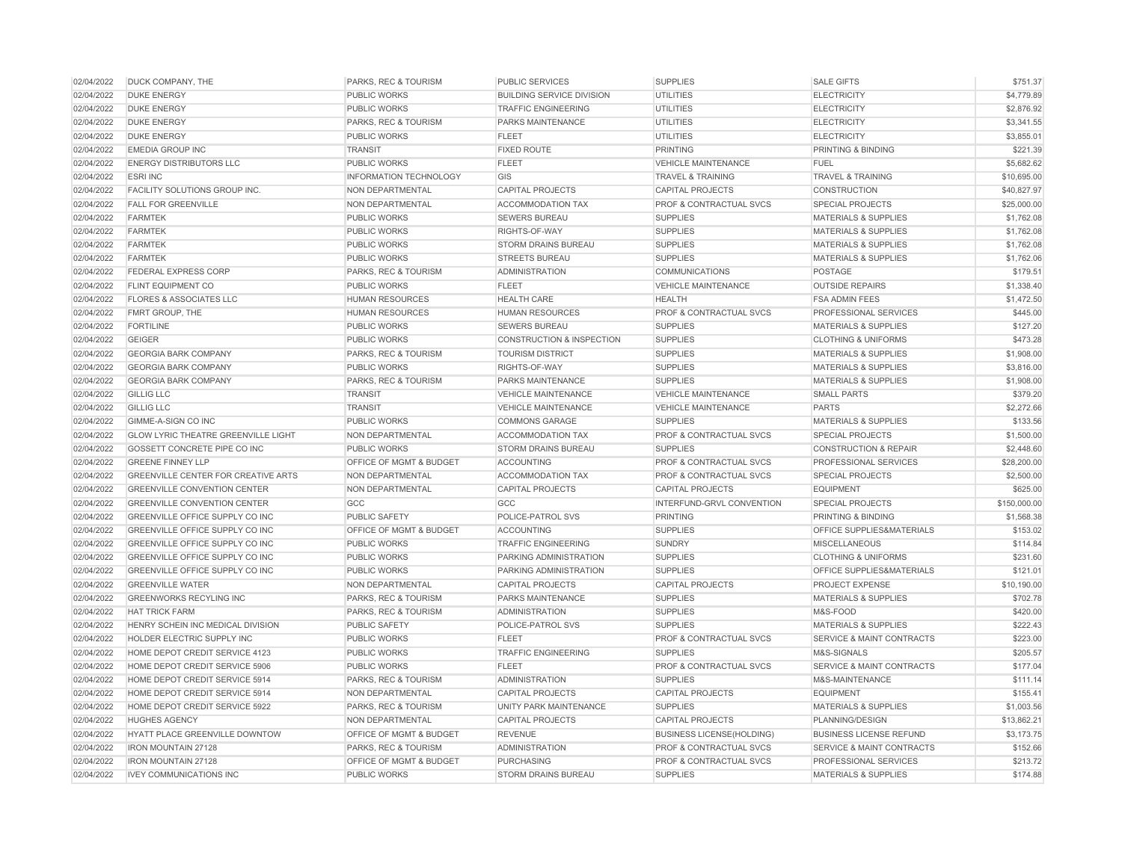| 02/04/2022 | <b>DUCK COMPANY, THE</b>                                        | PARKS, REC & TOURISM                     | PUBLIC SERVICES                      | <b>SUPPLIES</b>                    | <b>SALE GIFTS</b>                    | \$751.37     |
|------------|-----------------------------------------------------------------|------------------------------------------|--------------------------------------|------------------------------------|--------------------------------------|--------------|
| 02/04/2022 | <b>DUKE ENERGY</b>                                              | <b>PUBLIC WORKS</b>                      | <b>BUILDING SERVICE DIVISION</b>     | <b>UTILITIES</b>                   | <b>ELECTRICITY</b>                   | \$4,779.89   |
| 02/04/2022 | <b>DUKE ENERGY</b>                                              | <b>PUBLIC WORKS</b>                      | <b>TRAFFIC ENGINEERING</b>           | <b>UTILITIES</b>                   | <b>ELECTRICITY</b>                   | \$2,876.92   |
| 02/04/2022 | <b>DUKE ENERGY</b>                                              | PARKS, REC & TOURISM                     | PARKS MAINTENANCE                    | <b>UTILITIES</b>                   | <b>ELECTRICITY</b>                   | \$3,341.55   |
| 02/04/2022 | <b>DUKE ENERGY</b>                                              | <b>PUBLIC WORKS</b>                      | <b>FLEET</b>                         | <b>UTILITIES</b>                   | <b>ELECTRICITY</b>                   | \$3,855.01   |
| 02/04/2022 | <b>EMEDIA GROUP INC</b>                                         | <b>TRANSIT</b>                           | <b>FIXED ROUTE</b>                   | <b>PRINTING</b>                    | <b>PRINTING &amp; BINDING</b>        | \$221.39     |
| 02/04/2022 | <b>ENERGY DISTRIBUTORS LLC</b>                                  | <b>PUBLIC WORKS</b>                      | <b>FLEET</b>                         | <b>VEHICLE MAINTENANCE</b>         | <b>FUEL</b>                          | \$5,682.62   |
| 02/04/2022 | <b>ESRI INC</b>                                                 | <b>INFORMATION TECHNOLOGY</b>            | GIS                                  | <b>TRAVEL &amp; TRAINING</b>       | <b>TRAVEL &amp; TRAINING</b>         | \$10,695.00  |
| 02/04/2022 | FACILITY SOLUTIONS GROUP INC.                                   | NON DEPARTMENTAL                         | <b>CAPITAL PROJECTS</b>              | <b>CAPITAL PROJECTS</b>            | <b>CONSTRUCTION</b>                  | \$40,827.97  |
| 02/04/2022 | <b>FALL FOR GREENVILLE</b>                                      | NON DEPARTMENTAL                         | <b>ACCOMMODATION TAX</b>             | <b>PROF &amp; CONTRACTUAL SVCS</b> | <b>SPECIAL PROJECTS</b>              | \$25,000.00  |
| 02/04/2022 | <b>FARMTEK</b>                                                  | <b>PUBLIC WORKS</b>                      | <b>SEWERS BUREAU</b>                 | <b>SUPPLIES</b>                    | <b>MATERIALS &amp; SUPPLIES</b>      | \$1,762.08   |
| 02/04/2022 | <b>FARMTEK</b>                                                  | <b>PUBLIC WORKS</b>                      | RIGHTS-OF-WAY                        | <b>SUPPLIES</b>                    | <b>MATERIALS &amp; SUPPLIES</b>      | \$1,762.08   |
| 02/04/2022 | <b>FARMTEK</b>                                                  | <b>PUBLIC WORKS</b>                      | <b>STORM DRAINS BUREAU</b>           | <b>SUPPLIES</b>                    | <b>MATERIALS &amp; SUPPLIES</b>      | \$1,762.08   |
| 02/04/2022 | <b>FARMTEK</b>                                                  | <b>PUBLIC WORKS</b>                      | <b>STREETS BUREAU</b>                | <b>SUPPLIES</b>                    | <b>MATERIALS &amp; SUPPLIES</b>      | \$1,762.06   |
| 02/04/2022 | FEDERAL EXPRESS CORP                                            | PARKS, REC & TOURISM                     | <b>ADMINISTRATION</b>                | COMMUNICATIONS                     | POSTAGE                              | \$179.51     |
| 02/04/2022 | <b>FLINT EQUIPMENT CO</b>                                       | <b>PUBLIC WORKS</b>                      | <b>FLEET</b>                         | <b>VEHICLE MAINTENANCE</b>         | <b>OUTSIDE REPAIRS</b>               | \$1,338.40   |
| 02/04/2022 | <b>FLORES &amp; ASSOCIATES LLC</b>                              | <b>HUMAN RESOURCES</b>                   | <b>HEALTH CARE</b>                   | <b>HEALTH</b>                      | <b>FSA ADMIN FEES</b>                | \$1,472.50   |
| 02/04/2022 | FMRT GROUP, THE                                                 | <b>HUMAN RESOURCES</b>                   | <b>HUMAN RESOURCES</b>               | PROF & CONTRACTUAL SVCS            | PROFESSIONAL SERVICES                | \$445.00     |
| 02/04/2022 | <b>FORTILINE</b>                                                | <b>PUBLIC WORKS</b>                      | <b>SEWERS BUREAU</b>                 | <b>SUPPLIES</b>                    | <b>MATERIALS &amp; SUPPLIES</b>      | \$127.20     |
| 02/04/2022 | <b>GEIGER</b>                                                   | <b>PUBLIC WORKS</b>                      | <b>CONSTRUCTION &amp; INSPECTION</b> | <b>SUPPLIES</b>                    | <b>CLOTHING &amp; UNIFORMS</b>       | \$473.28     |
| 02/04/2022 | <b>GEORGIA BARK COMPANY</b>                                     | PARKS, REC & TOURISM                     | <b>TOURISM DISTRICT</b>              | <b>SUPPLIES</b>                    | <b>MATERIALS &amp; SUPPLIES</b>      | \$1,908.00   |
| 02/04/2022 | <b>GEORGIA BARK COMPANY</b>                                     | <b>PUBLIC WORKS</b>                      | RIGHTS-OF-WAY                        | <b>SUPPLIES</b>                    | <b>MATERIALS &amp; SUPPLIES</b>      | \$3,816.00   |
| 02/04/2022 | <b>GEORGIA BARK COMPANY</b>                                     | PARKS, REC & TOURISM                     | PARKS MAINTENANCE                    | <b>SUPPLIES</b>                    | <b>MATERIALS &amp; SUPPLIES</b>      | \$1,908.00   |
| 02/04/2022 | <b>GILLIG LLC</b>                                               | <b>TRANSIT</b>                           | <b>VEHICLE MAINTENANCE</b>           | <b>VEHICLE MAINTENANCE</b>         | <b>SMALL PARTS</b>                   | \$379.20     |
| 02/04/2022 | <b>GILLIG LLC</b>                                               | <b>TRANSIT</b>                           | <b>VEHICLE MAINTENANCE</b>           | <b>VEHICLE MAINTENANCE</b>         | <b>PARTS</b>                         | \$2,272.66   |
| 02/04/2022 | GIMME-A-SIGN CO INC                                             | <b>PUBLIC WORKS</b>                      | <b>COMMONS GARAGE</b>                | <b>SUPPLIES</b>                    | <b>MATERIALS &amp; SUPPLIES</b>      | \$133.56     |
| 02/04/2022 | <b>GLOW LYRIC THEATRE GREENVILLE LIGHT</b>                      | NON DEPARTMENTAL                         | <b>ACCOMMODATION TAX</b>             | PROF & CONTRACTUAL SVCS            | <b>SPECIAL PROJECTS</b>              | \$1,500.00   |
| 02/04/2022 | GOSSETT CONCRETE PIPE CO INC                                    | <b>PUBLIC WORKS</b>                      | <b>STORM DRAINS BUREAU</b>           | <b>SUPPLIES</b>                    | <b>CONSTRUCTION &amp; REPAIR</b>     | \$2,448.60   |
| 02/04/2022 | <b>GREENE FINNEY LLP</b>                                        | OFFICE OF MGMT & BUDGET                  | <b>ACCOUNTING</b>                    | PROF & CONTRACTUAL SVCS            | PROFESSIONAL SERVICES                | \$28,200.00  |
| 02/04/2022 | <b>GREENVILLE CENTER FOR CREATIVE ARTS</b>                      | NON DEPARTMENTAL                         | <b>ACCOMMODATION TAX</b>             | PROF & CONTRACTUAL SVCS            | <b>SPECIAL PROJECTS</b>              | \$2,500.00   |
| 02/04/2022 | <b>GREENVILLE CONVENTION CENTER</b>                             | NON DEPARTMENTAL                         | <b>CAPITAL PROJECTS</b>              | <b>CAPITAL PROJECTS</b>            | <b>EQUIPMENT</b>                     | \$625.00     |
| 02/04/2022 | <b>GREENVILLE CONVENTION CENTER</b>                             | GCC                                      | GCC                                  | INTERFUND-GRVL CONVENTION          | <b>SPECIAL PROJECTS</b>              | \$150,000.00 |
| 02/04/2022 | <b>GREENVILLE OFFICE SUPPLY CO INC</b>                          | <b>PUBLIC SAFETY</b>                     | POLICE-PATROL SVS                    | <b>PRINTING</b>                    | <b>PRINTING &amp; BINDING</b>        | \$1,568.38   |
| 02/04/2022 | GREENVILLE OFFICE SUPPLY CO INC                                 | OFFICE OF MGMT & BUDGET                  | <b>ACCOUNTING</b>                    | <b>SUPPLIES</b>                    | OFFICE SUPPLIES&MATERIALS            | \$153.02     |
| 02/04/2022 | GREENVILLE OFFICE SUPPLY CO INC                                 | <b>PUBLIC WORKS</b>                      | <b>TRAFFIC ENGINEERING</b>           | <b>SUNDRY</b>                      | <b>MISCELLANEOUS</b>                 | \$114.84     |
| 02/04/2022 | <b>GREENVILLE OFFICE SUPPLY CO INC</b>                          | <b>PUBLIC WORKS</b>                      | PARKING ADMINISTRATION               | <b>SUPPLIES</b>                    | <b>CLOTHING &amp; UNIFORMS</b>       | \$231.60     |
| 02/04/2022 | GREENVILLE OFFICE SUPPLY CO INC                                 | <b>PUBLIC WORKS</b>                      | PARKING ADMINISTRATION               | <b>SUPPLIES</b>                    | OFFICE SUPPLIES&MATERIALS            | \$121.01     |
| 02/04/2022 | <b>GREENVILLE WATER</b>                                         |                                          | <b>CAPITAL PROJECTS</b>              | <b>CAPITAL PROJECTS</b>            | <b>PROJECT EXPENSE</b>               | \$10,190.00  |
| 02/04/2022 | <b>GREENWORKS RECYLING INC</b>                                  | NON DEPARTMENTAL<br>PARKS, REC & TOURISM | PARKS MAINTENANCE                    | <b>SUPPLIES</b>                    | <b>MATERIALS &amp; SUPPLIES</b>      | \$702.78     |
| 02/04/2022 | <b>HAT TRICK FARM</b>                                           | PARKS, REC & TOURISM                     | <b>ADMINISTRATION</b>                | <b>SUPPLIES</b>                    | M&S-FOOD                             | \$420.00     |
|            |                                                                 |                                          |                                      |                                    |                                      |              |
| 02/04/2022 | HENRY SCHEIN INC MEDICAL DIVISION<br>HOLDER ELECTRIC SUPPLY INC | <b>PUBLIC SAFETY</b>                     | POLICE-PATROL SVS<br><b>FLEET</b>    | <b>SUPPLIES</b>                    | <b>MATERIALS &amp; SUPPLIES</b>      | \$222.43     |
| 02/04/2022 |                                                                 | <b>PUBLIC WORKS</b>                      |                                      | PROF & CONTRACTUAL SVCS            | <b>SERVICE &amp; MAINT CONTRACTS</b> | \$223.00     |
| 02/04/2022 | HOME DEPOT CREDIT SERVICE 4123                                  | PUBLIC WORKS                             | <b>TRAFFIC ENGINEERING</b>           | <b>SUPPLIES</b>                    | M&S-SIGNALS                          | \$205.57     |
| 02/04/2022 | HOME DEPOT CREDIT SERVICE 5906                                  | <b>PUBLIC WORKS</b>                      | <b>FLEET</b>                         | PROF & CONTRACTUAL SVCS            | <b>SERVICE &amp; MAINT CONTRACTS</b> | \$177.04     |
| 02/04/2022 | HOME DEPOT CREDIT SERVICE 5914                                  | PARKS, REC & TOURISM                     | <b>ADMINISTRATION</b>                | <b>SUPPLIES</b>                    | M&S-MAINTENANCE                      | \$111.14     |
| 02/04/2022 | HOME DEPOT CREDIT SERVICE 5914                                  | NON DEPARTMENTAL                         | <b>CAPITAL PROJECTS</b>              | <b>CAPITAL PROJECTS</b>            | <b>EQUIPMENT</b>                     | \$155.41     |
| 02/04/2022 | HOME DEPOT CREDIT SERVICE 5922                                  | PARKS, REC & TOURISM                     | UNITY PARK MAINTENANCE               | <b>SUPPLIES</b>                    | <b>MATERIALS &amp; SUPPLIES</b>      | \$1,003.56   |
| 02/04/2022 | <b>HUGHES AGENCY</b>                                            | NON DEPARTMENTAL                         | <b>CAPITAL PROJECTS</b>              | <b>CAPITAL PROJECTS</b>            | PLANNING/DESIGN                      | \$13,862.21  |
| 02/04/2022 | HYATT PLACE GREENVILLE DOWNTOW                                  | <b>OFFICE OF MGMT &amp; BUDGET</b>       | <b>REVENUE</b>                       | <b>BUSINESS LICENSE(HOLDING)</b>   | <b>BUSINESS LICENSE REFUND</b>       | \$3,173.75   |
| 02/04/2022 | <b>IRON MOUNTAIN 27128</b>                                      | PARKS, REC & TOURISM                     | <b>ADMINISTRATION</b>                | PROF & CONTRACTUAL SVCS            | <b>SERVICE &amp; MAINT CONTRACTS</b> | \$152.66     |
| 02/04/2022 | <b>IRON MOUNTAIN 27128</b>                                      | OFFICE OF MGMT & BUDGET                  | <b>PURCHASING</b>                    | PROF & CONTRACTUAL SVCS            | PROFESSIONAL SERVICES                | \$213.72     |
| 02/04/2022 | <b>IVEY COMMUNICATIONS INC</b>                                  | <b>PUBLIC WORKS</b>                      | STORM DRAINS BUREAU                  | <b>SUPPLIES</b>                    | <b>MATERIALS &amp; SUPPLIES</b>      | \$174.88     |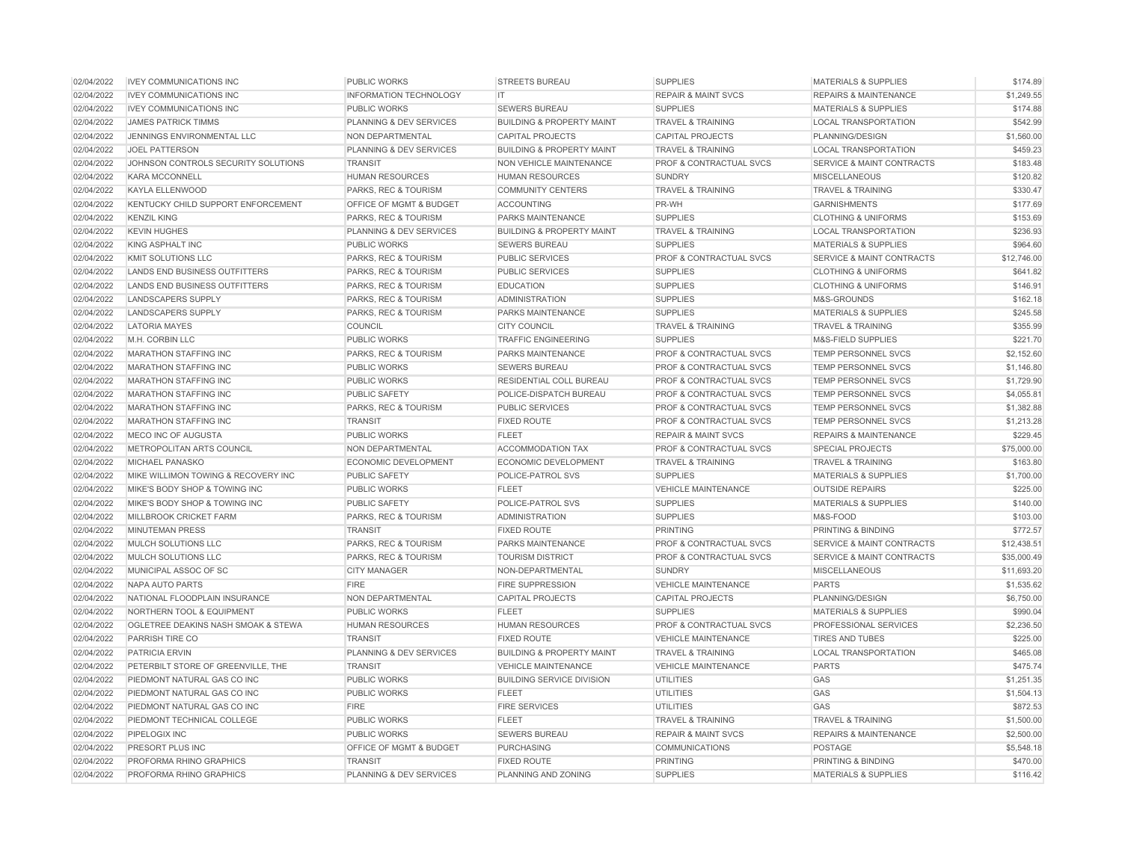| 02/04/2022 | <b>IVEY COMMUNICATIONS INC</b>       | <b>PUBLIC WORKS</b>           | <b>STREETS BUREAU</b>                | <b>SUPPLIES</b>                    | <b>MATERIALS &amp; SUPPLIES</b>      | \$174.89    |
|------------|--------------------------------------|-------------------------------|--------------------------------------|------------------------------------|--------------------------------------|-------------|
| 02/04/2022 | <b>IVEY COMMUNICATIONS INC</b>       | <b>INFORMATION TECHNOLOGY</b> | IT                                   | <b>REPAIR &amp; MAINT SVCS</b>     | <b>REPAIRS &amp; MAINTENANCE</b>     | \$1,249.55  |
| 02/04/2022 | <b>IVEY COMMUNICATIONS INC</b>       | <b>PUBLIC WORKS</b>           | <b>SEWERS BUREAU</b>                 | <b>SUPPLIES</b>                    | <b>MATERIALS &amp; SUPPLIES</b>      | \$174.88    |
| 02/04/2022 | <b>JAMES PATRICK TIMMS</b>           | PLANNING & DEV SERVICES       | <b>BUILDING &amp; PROPERTY MAINT</b> | <b>TRAVEL &amp; TRAINING</b>       | <b>LOCAL TRANSPORTATION</b>          | \$542.99    |
| 02/04/2022 | JENNINGS ENVIRONMENTAL LLC           | NON DEPARTMENTAL              | <b>CAPITAL PROJECTS</b>              | <b>CAPITAL PROJECTS</b>            | PLANNING/DESIGN                      | \$1,560.00  |
| 02/04/2022 | <b>JOEL PATTERSON</b>                | PLANNING & DEV SERVICES       | <b>BUILDING &amp; PROPERTY MAINT</b> | <b>TRAVEL &amp; TRAINING</b>       | <b>LOCAL TRANSPORTATION</b>          | \$459.23    |
| 02/04/2022 | JOHNSON CONTROLS SECURITY SOLUTIONS  | <b>TRANSIT</b>                | NON VEHICLE MAINTENANCE              | PROF & CONTRACTUAL SVCS            | <b>SERVICE &amp; MAINT CONTRACTS</b> | \$183.48    |
| 02/04/2022 | <b>KARA MCCONNELL</b>                | <b>HUMAN RESOURCES</b>        | <b>HUMAN RESOURCES</b>               | <b>SUNDRY</b>                      | <b>MISCELLANEOUS</b>                 | \$120.82    |
| 02/04/2022 | KAYLA ELLENWOOD                      | PARKS, REC & TOURISM          | <b>COMMUNITY CENTERS</b>             | <b>TRAVEL &amp; TRAINING</b>       | <b>TRAVEL &amp; TRAINING</b>         | \$330.47    |
| 02/04/2022 | KENTUCKY CHILD SUPPORT ENFORCEMENT   | OFFICE OF MGMT & BUDGET       | <b>ACCOUNTING</b>                    | PR-WH                              | <b>GARNISHMENTS</b>                  | \$177.69    |
| 02/04/2022 | <b>KENZIL KING</b>                   | PARKS, REC & TOURISM          | <b>PARKS MAINTENANCE</b>             | <b>SUPPLIES</b>                    | <b>CLOTHING &amp; UNIFORMS</b>       | \$153.69    |
| 02/04/2022 | <b>KEVIN HUGHES</b>                  | PLANNING & DEV SERVICES       | <b>BUILDING &amp; PROPERTY MAINT</b> | <b>TRAVEL &amp; TRAINING</b>       | <b>LOCAL TRANSPORTATION</b>          | \$236.93    |
| 02/04/2022 | KING ASPHALT INC                     | <b>PUBLIC WORKS</b>           | <b>SEWERS BUREAU</b>                 | <b>SUPPLIES</b>                    | <b>MATERIALS &amp; SUPPLIES</b>      | \$964.60    |
| 02/04/2022 | <b>KMIT SOLUTIONS LLC</b>            | PARKS, REC & TOURISM          | <b>PUBLIC SERVICES</b>               | <b>PROF &amp; CONTRACTUAL SVCS</b> | <b>SERVICE &amp; MAINT CONTRACTS</b> | \$12,746.00 |
| 02/04/2022 | <b>LANDS END BUSINESS OUTFITTERS</b> | PARKS, REC & TOURISM          | <b>PUBLIC SERVICES</b>               | <b>SUPPLIES</b>                    | <b>CLOTHING &amp; UNIFORMS</b>       | \$641.82    |
| 02/04/2022 | <b>LANDS END BUSINESS OUTFITTERS</b> | PARKS, REC & TOURISM          | <b>EDUCATION</b>                     | <b>SUPPLIES</b>                    | <b>CLOTHING &amp; UNIFORMS</b>       | \$146.91    |
| 02/04/2022 | <b>LANDSCAPERS SUPPLY</b>            | PARKS, REC & TOURISM          | <b>ADMINISTRATION</b>                | <b>SUPPLIES</b>                    | M&S-GROUNDS                          | \$162.18    |
| 02/04/2022 | <b>LANDSCAPERS SUPPLY</b>            | PARKS, REC & TOURISM          | PARKS MAINTENANCE                    | <b>SUPPLIES</b>                    | <b>MATERIALS &amp; SUPPLIES</b>      | \$245.58    |
| 02/04/2022 | <b>LATORIA MAYES</b>                 | <b>COUNCIL</b>                | <b>CITY COUNCIL</b>                  | <b>TRAVEL &amp; TRAINING</b>       | <b>TRAVEL &amp; TRAINING</b>         | \$355.99    |
| 02/04/2022 | M.H. CORBIN LLC                      | <b>PUBLIC WORKS</b>           | <b>TRAFFIC ENGINEERING</b>           | <b>SUPPLIES</b>                    | <b>M&amp;S-FIELD SUPPLIES</b>        | \$221.70    |
| 02/04/2022 | <b>MARATHON STAFFING INC</b>         | PARKS, REC & TOURISM          | <b>PARKS MAINTENANCE</b>             | <b>PROF &amp; CONTRACTUAL SVCS</b> | TEMP PERSONNEL SVCS                  | \$2,152.60  |
| 02/04/2022 | <b>MARATHON STAFFING INC</b>         | <b>PUBLIC WORKS</b>           | <b>SEWERS BUREAU</b>                 | PROF & CONTRACTUAL SVCS            | TEMP PERSONNEL SVCS                  | \$1,146.80  |
| 02/04/2022 | <b>MARATHON STAFFING INC</b>         | PUBLIC WORKS                  | RESIDENTIAL COLL BUREAU              | PROF & CONTRACTUAL SVCS            | TEMP PERSONNEL SVCS                  | \$1,729.90  |
| 02/04/2022 | <b>MARATHON STAFFING INC</b>         | <b>PUBLIC SAFETY</b>          | POLICE-DISPATCH BUREAU               | <b>PROF &amp; CONTRACTUAL SVCS</b> | <b>TEMP PERSONNEL SVCS</b>           | \$4,055.81  |
| 02/04/2022 | <b>MARATHON STAFFING INC</b>         | PARKS, REC & TOURISM          | <b>PUBLIC SERVICES</b>               | PROF & CONTRACTUAL SVCS            | TEMP PERSONNEL SVCS                  | \$1,382.88  |
| 02/04/2022 | <b>MARATHON STAFFING INC</b>         | <b>TRANSIT</b>                | <b>FIXED ROUTE</b>                   | <b>PROF &amp; CONTRACTUAL SVCS</b> | <b>TEMP PERSONNEL SVCS</b>           | \$1,213.28  |
| 02/04/2022 | MECO INC OF AUGUSTA                  | PUBLIC WORKS                  | <b>FLEET</b>                         | <b>REPAIR &amp; MAINT SVCS</b>     | <b>REPAIRS &amp; MAINTENANCE</b>     | \$229.45    |
| 02/04/2022 | METROPOLITAN ARTS COUNCIL            | NON DEPARTMENTAL              | <b>ACCOMMODATION TAX</b>             | <b>PROF &amp; CONTRACTUAL SVCS</b> | <b>SPECIAL PROJECTS</b>              | \$75,000.00 |
| 02/04/2022 | MICHAEL PANASKO                      | <b>ECONOMIC DEVELOPMENT</b>   | <b>ECONOMIC DEVELOPMENT</b>          | <b>TRAVEL &amp; TRAINING</b>       | <b>TRAVEL &amp; TRAINING</b>         | \$163.80    |
| 02/04/2022 | MIKE WILLIMON TOWING & RECOVERY INC  | <b>PUBLIC SAFETY</b>          | POLICE-PATROL SVS                    | <b>SUPPLIES</b>                    | <b>MATERIALS &amp; SUPPLIES</b>      | \$1,700.00  |
| 02/04/2022 | MIKE'S BODY SHOP & TOWING INC        | <b>PUBLIC WORKS</b>           | <b>FLEET</b>                         | <b>VEHICLE MAINTENANCE</b>         | <b>OUTSIDE REPAIRS</b>               | \$225.00    |
| 02/04/2022 | MIKE'S BODY SHOP & TOWING INC        | <b>PUBLIC SAFETY</b>          | POLICE-PATROL SVS                    | <b>SUPPLIES</b>                    | <b>MATERIALS &amp; SUPPLIES</b>      | \$140.00    |
| 02/04/2022 | MILLBROOK CRICKET FARM               | PARKS, REC & TOURISM          | <b>ADMINISTRATION</b>                | <b>SUPPLIES</b>                    | M&S-FOOD                             | \$103.00    |
| 02/04/2022 | <b>MINUTEMAN PRESS</b>               | <b>TRANSIT</b>                | <b>FIXED ROUTE</b>                   | <b>PRINTING</b>                    | PRINTING & BINDING                   | \$772.57    |
| 02/04/2022 | MULCH SOLUTIONS LLC                  | PARKS, REC & TOURISM          | <b>PARKS MAINTENANCE</b>             | PROF & CONTRACTUAL SVCS            | <b>SERVICE &amp; MAINT CONTRACTS</b> | \$12,438.51 |
| 02/04/2022 | MULCH SOLUTIONS LLC                  | PARKS, REC & TOURISM          | <b>TOURISM DISTRICT</b>              | PROF & CONTRACTUAL SVCS            | <b>SERVICE &amp; MAINT CONTRACTS</b> | \$35,000.49 |
| 02/04/2022 | MUNICIPAL ASSOC OF SC                | <b>CITY MANAGER</b>           | NON-DEPARTMENTAL                     | <b>SUNDRY</b>                      | <b>MISCELLANEOUS</b>                 | \$11,693.20 |
| 02/04/2022 | NAPA AUTO PARTS                      | <b>FIRE</b>                   | <b>FIRE SUPPRESSION</b>              | <b>VEHICLE MAINTENANCE</b>         | <b>PARTS</b>                         | \$1,535.62  |
| 02/04/2022 | NATIONAL FLOODPLAIN INSURANCE        | NON DEPARTMENTAL              | <b>CAPITAL PROJECTS</b>              | <b>CAPITAL PROJECTS</b>            | PLANNING/DESIGN                      | \$6,750.00  |
| 02/04/2022 | <b>NORTHERN TOOL &amp; EQUIPMENT</b> | <b>PUBLIC WORKS</b>           | <b>FLEET</b>                         | <b>SUPPLIES</b>                    | <b>MATERIALS &amp; SUPPLIES</b>      | \$990.04    |
| 02/04/2022 | OGLETREE DEAKINS NASH SMOAK & STEWA  | <b>HUMAN RESOURCES</b>        | <b>HUMAN RESOURCES</b>               | PROF & CONTRACTUAL SVCS            | PROFESSIONAL SERVICES                | \$2,236.50  |
| 02/04/2022 | PARRISH TIRE CO                      | <b>TRANSIT</b>                | <b>FIXED ROUTE</b>                   | <b>VEHICLE MAINTENANCE</b>         | <b>TIRES AND TUBES</b>               | \$225.00    |
| 02/04/2022 | <b>PATRICIA ERVIN</b>                | PLANNING & DEV SERVICES       | <b>BUILDING &amp; PROPERTY MAINT</b> | <b>TRAVEL &amp; TRAINING</b>       | <b>LOCAL TRANSPORTATION</b>          | \$465.08    |
| 02/04/2022 | PETERBILT STORE OF GREENVILLE, THE   | <b>TRANSIT</b>                | <b>VEHICLE MAINTENANCE</b>           | <b>VEHICLE MAINTENANCE</b>         | <b>PARTS</b>                         | \$475.74    |
| 02/04/2022 | PIEDMONT NATURAL GAS CO INC          | <b>PUBLIC WORKS</b>           | <b>BUILDING SERVICE DIVISION</b>     | <b>UTILITIES</b>                   | GAS                                  | \$1,251.35  |
| 02/04/2022 | PIEDMONT NATURAL GAS CO INC          | <b>PUBLIC WORKS</b>           | <b>FLEET</b>                         | <b>UTILITIES</b>                   | GAS                                  | \$1,504.13  |
| 02/04/2022 | PIEDMONT NATURAL GAS CO INC          | <b>FIRE</b>                   | <b>FIRE SERVICES</b>                 | <b>UTILITIES</b>                   | GAS                                  | \$872.53    |
| 02/04/2022 | PIEDMONT TECHNICAL COLLEGE           | <b>PUBLIC WORKS</b>           | <b>FLEET</b>                         | <b>TRAVEL &amp; TRAINING</b>       | <b>TRAVEL &amp; TRAINING</b>         | \$1,500.00  |
| 02/04/2022 | PIPELOGIX INC                        | <b>PUBLIC WORKS</b>           | <b>SEWERS BUREAU</b>                 | <b>REPAIR &amp; MAINT SVCS</b>     | <b>REPAIRS &amp; MAINTENANCE</b>     | \$2,500.00  |
| 02/04/2022 | PRESORT PLUS INC                     | OFFICE OF MGMT & BUDGET       | <b>PURCHASING</b>                    | COMMUNICATIONS                     | <b>POSTAGE</b>                       | \$5,548.18  |
| 02/04/2022 | PROFORMA RHINO GRAPHICS              | <b>TRANSIT</b>                | <b>FIXED ROUTE</b>                   | <b>PRINTING</b>                    | PRINTING & BINDING                   | \$470.00    |
| 02/04/2022 | PROFORMA RHINO GRAPHICS              | PLANNING & DEV SERVICES       | PLANNING AND ZONING                  | <b>SUPPLIES</b>                    | <b>MATERIALS &amp; SUPPLIES</b>      | \$116.42    |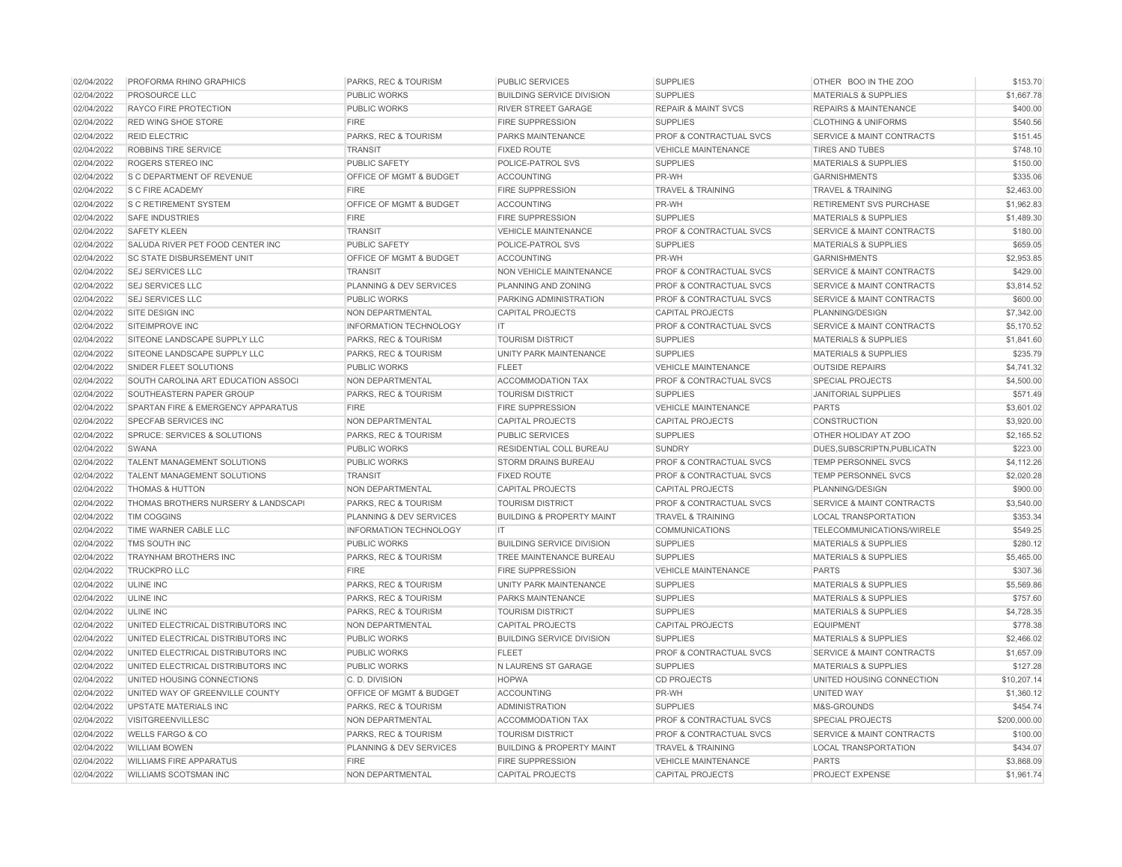| 02/04/2022 | PROFORMA RHINO GRAPHICS             | <b>PARKS, REC &amp; TOURISM</b> | <b>PUBLIC SERVICES</b>               | <b>SUPPLIES</b>                    | OTHER BOO IN THE ZOO                 | \$153.70     |
|------------|-------------------------------------|---------------------------------|--------------------------------------|------------------------------------|--------------------------------------|--------------|
| 02/04/2022 | PROSOURCE LLC                       | <b>PUBLIC WORKS</b>             | <b>BUILDING SERVICE DIVISION</b>     | <b>SUPPLIES</b>                    | <b>MATERIALS &amp; SUPPLIES</b>      | \$1,667.78   |
| 02/04/2022 | RAYCO FIRE PROTECTION               | <b>PUBLIC WORKS</b>             | RIVER STREET GARAGE                  | <b>REPAIR &amp; MAINT SVCS</b>     | <b>REPAIRS &amp; MAINTENANCE</b>     | \$400.00     |
| 02/04/2022 | <b>RED WING SHOE STORE</b>          | <b>FIRE</b>                     | <b>FIRE SUPPRESSION</b>              | <b>SUPPLIES</b>                    | <b>CLOTHING &amp; UNIFORMS</b>       | \$540.56     |
| 02/04/2022 | <b>REID ELECTRIC</b>                | PARKS, REC & TOURISM            | PARKS MAINTENANCE                    | <b>PROF &amp; CONTRACTUAL SVCS</b> | <b>SERVICE &amp; MAINT CONTRACTS</b> | \$151.45     |
| 02/04/2022 | ROBBINS TIRE SERVICE                | <b>TRANSIT</b>                  | <b>FIXED ROUTE</b>                   | <b>VEHICLE MAINTENANCE</b>         | <b>TIRES AND TUBES</b>               | \$748.10     |
| 02/04/2022 | ROGERS STEREO INC                   | <b>PUBLIC SAFETY</b>            | POLICE-PATROL SVS                    | <b>SUPPLIES</b>                    | <b>MATERIALS &amp; SUPPLIES</b>      | \$150.00     |
| 02/04/2022 | S C DEPARTMENT OF REVENUE           | OFFICE OF MGMT & BUDGET         | <b>ACCOUNTING</b>                    | PR-WH                              | <b>GARNISHMENTS</b>                  | \$335.06     |
| 02/04/2022 | S C FIRE ACADEMY                    | <b>FIRE</b>                     | FIRE SUPPRESSION                     | <b>TRAVEL &amp; TRAINING</b>       | <b>TRAVEL &amp; TRAINING</b>         | \$2,463.00   |
| 02/04/2022 | <b>S C RETIREMENT SYSTEM</b>        | OFFICE OF MGMT & BUDGET         | <b>ACCOUNTING</b>                    | PR-WH                              | <b>RETIREMENT SVS PURCHASE</b>       | \$1,962.83   |
| 02/04/2022 | <b>SAFE INDUSTRIES</b>              | <b>FIRE</b>                     | <b>FIRE SUPPRESSION</b>              | <b>SUPPLIES</b>                    | <b>MATERIALS &amp; SUPPLIES</b>      | \$1,489.30   |
| 02/04/2022 | <b>SAFETY KLEEN</b>                 | <b>TRANSIT</b>                  | <b>VEHICLE MAINTENANCE</b>           | PROF & CONTRACTUAL SVCS            | <b>SERVICE &amp; MAINT CONTRACTS</b> | \$180.00     |
| 02/04/2022 | SALUDA RIVER PET FOOD CENTER INC    | <b>PUBLIC SAFETY</b>            | POLICE-PATROL SVS                    | <b>SUPPLIES</b>                    | <b>MATERIALS &amp; SUPPLIES</b>      | \$659.05     |
| 02/04/2022 | <b>SC STATE DISBURSEMENT UNIT</b>   | OFFICE OF MGMT & BUDGET         | <b>ACCOUNTING</b>                    | PR-WH                              | <b>GARNISHMENTS</b>                  | \$2,953.85   |
| 02/04/2022 | <b>SEJ SERVICES LLC</b>             | <b>TRANSIT</b>                  | NON VEHICLE MAINTENANCE              | <b>PROF &amp; CONTRACTUAL SVCS</b> | <b>SERVICE &amp; MAINT CONTRACTS</b> | \$429.00     |
| 02/04/2022 | <b>SEJ SERVICES LLC</b>             | PLANNING & DEV SERVICES         | PLANNING AND ZONING                  | PROF & CONTRACTUAL SVCS            | <b>SERVICE &amp; MAINT CONTRACTS</b> | \$3,814.52   |
| 02/04/2022 | SEJ SERVICES LLC                    | PUBLIC WORKS                    | PARKING ADMINISTRATION               | PROF & CONTRACTUAL SVCS            | <b>SERVICE &amp; MAINT CONTRACTS</b> | \$600.00     |
| 02/04/2022 | SITE DESIGN INC                     | <b>NON DEPARTMENTAL</b>         | <b>CAPITAL PROJECTS</b>              | <b>CAPITAL PROJECTS</b>            | PLANNING/DESIGN                      | \$7,342.00   |
| 02/04/2022 | SITEIMPROVE INC                     | <b>INFORMATION TECHNOLOGY</b>   | IT.                                  | PROF & CONTRACTUAL SVCS            | <b>SERVICE &amp; MAINT CONTRACTS</b> | \$5,170.52   |
| 02/04/2022 | SITEONE LANDSCAPE SUPPLY LLC        | PARKS, REC & TOURISM            | <b>TOURISM DISTRICT</b>              | <b>SUPPLIES</b>                    | <b>MATERIALS &amp; SUPPLIES</b>      | \$1,841.60   |
| 02/04/2022 | SITEONE LANDSCAPE SUPPLY LLC        | PARKS, REC & TOURISM            | UNITY PARK MAINTENANCE               | <b>SUPPLIES</b>                    | <b>MATERIALS &amp; SUPPLIES</b>      | \$235.79     |
| 02/04/2022 | <b>SNIDER FLEET SOLUTIONS</b>       | PUBLIC WORKS                    | <b>FLEET</b>                         | <b>VEHICLE MAINTENANCE</b>         | <b>OUTSIDE REPAIRS</b>               | \$4,741.32   |
| 02/04/2022 | SOUTH CAROLINA ART EDUCATION ASSOCI | NON DEPARTMENTAL                | <b>ACCOMMODATION TAX</b>             | PROF & CONTRACTUAL SVCS            | <b>SPECIAL PROJECTS</b>              | \$4,500.00   |
| 02/04/2022 | SOUTHEASTERN PAPER GROUP            | PARKS, REC & TOURISM            | <b>TOURISM DISTRICT</b>              | <b>SUPPLIES</b>                    | <b>JANITORIAL SUPPLIES</b>           | \$571.49     |
| 02/04/2022 | SPARTAN FIRE & EMERGENCY APPARATUS  | <b>FIRE</b>                     | <b>FIRE SUPPRESSION</b>              | <b>VEHICLE MAINTENANCE</b>         | <b>PARTS</b>                         | \$3,601.02   |
| 02/04/2022 | <b>SPECFAB SERVICES INC</b>         | NON DEPARTMENTAL                | <b>CAPITAL PROJECTS</b>              | <b>CAPITAL PROJECTS</b>            | CONSTRUCTION                         | \$3,920.00   |
| 02/04/2022 | SPRUCE: SERVICES & SOLUTIONS        | PARKS, REC & TOURISM            | <b>PUBLIC SERVICES</b>               | <b>SUPPLIES</b>                    | OTHER HOLIDAY AT ZOO                 | \$2,165.52   |
| 02/04/2022 | <b>SWANA</b>                        | <b>PUBLIC WORKS</b>             | <b>RESIDENTIAL COLL BUREAU</b>       | <b>SUNDRY</b>                      | DUES.SUBSCRIPTN.PUBLICATN            | \$223.00     |
| 02/04/2022 | TALENT MANAGEMENT SOLUTIONS         | PUBLIC WORKS                    | <b>STORM DRAINS BUREAU</b>           | PROF & CONTRACTUAL SVCS            | <b>TEMP PERSONNEL SVCS</b>           | \$4,112.26   |
| 02/04/2022 | TALENT MANAGEMENT SOLUTIONS         | <b>TRANSIT</b>                  | <b>FIXED ROUTE</b>                   | PROF & CONTRACTUAL SVCS            | <b>TEMP PERSONNEL SVCS</b>           | \$2,020.28   |
| 02/04/2022 | <b>THOMAS &amp; HUTTON</b>          | NON DEPARTMENTAL                | <b>CAPITAL PROJECTS</b>              | <b>CAPITAL PROJECTS</b>            | PLANNING/DESIGN                      | \$900.00     |
| 02/04/2022 | THOMAS BROTHERS NURSERY & LANDSCAPI | PARKS, REC & TOURISM            | <b>TOURISM DISTRICT</b>              | <b>PROF &amp; CONTRACTUAL SVCS</b> | <b>SERVICE &amp; MAINT CONTRACTS</b> | \$3,540.00   |
| 02/04/2022 | <b>TIM COGGINS</b>                  | PLANNING & DEV SERVICES         | <b>BUILDING &amp; PROPERTY MAINT</b> | <b>TRAVEL &amp; TRAINING</b>       | <b>LOCAL TRANSPORTATION</b>          | \$353.34     |
| 02/04/2022 | TIME WARNER CABLE LLC               | <b>INFORMATION TECHNOLOGY</b>   | <b>IT</b>                            | <b>COMMUNICATIONS</b>              | TELECOMMUNICATIONS/WIRELE            | \$549.25     |
| 02/04/2022 | TMS SOUTH INC                       | PUBLIC WORKS                    | <b>BUILDING SERVICE DIVISION</b>     | <b>SUPPLIES</b>                    | <b>MATERIALS &amp; SUPPLIES</b>      | \$280.12     |
| 02/04/2022 | TRAYNHAM BROTHERS INC               | PARKS, REC & TOURISM            | TREE MAINTENANCE BUREAU              | <b>SUPPLIES</b>                    | <b>MATERIALS &amp; SUPPLIES</b>      | \$5,465.00   |
| 02/04/2022 | <b>TRUCKPRO LLC</b>                 | <b>FIRE</b>                     | <b>FIRE SUPPRESSION</b>              | <b>VEHICLE MAINTENANCE</b>         | <b>PARTS</b>                         | \$307.36     |
| 02/04/2022 | <b>ULINE INC</b>                    | PARKS, REC & TOURISM            | UNITY PARK MAINTENANCE               | <b>SUPPLIES</b>                    | <b>MATERIALS &amp; SUPPLIES</b>      | \$5,569.86   |
| 02/04/2022 | <b>ULINE INC</b>                    | PARKS, REC & TOURISM            | PARKS MAINTENANCE                    | <b>SUPPLIES</b>                    | <b>MATERIALS &amp; SUPPLIES</b>      | \$757.60     |
| 02/04/2022 | <b>ULINE INC</b>                    | PARKS, REC & TOURISM            | <b>TOURISM DISTRICT</b>              | <b>SUPPLIES</b>                    | <b>MATERIALS &amp; SUPPLIES</b>      | \$4,728.35   |
| 02/04/2022 | UNITED ELECTRICAL DISTRIBUTORS INC  | NON DEPARTMENTAL                | <b>CAPITAL PROJECTS</b>              | <b>CAPITAL PROJECTS</b>            | <b>EQUIPMENT</b>                     | \$778.38     |
| 02/04/2022 | UNITED ELECTRICAL DISTRIBUTORS INC  | <b>PUBLIC WORKS</b>             | <b>BUILDING SERVICE DIVISION</b>     | <b>SUPPLIES</b>                    | <b>MATERIALS &amp; SUPPLIES</b>      | \$2,466.02   |
| 02/04/2022 | UNITED ELECTRICAL DISTRIBUTORS INC  | <b>PUBLIC WORKS</b>             | <b>FLEET</b>                         | <b>PROF &amp; CONTRACTUAL SVCS</b> | <b>SERVICE &amp; MAINT CONTRACTS</b> | \$1,657.09   |
| 02/04/2022 | UNITED ELECTRICAL DISTRIBUTORS INC  | PUBLIC WORKS                    | N LAURENS ST GARAGE                  | <b>SUPPLIES</b>                    | <b>MATERIALS &amp; SUPPLIES</b>      | \$127.28     |
| 02/04/2022 | UNITED HOUSING CONNECTIONS          | C. D. DIVISION                  | <b>HOPWA</b>                         | <b>CD PROJECTS</b>                 | UNITED HOUSING CONNECTION            | \$10,207.14  |
| 02/04/2022 | UNITED WAY OF GREENVILLE COUNTY     | OFFICE OF MGMT & BUDGET         | ACCOUNTING                           | PR-WH                              | <b>UNITED WAY</b>                    | \$1,360.12   |
| 02/04/2022 | <b>UPSTATE MATERIALS INC</b>        | PARKS, REC & TOURISM            | <b>ADMINISTRATION</b>                | <b>SUPPLIES</b>                    | M&S-GROUNDS                          | \$454.74     |
| 02/04/2022 | <b>VISITGREENVILLESC</b>            | NON DEPARTMENTAL                | <b>ACCOMMODATION TAX</b>             | PROF & CONTRACTUAL SVCS            | <b>SPECIAL PROJECTS</b>              | \$200,000.00 |
| 02/04/2022 | <b>WELLS FARGO &amp; CO</b>         | PARKS, REC & TOURISM            | <b>TOURISM DISTRICT</b>              | PROF & CONTRACTUAL SVCS            | <b>SERVICE &amp; MAINT CONTRACTS</b> | \$100.00     |
| 02/04/2022 | <b>WILLIAM BOWEN</b>                | PLANNING & DEV SERVICES         | <b>BUILDING &amp; PROPERTY MAINT</b> | <b>TRAVEL &amp; TRAINING</b>       | <b>LOCAL TRANSPORTATION</b>          | \$434.07     |
| 02/04/2022 | <b>WILLIAMS FIRE APPARATUS</b>      | <b>FIRE</b>                     | <b>FIRE SUPPRESSION</b>              | <b>VEHICLE MAINTENANCE</b>         | <b>PARTS</b>                         | \$3,868.09   |
| 02/04/2022 | WILLIAMS SCOTSMAN INC               | <b>NON DEPARTMENTAL</b>         | <b>CAPITAL PROJECTS</b>              | <b>CAPITAL PROJECTS</b>            | PROJECT EXPENSE                      | \$1,961.74   |
|            |                                     |                                 |                                      |                                    |                                      |              |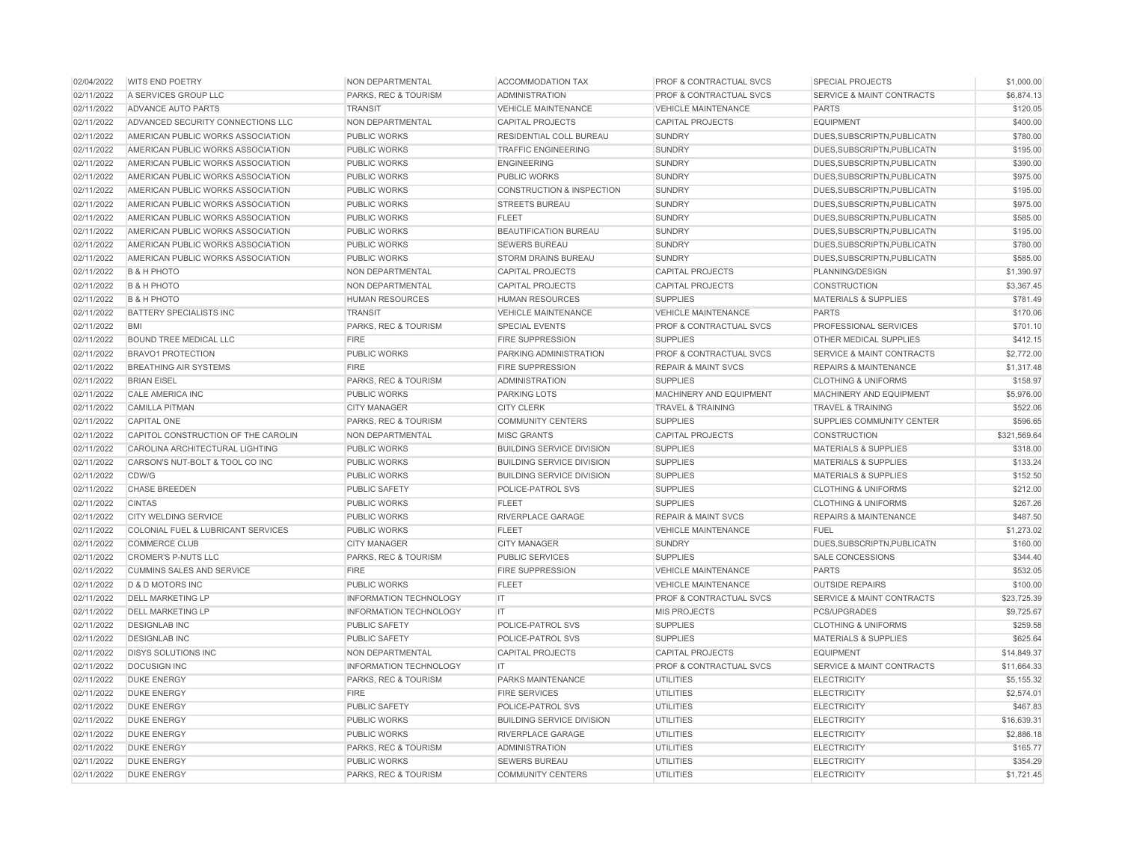| 02/04/2022 | <b>WITS END POETRY</b>              | NON DEPARTMENTAL              | <b>ACCOMMODATION TAX</b>             | PROF & CONTRACTUAL SVCS            | <b>SPECIAL PROJECTS</b>              | \$1,000.00   |
|------------|-------------------------------------|-------------------------------|--------------------------------------|------------------------------------|--------------------------------------|--------------|
| 02/11/2022 | A SERVICES GROUP LLC                | PARKS, REC & TOURISM          | <b>ADMINISTRATION</b>                | PROF & CONTRACTUAL SVCS            | <b>SERVICE &amp; MAINT CONTRACTS</b> | \$6,874.13   |
| 02/11/2022 | <b>ADVANCE AUTO PARTS</b>           | <b>TRANSIT</b>                | <b>VEHICLE MAINTENANCE</b>           | <b>VEHICLE MAINTENANCE</b>         | <b>PARTS</b>                         | \$120.05     |
| 02/11/2022 | ADVANCED SECURITY CONNECTIONS LLC   | NON DEPARTMENTAL              | <b>CAPITAL PROJECTS</b>              | <b>CAPITAL PROJECTS</b>            | <b>EQUIPMENT</b>                     | \$400.00     |
| 02/11/2022 | AMERICAN PUBLIC WORKS ASSOCIATION   | <b>PUBLIC WORKS</b>           | RESIDENTIAL COLL BUREAU              | <b>SUNDRY</b>                      | DUES, SUBSCRIPTN, PUBLICATN          | \$780.00     |
| 02/11/2022 | AMERICAN PUBLIC WORKS ASSOCIATION   | <b>PUBLIC WORKS</b>           | <b>TRAFFIC ENGINEERING</b>           | <b>SUNDRY</b>                      | DUES, SUBSCRIPTN, PUBLICATN          | \$195.00     |
| 02/11/2022 | AMERICAN PUBLIC WORKS ASSOCIATION   | <b>PUBLIC WORKS</b>           | <b>ENGINEERING</b>                   | <b>SUNDRY</b>                      | DUES, SUBSCRIPTN, PUBLICATN          | \$390.00     |
| 02/11/2022 | AMERICAN PUBLIC WORKS ASSOCIATION   | <b>PUBLIC WORKS</b>           | <b>PUBLIC WORKS</b>                  | <b>SUNDRY</b>                      | DUES, SUBSCRIPTN, PUBLICATN          | \$975.00     |
| 02/11/2022 | AMERICAN PUBLIC WORKS ASSOCIATION   | <b>PUBLIC WORKS</b>           | <b>CONSTRUCTION &amp; INSPECTION</b> | <b>SUNDRY</b>                      | DUES, SUBSCRIPTN, PUBLICATN          | \$195.00     |
| 02/11/2022 | AMERICAN PUBLIC WORKS ASSOCIATION   | <b>PUBLIC WORKS</b>           | <b>STREETS BUREAU</b>                | <b>SUNDRY</b>                      | DUES.SUBSCRIPTN.PUBLICATN            | \$975.00     |
| 02/11/2022 | AMERICAN PUBLIC WORKS ASSOCIATION   | <b>PUBLIC WORKS</b>           | <b>FLEET</b>                         | <b>SUNDRY</b>                      | DUES.SUBSCRIPTN.PUBLICATN            | \$585.00     |
| 02/11/2022 | AMERICAN PUBLIC WORKS ASSOCIATION   | <b>PUBLIC WORKS</b>           | <b>BEAUTIFICATION BUREAU</b>         | <b>SUNDRY</b>                      | DUES, SUBSCRIPTN, PUBLICATN          | \$195.00     |
| 02/11/2022 | AMERICAN PUBLIC WORKS ASSOCIATION   | <b>PUBLIC WORKS</b>           | <b>SEWERS BUREAU</b>                 | <b>SUNDRY</b>                      | DUES, SUBSCRIPTN, PUBLICATN          | \$780.00     |
| 02/11/2022 | AMERICAN PUBLIC WORKS ASSOCIATION   | <b>PUBLIC WORKS</b>           | <b>STORM DRAINS BUREAU</b>           | <b>SUNDRY</b>                      | DUES.SUBSCRIPTN.PUBLICATN            | \$585.00     |
| 02/11/2022 | <b>B &amp; H PHOTO</b>              | NON DEPARTMENTAL              | <b>CAPITAL PROJECTS</b>              | <b>CAPITAL PROJECTS</b>            | PLANNING/DESIGN                      | \$1,390.97   |
| 02/11/2022 | <b>B &amp; H PHOTO</b>              | NON DEPARTMENTAL              | <b>CAPITAL PROJECTS</b>              | <b>CAPITAL PROJECTS</b>            | <b>CONSTRUCTION</b>                  | \$3,367.45   |
| 02/11/2022 | <b>B &amp; H PHOTO</b>              | <b>HUMAN RESOURCES</b>        | <b>HUMAN RESOURCES</b>               | <b>SUPPLIES</b>                    | <b>MATERIALS &amp; SUPPLIES</b>      | \$781.49     |
| 02/11/2022 | BATTERY SPECIALISTS INC             | <b>TRANSIT</b>                | <b>VEHICLE MAINTENANCE</b>           | <b>VEHICLE MAINTENANCE</b>         | <b>PARTS</b>                         | \$170.06     |
| 02/11/2022 | <b>BMI</b>                          | PARKS, REC & TOURISM          | <b>SPECIAL EVENTS</b>                | <b>PROF &amp; CONTRACTUAL SVCS</b> | PROFESSIONAL SERVICES                | \$701.10     |
| 02/11/2022 | <b>BOUND TREE MEDICAL LLC</b>       | <b>FIRE</b>                   | <b>FIRE SUPPRESSION</b>              | <b>SUPPLIES</b>                    | OTHER MEDICAL SUPPLIES               | \$412.15     |
| 02/11/2022 | <b>BRAVO1 PROTECTION</b>            | <b>PUBLIC WORKS</b>           | PARKING ADMINISTRATION               | PROF & CONTRACTUAL SVCS            | <b>SERVICE &amp; MAINT CONTRACTS</b> | \$2,772.00   |
| 02/11/2022 | <b>BREATHING AIR SYSTEMS</b>        | <b>FIRE</b>                   | <b>FIRE SUPPRESSION</b>              | <b>REPAIR &amp; MAINT SVCS</b>     | <b>REPAIRS &amp; MAINTENANCE</b>     | \$1,317.48   |
| 02/11/2022 | <b>BRIAN EISEL</b>                  | PARKS, REC & TOURISM          | <b>ADMINISTRATION</b>                | <b>SUPPLIES</b>                    | <b>CLOTHING &amp; UNIFORMS</b>       | \$158.97     |
| 02/11/2022 | <b>CALE AMERICA INC</b>             | <b>PUBLIC WORKS</b>           | <b>PARKING LOTS</b>                  | MACHINERY AND EQUIPMENT            | MACHINERY AND EQUIPMENT              | \$5,976.00   |
| 02/11/2022 | <b>CAMILLA PITMAN</b>               | <b>CITY MANAGER</b>           | <b>CITY CLERK</b>                    | <b>TRAVEL &amp; TRAINING</b>       | <b>TRAVEL &amp; TRAINING</b>         | \$522.06     |
| 02/11/2022 | <b>CAPITAL ONE</b>                  | PARKS, REC & TOURISM          | <b>COMMUNITY CENTERS</b>             | <b>SUPPLIES</b>                    | SUPPLIES COMMUNITY CENTER            | \$596.65     |
| 02/11/2022 | CAPITOL CONSTRUCTION OF THE CAROLIN | NON DEPARTMENTAL              | <b>MISC GRANTS</b>                   | <b>CAPITAL PROJECTS</b>            | CONSTRUCTION                         | \$321,569.64 |
| 02/11/2022 | CAROLINA ARCHITECTURAL LIGHTING     | <b>PUBLIC WORKS</b>           | <b>BUILDING SERVICE DIVISION</b>     | <b>SUPPLIES</b>                    | <b>MATERIALS &amp; SUPPLIES</b>      | \$318.00     |
| 02/11/2022 | CARSON'S NUT-BOLT & TOOL CO INC     | PUBLIC WORKS                  | <b>BUILDING SERVICE DIVISION</b>     | <b>SUPPLIES</b>                    | <b>MATERIALS &amp; SUPPLIES</b>      | \$133.24     |
| 02/11/2022 | CDW/G                               | <b>PUBLIC WORKS</b>           | <b>BUILDING SERVICE DIVISION</b>     | <b>SUPPLIES</b>                    | <b>MATERIALS &amp; SUPPLIES</b>      | \$152.50     |
| 02/11/2022 | <b>CHASE BREEDEN</b>                | <b>PUBLIC SAFETY</b>          | POLICE-PATROL SVS                    | <b>SUPPLIES</b>                    | <b>CLOTHING &amp; UNIFORMS</b>       | \$212.00     |
| 02/11/2022 | <b>CINTAS</b>                       | <b>PUBLIC WORKS</b>           | <b>FLEET</b>                         | <b>SUPPLIES</b>                    | <b>CLOTHING &amp; UNIFORMS</b>       | \$267.26     |
| 02/11/2022 | <b>CITY WELDING SERVICE</b>         | PUBLIC WORKS                  | RIVERPLACE GARAGE                    | <b>REPAIR &amp; MAINT SVCS</b>     | <b>REPAIRS &amp; MAINTENANCE</b>     | \$487.50     |
| 02/11/2022 | COLONIAL FUEL & LUBRICANT SERVICES  | <b>PUBLIC WORKS</b>           | <b>FLEET</b>                         | <b>VEHICLE MAINTENANCE</b>         | <b>FUEL</b>                          | \$1,273.02   |
| 02/11/2022 | <b>COMMERCE CLUB</b>                | <b>CITY MANAGER</b>           | <b>CITY MANAGER</b>                  | <b>SUNDRY</b>                      | DUES, SUBSCRIPTN, PUBLICATN          | \$160.00     |
| 02/11/2022 | <b>CROMER'S P-NUTS LLC</b>          | PARKS, REC & TOURISM          | <b>PUBLIC SERVICES</b>               | <b>SUPPLIES</b>                    | <b>SALE CONCESSIONS</b>              | \$344.40     |
| 02/11/2022 | <b>CUMMINS SALES AND SERVICE</b>    | <b>FIRE</b>                   | <b>FIRE SUPPRESSION</b>              | <b>VEHICLE MAINTENANCE</b>         | <b>PARTS</b>                         | \$532.05     |
| 02/11/2022 | <b>D &amp; D MOTORS INC</b>         | <b>PUBLIC WORKS</b>           | <b>FLEET</b>                         | <b>VEHICLE MAINTENANCE</b>         | <b>OUTSIDE REPAIRS</b>               | \$100.00     |
| 02/11/2022 | <b>DELL MARKETING LP</b>            | <b>INFORMATION TECHNOLOGY</b> | $\mathsf{I}$                         | <b>PROF &amp; CONTRACTUAL SVCS</b> | <b>SERVICE &amp; MAINT CONTRACTS</b> | \$23,725.39  |
| 02/11/2022 | <b>DELL MARKETING LP</b>            | <b>INFORMATION TECHNOLOGY</b> | $\mathsf{I}$                         | <b>MIS PROJECTS</b>                | <b>PCS/UPGRADES</b>                  | \$9,725.67   |
| 02/11/2022 | <b>DESIGNLAB INC</b>                | PUBLIC SAFETY                 | POLICE-PATROL SVS                    | <b>SUPPLIES</b>                    | <b>CLOTHING &amp; UNIFORMS</b>       | \$259.58     |
| 02/11/2022 | <b>DESIGNLAB INC</b>                | <b>PUBLIC SAFETY</b>          | POLICE-PATROL SVS                    | <b>SUPPLIES</b>                    | <b>MATERIALS &amp; SUPPLIES</b>      | \$625.64     |
| 02/11/2022 | <b>DISYS SOLUTIONS INC</b>          | NON DEPARTMENTAL              | <b>CAPITAL PROJECTS</b>              | <b>CAPITAL PROJECTS</b>            | <b>EQUIPMENT</b>                     | \$14,849.37  |
| 02/11/2022 | <b>DOCUSIGN INC</b>                 | INFORMATION TECHNOLOGY        | IT.                                  | PROF & CONTRACTUAL SVCS            | <b>SERVICE &amp; MAINT CONTRACTS</b> | \$11,664.33  |
| 02/11/2022 | <b>DUKE ENERGY</b>                  | PARKS, REC & TOURISM          | PARKS MAINTENANCE                    | <b>UTILITIES</b>                   | <b>ELECTRICITY</b>                   | \$5,155.32   |
| 02/11/2022 | <b>DUKE ENERGY</b>                  | <b>FIRE</b>                   | <b>FIRE SERVICES</b>                 | <b>UTILITIES</b>                   | <b>ELECTRICITY</b>                   | \$2,574.01   |
| 02/11/2022 | <b>DUKE ENERGY</b>                  | <b>PUBLIC SAFETY</b>          | POLICE-PATROL SVS                    | <b>UTILITIES</b>                   | <b>ELECTRICITY</b>                   | \$467.83     |
| 02/11/2022 | <b>DUKE ENERGY</b>                  | <b>PUBLIC WORKS</b>           | <b>BUILDING SERVICE DIVISION</b>     | <b>UTILITIES</b>                   | <b>ELECTRICITY</b>                   | \$16,639.3   |
| 02/11/2022 | <b>DUKE ENERGY</b>                  | <b>PUBLIC WORKS</b>           | RIVERPLACE GARAGE                    | <b>UTILITIES</b>                   | <b>ELECTRICITY</b>                   | \$2,886.18   |
| 02/11/2022 | <b>DUKE ENERGY</b>                  | PARKS, REC & TOURISM          | <b>ADMINISTRATION</b>                | <b>UTILITIES</b>                   | <b>ELECTRICITY</b>                   | \$165.77     |
| 02/11/2022 | <b>DUKE ENERGY</b>                  | <b>PUBLIC WORKS</b>           | <b>SEWERS BUREAU</b>                 | <b>UTILITIES</b>                   | <b>ELECTRICITY</b>                   | \$354.29     |
| 02/11/2022 | <b>DUKE ENERGY</b>                  | PARKS, REC & TOURISM          | <b>COMMUNITY CENTERS</b>             | <b>UTILITIES</b>                   | <b>ELECTRICITY</b>                   | \$1,721.45   |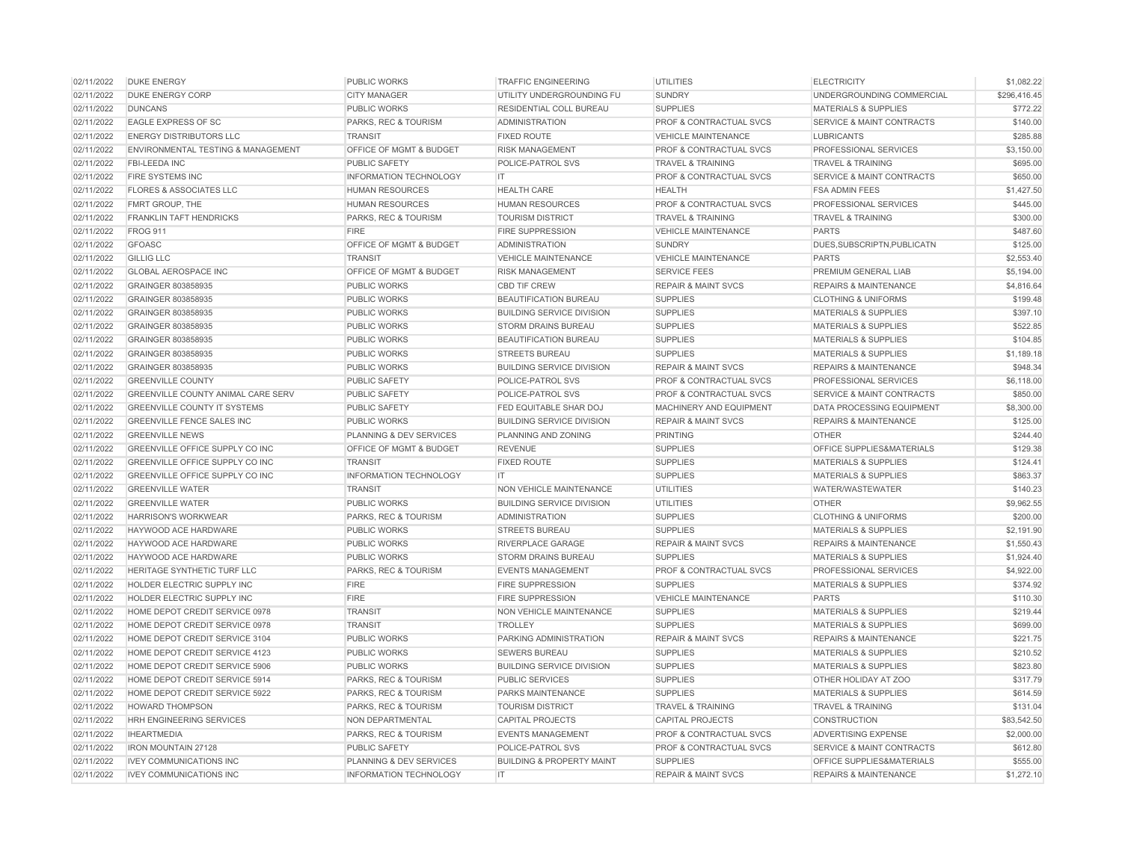| 02/11/2022 | <b>DUKE ENERGY</b>                                               | <b>PUBLIC WORKS</b>                | TRAFFIC ENGINEERING                                | <b>UTILITIES</b>                   | <b>ELECTRICITY</b>                                                  | \$1,082.22   |
|------------|------------------------------------------------------------------|------------------------------------|----------------------------------------------------|------------------------------------|---------------------------------------------------------------------|--------------|
| 02/11/2022 | <b>DUKE ENERGY CORP</b>                                          | <b>CITY MANAGER</b>                | UTILITY UNDERGROUNDING FU                          | <b>SUNDRY</b>                      | UNDERGROUNDING COMMERCIAL                                           | \$296,416.45 |
| 02/11/2022 | <b>DUNCANS</b>                                                   | <b>PUBLIC WORKS</b>                | RESIDENTIAL COLL BUREAU                            | <b>SUPPLIES</b>                    | <b>MATERIALS &amp; SUPPLIES</b>                                     | \$772.22     |
| 02/11/2022 | EAGLE EXPRESS OF SC                                              | PARKS, REC & TOURISM               | <b>ADMINISTRATION</b>                              | PROF & CONTRACTUAL SVCS            | <b>SERVICE &amp; MAINT CONTRACTS</b>                                | \$140.00     |
| 02/11/2022 | <b>ENERGY DISTRIBUTORS LLC</b>                                   | <b>TRANSIT</b>                     | <b>FIXED ROUTE</b>                                 | <b>VEHICLE MAINTENANCE</b>         | <b>LUBRICANTS</b>                                                   | \$285.88     |
| 02/11/2022 | ENVIRONMENTAL TESTING & MANAGEMENT                               | OFFICE OF MGMT & BUDGET            | <b>RISK MANAGEMENT</b>                             | PROF & CONTRACTUAL SVCS            | <b>PROFESSIONAL SERVICES</b>                                        | \$3,150.00   |
| 02/11/2022 | FBI-LEEDA INC                                                    | <b>PUBLIC SAFETY</b>               | POLICE-PATROL SVS                                  | <b>TRAVEL &amp; TRAINING</b>       | <b>TRAVEL &amp; TRAINING</b>                                        | \$695.00     |
| 02/11/2022 | FIRE SYSTEMS INC                                                 | <b>INFORMATION TECHNOLOGY</b>      | IT.                                                | PROF & CONTRACTUAL SVCS            | <b>SERVICE &amp; MAINT CONTRACTS</b>                                | \$650.00     |
| 02/11/2022 | <b>FLORES &amp; ASSOCIATES LLC</b>                               | <b>HUMAN RESOURCES</b>             | <b>HEALTH CARE</b>                                 | <b>HEALTH</b>                      | <b>FSA ADMIN FEES</b>                                               | \$1,427.50   |
| 02/11/2022 | FMRT GROUP, THE                                                  | <b>HUMAN RESOURCES</b>             | <b>HUMAN RESOURCES</b>                             | <b>PROF &amp; CONTRACTUAL SVCS</b> | PROFESSIONAL SERVICES                                               | \$445.00     |
| 02/11/2022 | <b>FRANKLIN TAFT HENDRICKS</b>                                   | PARKS, REC & TOURISM               | <b>TOURISM DISTRICT</b>                            | <b>TRAVEL &amp; TRAINING</b>       | <b>TRAVEL &amp; TRAINING</b>                                        | \$300.00     |
| 02/11/2022 | <b>FROG 911</b>                                                  | <b>FIRE</b>                        | FIRE SUPPRESSION                                   | <b>VEHICLE MAINTENANCE</b>         | <b>PARTS</b>                                                        | \$487.60     |
| 02/11/2022 | <b>GFOASC</b>                                                    | OFFICE OF MGMT & BUDGET            | <b>ADMINISTRATION</b>                              | <b>SUNDRY</b>                      | DUES.SUBSCRIPTN.PUBLICATN                                           | \$125.00     |
| 02/11/2022 | <b>GILLIG LLC</b>                                                | <b>TRANSIT</b>                     | <b>VEHICLE MAINTENANCE</b>                         | <b>VEHICLE MAINTENANCE</b>         | <b>PARTS</b>                                                        | \$2,553.40   |
| 02/11/2022 | <b>GLOBAL AEROSPACE INC</b>                                      | OFFICE OF MGMT & BUDGET            | <b>RISK MANAGEMENT</b>                             | <b>SERVICE FEES</b>                | PREMIUM GENERAL LIAB                                                | \$5,194.00   |
| 02/11/2022 | GRAINGER 803858935                                               | <b>PUBLIC WORKS</b>                | <b>CBD TIF CREW</b>                                | <b>REPAIR &amp; MAINT SVCS</b>     | <b>REPAIRS &amp; MAINTENANCE</b>                                    | \$4,816.64   |
| 02/11/2022 | GRAINGER 803858935                                               | <b>PUBLIC WORKS</b>                | BEAUTIFICATION BUREAU                              | <b>SUPPLIES</b>                    | <b>CLOTHING &amp; UNIFORMS</b>                                      | \$199.48     |
| 02/11/2022 | GRAINGER 803858935                                               | <b>PUBLIC WORKS</b>                | <b>BUILDING SERVICE DIVISION</b>                   | <b>SUPPLIES</b>                    | <b>MATERIALS &amp; SUPPLIES</b>                                     | \$397.10     |
| 02/11/2022 | GRAINGER 803858935                                               | <b>PUBLIC WORKS</b>                | <b>STORM DRAINS BUREAU</b>                         | <b>SUPPLIES</b>                    | <b>MATERIALS &amp; SUPPLIES</b>                                     | \$522.85     |
| 02/11/2022 | GRAINGER 803858935                                               | <b>PUBLIC WORKS</b>                | <b>BEAUTIFICATION BUREAU</b>                       | <b>SUPPLIES</b>                    | <b>MATERIALS &amp; SUPPLIES</b>                                     | \$104.85     |
| 02/11/2022 | GRAINGER 803858935                                               | <b>PUBLIC WORKS</b>                | <b>STREETS BUREAU</b>                              | <b>SUPPLIES</b>                    | <b>MATERIALS &amp; SUPPLIES</b>                                     | \$1,189.18   |
| 02/11/2022 | <b>GRAINGER 803858935</b>                                        | <b>PUBLIC WORKS</b>                | <b>BUILDING SERVICE DIVISION</b>                   | <b>REPAIR &amp; MAINT SVCS</b>     | <b>REPAIRS &amp; MAINTENANCE</b>                                    | \$948.34     |
| 02/11/2022 | <b>GREENVILLE COUNTY</b>                                         | <b>PUBLIC SAFETY</b>               | POLICE-PATROL SVS                                  | <b>PROF &amp; CONTRACTUAL SVCS</b> | <b>PROFESSIONAL SERVICES</b>                                        | \$6,118.00   |
| 02/11/2022 | <b>GREENVILLE COUNTY ANIMAL CARE SERV</b>                        | <b>PUBLIC SAFETY</b>               | POLICE-PATROL SVS                                  | <b>PROF &amp; CONTRACTUAL SVCS</b> | <b>SERVICE &amp; MAINT CONTRACTS</b>                                | \$850.00     |
| 02/11/2022 | <b>GREENVILLE COUNTY IT SYSTEMS</b>                              | <b>PUBLIC SAFETY</b>               | FED EQUITABLE SHAR DOJ                             | <b>MACHINERY AND EQUIPMENT</b>     | DATA PROCESSING EQUIPMENT                                           | \$8,300.00   |
| 02/11/2022 | <b>GREENVILLE FENCE SALES INC</b>                                | <b>PUBLIC WORKS</b>                | <b>BUILDING SERVICE DIVISION</b>                   | <b>REPAIR &amp; MAINT SVCS</b>     | <b>REPAIRS &amp; MAINTENANCE</b>                                    | \$125.00     |
| 02/11/2022 | <b>GREENVILLE NEWS</b>                                           | <b>PLANNING &amp; DEV SERVICES</b> | PLANNING AND ZONING                                | <b>PRINTING</b>                    | <b>OTHER</b>                                                        | \$244.40     |
| 02/11/2022 | <b>GREENVILLE OFFICE SUPPLY CO INC</b>                           | <b>OFFICE OF MGMT &amp; BUDGET</b> | <b>REVENUE</b>                                     | <b>SUPPLIES</b>                    | <b>OFFICE SUPPLIES&amp;MATERIALS</b>                                | \$129.38     |
| 02/11/2022 | GREENVILLE OFFICE SUPPLY CO INC                                  | <b>TRANSIT</b>                     | <b>FIXED ROUTE</b>                                 | <b>SUPPLIES</b>                    | <b>MATERIALS &amp; SUPPLIES</b>                                     | \$124.41     |
| 02/11/2022 | <b>GREENVILLE OFFICE SUPPLY CO INC</b>                           | <b>INFORMATION TECHNOLOGY</b>      | IT.                                                | <b>SUPPLIES</b>                    | <b>MATERIALS &amp; SUPPLIES</b>                                     | \$863.37     |
| 02/11/2022 | <b>GREENVILLE WATER</b>                                          | <b>TRANSIT</b>                     | NON VEHICLE MAINTENANCE                            | UTILITIES                          | <b>WATER/WASTEWATER</b>                                             | \$140.23     |
| 02/11/2022 | <b>GREENVILLE WATER</b>                                          | <b>PUBLIC WORKS</b>                | <b>BUILDING SERVICE DIVISION</b>                   | <b>UTILITIES</b>                   | <b>OTHER</b>                                                        | \$9,962.55   |
| 02/11/2022 | <b>HARRISON'S WORKWEAR</b>                                       | PARKS, REC & TOURISM               | <b>ADMINISTRATION</b>                              | <b>SUPPLIES</b>                    | <b>CLOTHING &amp; UNIFORMS</b>                                      | \$200.00     |
| 02/11/2022 | HAYWOOD ACE HARDWARE                                             | <b>PUBLIC WORKS</b>                | <b>STREETS BUREAU</b>                              | <b>SUPPLIES</b>                    | <b>MATERIALS &amp; SUPPLIES</b>                                     | \$2,191.90   |
| 02/11/2022 | HAYWOOD ACE HARDWARE                                             | <b>PUBLIC WORKS</b>                | RIVERPLACE GARAGE                                  | <b>REPAIR &amp; MAINT SVCS</b>     | <b>REPAIRS &amp; MAINTENANCE</b>                                    | \$1,550.43   |
| 02/11/2022 | HAYWOOD ACE HARDWARE                                             | <b>PUBLIC WORKS</b>                | <b>STORM DRAINS BUREAU</b>                         | <b>SUPPLIES</b>                    | <b>MATERIALS &amp; SUPPLIES</b>                                     | \$1,924.40   |
| 02/11/2022 | HERITAGE SYNTHETIC TURF LLC                                      | PARKS, REC & TOURISM               | <b>EVENTS MANAGEMENT</b>                           | PROF & CONTRACTUAL SVCS            | PROFESSIONAL SERVICES                                               | \$4,922.00   |
| 02/11/2022 | HOLDER ELECTRIC SUPPLY INC                                       | <b>FIRE</b>                        |                                                    | <b>SUPPLIES</b>                    | <b>MATERIALS &amp; SUPPLIES</b>                                     | \$374.92     |
| 02/11/2022 | HOLDER ELECTRIC SUPPLY INC                                       | <b>FIRE</b>                        | <b>FIRE SUPPRESSION</b><br><b>FIRE SUPPRESSION</b> | <b>VEHICLE MAINTENANCE</b>         | <b>PARTS</b>                                                        | \$110.30     |
| 02/11/2022 | HOME DEPOT CREDIT SERVICE 0978                                   | <b>TRANSIT</b>                     | NON VEHICLE MAINTENANCE                            | <b>SUPPLIES</b>                    | <b>MATERIALS &amp; SUPPLIES</b>                                     | \$219.44     |
|            |                                                                  |                                    |                                                    |                                    |                                                                     |              |
| 02/11/2022 | HOME DEPOT CREDIT SERVICE 0978<br>HOME DEPOT CREDIT SERVICE 3104 | <b>TRANSIT</b>                     | <b>TROLLEY</b>                                     | <b>SUPPLIES</b>                    | <b>MATERIALS &amp; SUPPLIES</b><br><b>REPAIRS &amp; MAINTENANCE</b> | \$699.00     |
| 02/11/2022 |                                                                  | PUBLIC WORKS                       | PARKING ADMINISTRATION                             | <b>REPAIR &amp; MAINT SVCS</b>     |                                                                     | \$221.75     |
| 02/11/2022 | HOME DEPOT CREDIT SERVICE 4123                                   | PUBLIC WORKS                       | <b>SEWERS BUREAU</b>                               | <b>SUPPLIES</b>                    | <b>MATERIALS &amp; SUPPLIES</b>                                     | \$210.52     |
| 02/11/2022 | HOME DEPOT CREDIT SERVICE 5906                                   | PUBLIC WORKS                       | <b>BUILDING SERVICE DIVISION</b>                   | <b>SUPPLIES</b>                    | <b>MATERIALS &amp; SUPPLIES</b>                                     | \$823.80     |
| 02/11/2022 | HOME DEPOT CREDIT SERVICE 5914                                   | PARKS, REC & TOURISM               | <b>PUBLIC SERVICES</b>                             | <b>SUPPLIES</b>                    | OTHER HOLIDAY AT ZOO                                                | \$317.79     |
| 02/11/2022 | HOME DEPOT CREDIT SERVICE 5922                                   | PARKS, REC & TOURISM               | <b>PARKS MAINTENANCE</b>                           | <b>SUPPLIES</b>                    | <b>MATERIALS &amp; SUPPLIES</b>                                     | \$614.59     |
| 02/11/2022 | <b>HOWARD THOMPSON</b>                                           | PARKS, REC & TOURISM               | <b>TOURISM DISTRICT</b>                            | TRAVEL & TRAINING                  | <b>TRAVEL &amp; TRAINING</b>                                        | \$131.04     |
| 02/11/2022 | HRH ENGINEERING SERVICES                                         | NON DEPARTMENTAL                   | <b>CAPITAL PROJECTS</b>                            | <b>CAPITAL PROJECTS</b>            | <b>CONSTRUCTION</b>                                                 | \$83,542.50  |
| 02/11/2022 | <b>IHEARTMEDIA</b>                                               | PARKS, REC & TOURISM               | <b>EVENTS MANAGEMENT</b>                           | PROF & CONTRACTUAL SVCS            | ADVERTISING EXPENSE                                                 | \$2,000.00   |
| 02/11/2022 | <b>IRON MOUNTAIN 27128</b>                                       | <b>PUBLIC SAFETY</b>               | POLICE-PATROL SVS                                  | PROF & CONTRACTUAL SVCS            | <b>SERVICE &amp; MAINT CONTRACTS</b>                                | \$612.80     |
| 02/11/2022 | <b>IVEY COMMUNICATIONS INC</b>                                   | PLANNING & DEV SERVICES            | <b>BUILDING &amp; PROPERTY MAINT</b>               | <b>SUPPLIES</b>                    | OFFICE SUPPLIES&MATERIALS                                           | \$555.00     |
| 02/11/2022 | <b>IVEY COMMUNICATIONS INC</b>                                   | <b>INFORMATION TECHNOLOGY</b>      | <b>IT</b>                                          | <b>REPAIR &amp; MAINT SVCS</b>     | <b>REPAIRS &amp; MAINTENANCE</b>                                    | \$1,272.10   |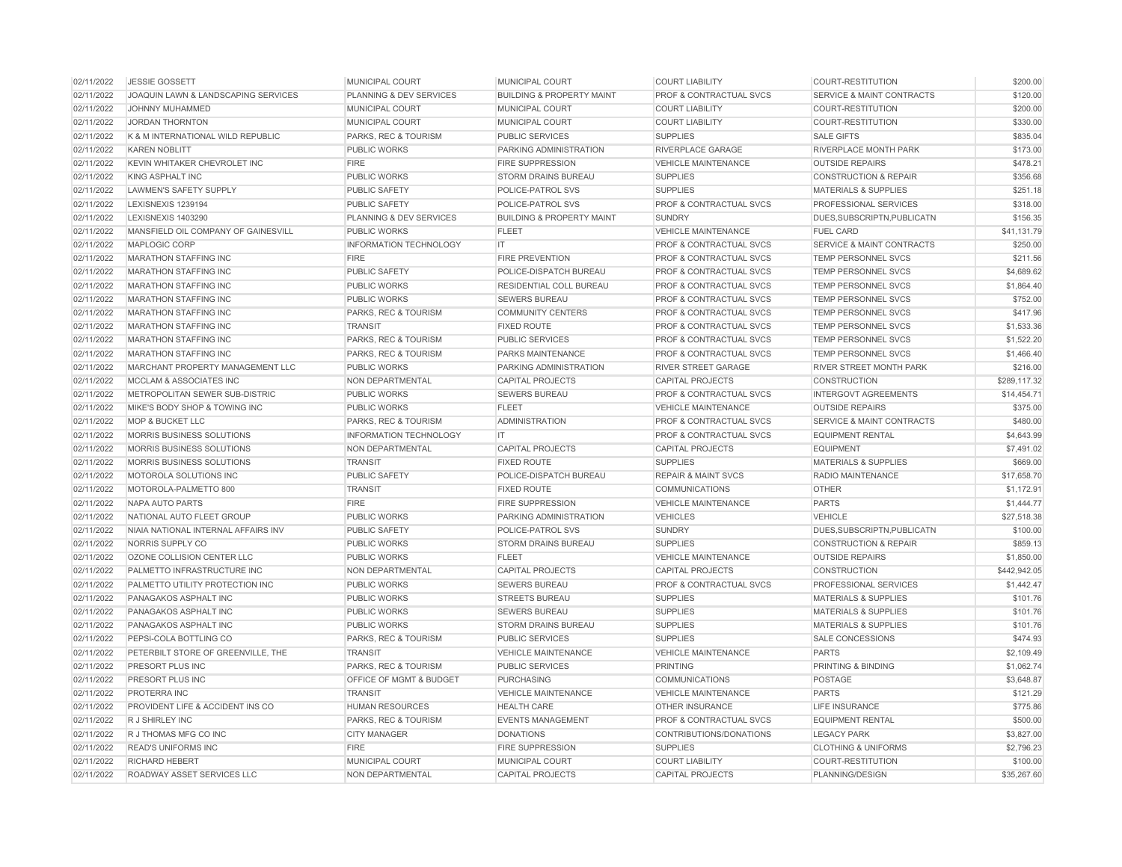| 02/11/2022 | <b>JESSIE GOSSETT</b>               | <b>MUNICIPAL COURT</b>          | MUNICIPAL COURT                      | <b>COURT LIABILITY</b>             | <b>COURT-RESTITUTION</b>             | \$200.00     |
|------------|-------------------------------------|---------------------------------|--------------------------------------|------------------------------------|--------------------------------------|--------------|
| 02/11/2022 | JOAQUIN LAWN & LANDSCAPING SERVICES | PLANNING & DEV SERVICES         | <b>BUILDING &amp; PROPERTY MAINT</b> | <b>PROF &amp; CONTRACTUAL SVCS</b> | <b>SERVICE &amp; MAINT CONTRACTS</b> | \$120.00     |
| 02/11/2022 | JOHNNY MUHAMMED                     | MUNICIPAL COURT                 | MUNICIPAL COURT                      | <b>COURT LIABILITY</b>             | <b>COURT-RESTITUTION</b>             | \$200.00     |
| 02/11/2022 | <b>JORDAN THORNTON</b>              | MUNICIPAL COURT                 | MUNICIPAL COURT                      | <b>COURT LIABILITY</b>             | <b>COURT-RESTITUTION</b>             | \$330.00     |
| 02/11/2022 | K & M INTERNATIONAL WILD REPUBLIC   | <b>PARKS, REC &amp; TOURISM</b> | <b>PUBLIC SERVICES</b>               | <b>SUPPLIES</b>                    | <b>SALE GIFTS</b>                    | \$835.04     |
| 02/11/2022 | <b>KAREN NOBLITT</b>                | <b>PUBLIC WORKS</b>             | PARKING ADMINISTRATION               | <b>RIVERPLACE GARAGE</b>           | <b>RIVERPLACE MONTH PARK</b>         | \$173.00     |
| 02/11/2022 | KEVIN WHITAKER CHEVROLET INC        | <b>FIRE</b>                     | <b>FIRE SUPPRESSION</b>              | <b>VEHICLE MAINTENANCE</b>         | <b>OUTSIDE REPAIRS</b>               | \$478.21     |
| 02/11/2022 | <b>KING ASPHALT INC</b>             | <b>PUBLIC WORKS</b>             | <b>STORM DRAINS BUREAU</b>           | <b>SUPPLIES</b>                    | <b>CONSTRUCTION &amp; REPAIR</b>     | \$356.68     |
| 02/11/2022 | <b>LAWMEN'S SAFETY SUPPLY</b>       | <b>PUBLIC SAFETY</b>            | POLICE-PATROL SVS                    | <b>SUPPLIES</b>                    | <b>MATERIALS &amp; SUPPLIES</b>      | \$251.18     |
| 02/11/2022 | LEXISNEXIS 1239194                  | <b>PUBLIC SAFETY</b>            | POLICE-PATROL SVS                    | <b>PROF &amp; CONTRACTUAL SVCS</b> | <b>PROFESSIONAL SERVICES</b>         | \$318.00     |
| 02/11/2022 | LEXISNEXIS 1403290                  | PLANNING & DEV SERVICES         | <b>BUILDING &amp; PROPERTY MAINT</b> | <b>SUNDRY</b>                      | DUES, SUBSCRIPTN, PUBLICATN          | \$156.35     |
| 02/11/2022 | MANSFIELD OIL COMPANY OF GAINESVILL | <b>PUBLIC WORKS</b>             | <b>FLEET</b>                         | <b>VEHICLE MAINTENANCE</b>         | <b>FUEL CARD</b>                     | \$41,131.79  |
| 02/11/2022 | MAPLOGIC CORP                       | INFORMATION TECHNOLOGY          | $ \mathsf{T} $                       | PROF & CONTRACTUAL SVCS            | <b>SERVICE &amp; MAINT CONTRACTS</b> | \$250.00     |
| 02/11/2022 | <b>MARATHON STAFFING INC</b>        | <b>FIRE</b>                     | <b>FIRE PREVENTION</b>               | <b>PROF &amp; CONTRACTUAL SVCS</b> | <b>TEMP PERSONNEL SVCS</b>           | \$211.56     |
| 02/11/2022 | <b>MARATHON STAFFING INC</b>        | <b>PUBLIC SAFETY</b>            | POLICE-DISPATCH BUREAU               | PROF & CONTRACTUAL SVCS            | <b>TEMP PERSONNEL SVCS</b>           | \$4,689.62   |
| 02/11/2022 | <b>MARATHON STAFFING INC</b>        | <b>PUBLIC WORKS</b>             | RESIDENTIAL COLL BUREAU              | <b>PROF &amp; CONTRACTUAL SVCS</b> | <b>TEMP PERSONNEL SVCS</b>           | \$1,864.40   |
| 02/11/2022 | <b>MARATHON STAFFING INC</b>        | <b>PUBLIC WORKS</b>             | <b>SEWERS BUREAU</b>                 | <b>PROF &amp; CONTRACTUAL SVCS</b> | <b>TEMP PERSONNEL SVCS</b>           | \$752.00     |
| 02/11/2022 | <b>MARATHON STAFFING INC</b>        | PARKS, REC & TOURISM            | <b>COMMUNITY CENTERS</b>             | <b>PROF &amp; CONTRACTUAL SVCS</b> | <b>TEMP PERSONNEL SVCS</b>           | \$417.96     |
| 02/11/2022 | <b>MARATHON STAFFING INC</b>        | <b>TRANSIT</b>                  | <b>FIXED ROUTE</b>                   | <b>PROF &amp; CONTRACTUAL SVCS</b> | <b>TEMP PERSONNEL SVCS</b>           | \$1,533,36   |
| 02/11/2022 | <b>MARATHON STAFFING INC</b>        | PARKS, REC & TOURISM            | <b>PUBLIC SERVICES</b>               | PROF & CONTRACTUAL SVCS            | <b>TEMP PERSONNEL SVCS</b>           | \$1,522.20   |
| 02/11/2022 | <b>MARATHON STAFFING INC</b>        | PARKS, REC & TOURISM            | <b>PARKS MAINTENANCE</b>             | <b>PROF &amp; CONTRACTUAL SVCS</b> | <b>TEMP PERSONNEL SVCS</b>           | \$1,466.40   |
| 02/11/2022 | MARCHANT PROPERTY MANAGEMENT LLC    | <b>PUBLIC WORKS</b>             | PARKING ADMINISTRATION               | <b>RIVER STREET GARAGE</b>         | <b>RIVER STREET MONTH PARK</b>       | \$216.00     |
| 02/11/2022 | <b>MCCLAM &amp; ASSOCIATES INC</b>  | <b>NON DEPARTMENTAL</b>         | <b>CAPITAL PROJECTS</b>              | <b>CAPITAL PROJECTS</b>            | <b>CONSTRUCTION</b>                  | \$289,117,32 |
| 02/11/2022 | METROPOLITAN SEWER SUB-DISTRIC      | <b>PUBLIC WORKS</b>             | <b>SEWERS BUREAU</b>                 | PROF & CONTRACTUAL SVCS            | <b>INTERGOVT AGREEMENTS</b>          | \$14,454.71  |
| 02/11/2022 | MIKE'S BODY SHOP & TOWING INC       | <b>PUBLIC WORKS</b>             | <b>FLEET</b>                         | <b>VEHICLE MAINTENANCE</b>         | <b>OUTSIDE REPAIRS</b>               | \$375.00     |
| 02/11/2022 | <b>MOP &amp; BUCKET LLC</b>         | PARKS, REC & TOURISM            | <b>ADMINISTRATION</b>                | PROF & CONTRACTUAL SVCS            | <b>SERVICE &amp; MAINT CONTRACTS</b> | \$480.00     |
| 02/11/2022 | <b>MORRIS BUSINESS SOLUTIONS</b>    | <b>INFORMATION TECHNOLOGY</b>   | IT                                   | <b>PROF &amp; CONTRACTUAL SVCS</b> | <b>EQUIPMENT RENTAL</b>              | \$4,643.99   |
| 02/11/2022 | MORRIS BUSINESS SOLUTIONS           | NON DEPARTMENTAL                | <b>CAPITAL PROJECTS</b>              | <b>CAPITAL PROJECTS</b>            | <b>EQUIPMENT</b>                     | \$7,491.02   |
| 02/11/2022 | MORRIS BUSINESS SOLUTIONS           | <b>TRANSIT</b>                  | <b>FIXED ROUTE</b>                   | <b>SUPPLIES</b>                    | <b>MATERIALS &amp; SUPPLIES</b>      | \$669.00     |
| 02/11/2022 | MOTOROLA SOLUTIONS INC              | PUBLIC SAFETY                   | POLICE-DISPATCH BUREAU               | <b>REPAIR &amp; MAINT SVCS</b>     | RADIO MAINTENANCE                    | \$17,658.70  |
| 02/11/2022 | MOTOROLA-PALMETTO 800               | <b>TRANSIT</b>                  | <b>FIXED ROUTE</b>                   | <b>COMMUNICATIONS</b>              | <b>OTHER</b>                         | \$1,172.91   |
| 02/11/2022 | <b>NAPA AUTO PARTS</b>              | <b>FIRE</b>                     | <b>FIRE SUPPRESSION</b>              | <b>VEHICLE MAINTENANCE</b>         | <b>PARTS</b>                         | \$1,444.77   |
| 02/11/2022 | NATIONAL AUTO FLEET GROUP           | <b>PUBLIC WORKS</b>             | PARKING ADMINISTRATION               | <b>VEHICLES</b>                    | <b>VEHICLE</b>                       | \$27,518.38  |
| 02/11/2022 | NIAIA NATIONAL INTERNAL AFFAIRS INV | <b>PUBLIC SAFETY</b>            | POLICE-PATROL SVS                    | <b>SUNDRY</b>                      | DUES, SUBSCRIPTN, PUBLICATN          | \$100.00     |
| 02/11/2022 | NORRIS SUPPLY CO                    | <b>PUBLIC WORKS</b>             | <b>STORM DRAINS BUREAU</b>           | <b>SUPPLIES</b>                    | <b>CONSTRUCTION &amp; REPAIR</b>     | \$859.13     |
| 02/11/2022 | OZONE COLLISION CENTER LLC          | <b>PUBLIC WORKS</b>             | <b>FLEET</b>                         | <b>VEHICLE MAINTENANCE</b>         | <b>OUTSIDE REPAIRS</b>               | \$1,850.00   |
| 02/11/2022 | PALMETTO INFRASTRUCTURE INC         | NON DEPARTMENTAL                | <b>CAPITAL PROJECTS</b>              | <b>CAPITAL PROJECTS</b>            | <b>CONSTRUCTION</b>                  | \$442,942.05 |
| 02/11/2022 | PALMETTO UTILITY PROTECTION INC     | <b>PUBLIC WORKS</b>             | <b>SEWERS BUREAU</b>                 | <b>PROF &amp; CONTRACTUAL SVCS</b> | <b>PROFESSIONAL SERVICES</b>         | \$1,442.47   |
| 02/11/2022 | PANAGAKOS ASPHALT INC               | <b>PUBLIC WORKS</b>             | <b>STREETS BUREAU</b>                | <b>SUPPLIES</b>                    | <b>MATERIALS &amp; SUPPLIES</b>      | \$101.76     |
| 02/11/2022 | PANAGAKOS ASPHALT INC               | <b>PUBLIC WORKS</b>             | <b>SEWERS BUREAU</b>                 | <b>SUPPLIES</b>                    | <b>MATERIALS &amp; SUPPLIES</b>      | \$101.76     |
| 02/11/2022 | PANAGAKOS ASPHALT INC               | <b>PUBLIC WORKS</b>             | <b>STORM DRAINS BUREAU</b>           | <b>SUPPLIES</b>                    | <b>MATERIALS &amp; SUPPLIES</b>      | \$101.76     |
| 02/11/2022 | PEPSI-COLA BOTTLING CO              | PARKS, REC & TOURISM            | <b>PUBLIC SERVICES</b>               | <b>SUPPLIES</b>                    | <b>SALE CONCESSIONS</b>              | \$474.93     |
| 02/11/2022 | PETERBILT STORE OF GREENVILLE, THE  | <b>TRANSIT</b>                  | <b>VEHICLE MAINTENANCE</b>           | <b>VEHICLE MAINTENANCE</b>         | <b>PARTS</b>                         | \$2,109.49   |
| 02/11/2022 | PRESORT PLUS INC                    | PARKS, REC & TOURISM            | PUBLIC SERVICES                      | <b>PRINTING</b>                    | <b>PRINTING &amp; BINDING</b>        | \$1,062.74   |
| 02/11/2022 | PRESORT PLUS INC                    | OFFICE OF MGMT & BUDGET         | <b>PURCHASING</b>                    | <b>COMMUNICATIONS</b>              | POSTAGE                              | \$3,648.87   |
| 02/11/2022 | PROTERRA INC                        | <b>TRANSIT</b>                  | <b>VEHICLE MAINTENANCE</b>           | <b>VEHICLE MAINTENANCE</b>         | <b>PARTS</b>                         | \$121.29     |
| 02/11/2022 | PROVIDENT LIFE & ACCIDENT INS CO    | <b>HUMAN RESOURCES</b>          | <b>HEALTH CARE</b>                   | <b>OTHER INSURANCE</b>             | <b>LIFE INSURANCE</b>                | \$775.86     |
| 02/11/2022 | R J SHIRLEY INC                     | PARKS, REC & TOURISM            | <b>EVENTS MANAGEMENT</b>             | <b>PROF &amp; CONTRACTUAL SVCS</b> | <b>EQUIPMENT RENTAL</b>              | \$500.00     |
| 02/11/2022 | R J THOMAS MFG CO INC               | <b>CITY MANAGER</b>             | <b>DONATIONS</b>                     | CONTRIBUTIONS/DONATIONS            | <b>LEGACY PARK</b>                   | \$3,827.00   |
| 02/11/2022 | <b>READ'S UNIFORMS INC</b>          | <b>FIRE</b>                     | <b>FIRE SUPPRESSION</b>              | <b>SUPPLIES</b>                    | <b>CLOTHING &amp; UNIFORMS</b>       | \$2,796.23   |
| 02/11/2022 | <b>RICHARD HEBERT</b>               | MUNICIPAL COURT                 | MUNICIPAL COURT                      | <b>COURT LIABILITY</b>             | <b>COURT-RESTITUTION</b>             | \$100.00     |
| 02/11/2022 | ROADWAY ASSET SERVICES LLC          | NON DEPARTMENTAL                | <b>CAPITAL PROJECTS</b>              | <b>CAPITAL PROJECTS</b>            | PLANNING/DESIGN                      | \$35,267.60  |
|            |                                     |                                 |                                      |                                    |                                      |              |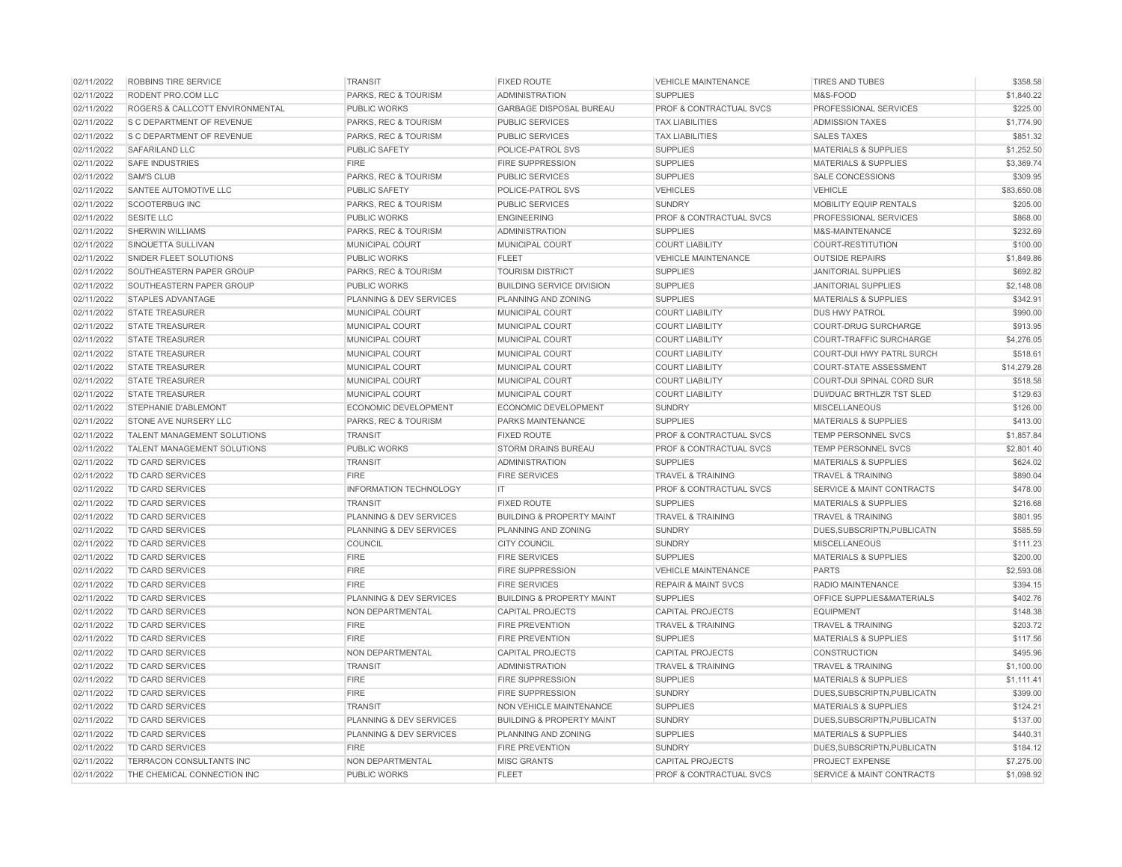| 02/11/2022 | ROBBINS TIRE SERVICE            | <b>TRANSIT</b>                     | <b>FIXED ROUTE</b>                   | <b>VEHICLE MAINTENANCE</b>         | <b>TIRES AND TUBES</b>               | \$358.58    |
|------------|---------------------------------|------------------------------------|--------------------------------------|------------------------------------|--------------------------------------|-------------|
| 02/11/2022 | RODENT PRO.COM LLC              | PARKS, REC & TOURISM               | <b>ADMINISTRATION</b>                | <b>SUPPLIES</b>                    | M&S-FOOD                             | \$1,840.22  |
| 02/11/2022 | ROGERS & CALLCOTT ENVIRONMENTAL | <b>PUBLIC WORKS</b>                | <b>GARBAGE DISPOSAL BUREAU</b>       | <b>PROF &amp; CONTRACTUAL SVCS</b> | PROFESSIONAL SERVICES                | \$225.00    |
| 02/11/2022 | S C DEPARTMENT OF REVENUE       | PARKS, REC & TOURISM               | PUBLIC SERVICES                      | <b>TAX LIABILITIES</b>             | <b>ADMISSION TAXES</b>               | \$1,774.90  |
| 02/11/2022 | S C DEPARTMENT OF REVENUE       | PARKS, REC & TOURISM               | <b>PUBLIC SERVICES</b>               | <b>TAX LIABILITIES</b>             | <b>SALES TAXES</b>                   | \$851.32    |
| 02/11/2022 | SAFARILAND LLC                  | <b>PUBLIC SAFETY</b>               | POLICE-PATROL SVS                    | <b>SUPPLIES</b>                    | <b>MATERIALS &amp; SUPPLIES</b>      | \$1,252.50  |
| 02/11/2022 | <b>SAFE INDUSTRIES</b>          | <b>FIRE</b>                        | <b>FIRE SUPPRESSION</b>              | <b>SUPPLIES</b>                    | <b>MATERIALS &amp; SUPPLIES</b>      | \$3,369.74  |
| 02/11/2022 | <b>SAM'S CLUB</b>               | PARKS, REC & TOURISM               | <b>PUBLIC SERVICES</b>               | <b>SUPPLIES</b>                    | SALE CONCESSIONS                     | \$309.95    |
| 02/11/2022 | SANTEE AUTOMOTIVE LLC           | <b>PUBLIC SAFETY</b>               | POLICE-PATROL SVS                    | <b>VEHICLES</b>                    | <b>VEHICLE</b>                       | \$83,650.08 |
| 02/11/2022 | <b>SCOOTERBUG INC</b>           | PARKS, REC & TOURISM               | <b>PUBLIC SERVICES</b>               | <b>SUNDRY</b>                      | MOBILITY EQUIP RENTALS               | \$205.00    |
| 02/11/2022 | <b>SESITE LLC</b>               | <b>PUBLIC WORKS</b>                | <b>ENGINEERING</b>                   | <b>PROF &amp; CONTRACTUAL SVCS</b> | PROFESSIONAL SERVICES                | \$868.00    |
| 02/11/2022 | <b>SHERWIN WILLIAMS</b>         | PARKS, REC & TOURISM               | <b>ADMINISTRATION</b>                | <b>SUPPLIES</b>                    | M&S-MAINTENANCE                      | \$232.69    |
| 02/11/2022 | SINQUETTA SULLIVAN              | MUNICIPAL COURT                    | <b>MUNICIPAL COURT</b>               | <b>COURT LIABILITY</b>             | COURT-RESTITUTION                    | \$100.00    |
| 02/11/2022 | SNIDER FLEET SOLUTIONS          | <b>PUBLIC WORKS</b>                | <b>FLEET</b>                         | <b>VEHICLE MAINTENANCE</b>         | <b>OUTSIDE REPAIRS</b>               | \$1,849.86  |
| 02/11/2022 | SOUTHEASTERN PAPER GROUP        | PARKS, REC & TOURISM               | <b>TOURISM DISTRICT</b>              | <b>SUPPLIES</b>                    | <b>JANITORIAL SUPPLIES</b>           | \$692.82    |
| 02/11/2022 | SOUTHEASTERN PAPER GROUP        | <b>PUBLIC WORKS</b>                | <b>BUILDING SERVICE DIVISION</b>     | <b>SUPPLIES</b>                    | <b>JANITORIAL SUPPLIES</b>           | \$2,148.08  |
| 02/11/2022 | <b>STAPLES ADVANTAGE</b>        | PLANNING & DEV SERVICES            | PLANNING AND ZONING                  | <b>SUPPLIES</b>                    | MATERIALS & SUPPLIES                 | \$342.91    |
| 02/11/2022 | <b>STATE TREASURER</b>          | MUNICIPAL COURT                    | MUNICIPAL COURT                      | <b>COURT LIABILITY</b>             | <b>DUS HWY PATROL</b>                | \$990.00    |
| 02/11/2022 | <b>STATE TREASURER</b>          | MUNICIPAL COURT                    | MUNICIPAL COURT                      | <b>COURT LIABILITY</b>             | <b>COURT-DRUG SURCHARGE</b>          | \$913.95    |
| 02/11/2022 | <b>STATE TREASURER</b>          | MUNICIPAL COURT                    | MUNICIPAL COURT                      | <b>COURT LIABILITY</b>             | COURT-TRAFFIC SURCHARGE              | \$4,276.05  |
| 02/11/2022 | <b>STATE TREASURER</b>          | <b>MUNICIPAL COURT</b>             | <b>MUNICIPAL COURT</b>               | <b>COURT LIABILITY</b>             | COURT-DUI HWY PATRL SURCH            | \$518.61    |
| 02/11/2022 | <b>STATE TREASURER</b>          | MUNICIPAL COURT                    | MUNICIPAL COURT                      | <b>COURT LIABILITY</b>             | <b>COURT-STATE ASSESSMENT</b>        | \$14,279.28 |
| 02/11/2022 | <b>STATE TREASURER</b>          | <b>MUNICIPAL COURT</b>             | MUNICIPAL COURT                      | <b>COURT LIABILITY</b>             | COURT-DUI SPINAL CORD SUR            | \$518.58    |
| 02/11/2022 | <b>STATE TREASURER</b>          | MUNICIPAL COURT                    | <b>MUNICIPAL COURT</b>               | <b>COURT LIABILITY</b>             | <b>DUI/DUAC BRTHLZR TST SLED</b>     | \$129.63    |
| 02/11/2022 | <b>STEPHANIE D'ABLEMONT</b>     | <b>ECONOMIC DEVELOPMENT</b>        | <b>ECONOMIC DEVELOPMENT</b>          | <b>SUNDRY</b>                      | <b>MISCELLANEOUS</b>                 | \$126.00    |
| 02/11/2022 | STONE AVE NURSERY LLC           | PARKS, REC & TOURISM               | <b>PARKS MAINTENANCE</b>             | <b>SUPPLIES</b>                    | <b>MATERIALS &amp; SUPPLIES</b>      | \$413.00    |
| 02/11/2022 | TALENT MANAGEMENT SOLUTIONS     | <b>TRANSIT</b>                     | <b>FIXED ROUTE</b>                   | PROF & CONTRACTUAL SVCS            | <b>TEMP PERSONNEL SVCS</b>           | \$1,857.84  |
| 02/11/2022 | TALENT MANAGEMENT SOLUTIONS     | PUBLIC WORKS                       | <b>STORM DRAINS BUREAU</b>           | PROF & CONTRACTUAL SVCS            | <b>TEMP PERSONNEL SVCS</b>           | \$2,801.40  |
| 02/11/2022 | <b>TD CARD SERVICES</b>         | <b>TRANSIT</b>                     | <b>ADMINISTRATION</b>                | <b>SUPPLIES</b>                    | <b>MATERIALS &amp; SUPPLIES</b>      | \$624.02    |
| 02/11/2022 | TD CARD SERVICES                | <b>FIRE</b>                        | <b>FIRE SERVICES</b>                 | <b>TRAVEL &amp; TRAINING</b>       | <b>TRAVEL &amp; TRAINING</b>         | \$890.04    |
| 02/11/2022 | <b>TD CARD SERVICES</b>         | <b>INFORMATION TECHNOLOGY</b>      | IT.                                  | PROF & CONTRACTUAL SVCS            | <b>SERVICE &amp; MAINT CONTRACTS</b> | \$478.00    |
| 02/11/2022 | TD CARD SERVICES                | <b>TRANSIT</b>                     | <b>FIXED ROUTE</b>                   | <b>SUPPLIES</b>                    | <b>MATERIALS &amp; SUPPLIES</b>      | \$216.68    |
| 02/11/2022 | TD CARD SERVICES                | PLANNING & DEV SERVICES            | <b>BUILDING &amp; PROPERTY MAINT</b> | <b>TRAVEL &amp; TRAINING</b>       | <b>TRAVEL &amp; TRAINING</b>         | \$801.95    |
| 02/11/2022 | TD CARD SERVICES                | PLANNING & DEV SERVICES            | PLANNING AND ZONING                  | <b>SUNDRY</b>                      | DUES, SUBSCRIPTN, PUBLICATN          | \$585.59    |
| 02/11/2022 | TD CARD SERVICES                | COUNCIL                            | <b>CITY COUNCIL</b>                  | <b>SUNDRY</b>                      | <b>MISCELLANEOUS</b>                 | \$111.23    |
| 02/11/2022 | TD CARD SERVICES                | <b>FIRE</b>                        | <b>FIRE SERVICES</b>                 | <b>SUPPLIES</b>                    | <b>MATERIALS &amp; SUPPLIES</b>      | \$200.00    |
| 02/11/2022 | TD CARD SERVICES                | <b>FIRE</b>                        | <b>FIRE SUPPRESSION</b>              | <b>VEHICLE MAINTENANCE</b>         | <b>PARTS</b>                         | \$2,593.08  |
| 02/11/2022 | TD CARD SERVICES                | <b>FIRE</b>                        | <b>FIRE SERVICES</b>                 | <b>REPAIR &amp; MAINT SVCS</b>     | <b>RADIO MAINTENANCE</b>             | \$394.15    |
| 02/11/2022 | TD CARD SERVICES                | <b>PLANNING &amp; DEV SERVICES</b> | <b>BUILDING &amp; PROPERTY MAINT</b> | <b>SUPPLIES</b>                    | OFFICE SUPPLIES&MATERIALS            | \$402.76    |
| 02/11/2022 | TD CARD SERVICES                | NON DEPARTMENTAL                   | <b>CAPITAL PROJECTS</b>              | <b>CAPITAL PROJECTS</b>            | <b>EQUIPMENT</b>                     | \$148.38    |
| 02/11/2022 | TD CARD SERVICES                | <b>FIRE</b>                        | <b>FIRE PREVENTION</b>               | <b>TRAVEL &amp; TRAINING</b>       | <b>TRAVEL &amp; TRAINING</b>         | \$203.72    |
| 02/11/2022 | TD CARD SERVICES                | <b>FIRE</b>                        | <b>FIRE PREVENTION</b>               | <b>SUPPLIES</b>                    | <b>MATERIALS &amp; SUPPLIES</b>      | \$117.56    |
| 02/11/2022 | <b>TD CARD SERVICES</b>         | NON DEPARTMENTAL                   | <b>CAPITAL PROJECTS</b>              | <b>CAPITAL PROJECTS</b>            | <b>CONSTRUCTION</b>                  | \$495.96    |
| 02/11/2022 | TD CARD SERVICES                | <b>TRANSIT</b>                     | <b>ADMINISTRATION</b>                | <b>TRAVEL &amp; TRAINING</b>       | <b>TRAVEL &amp; TRAINING</b>         | \$1,100.00  |
| 02/11/2022 | TD CARD SERVICES                | <b>FIRE</b>                        | <b>FIRE SUPPRESSION</b>              | <b>SUPPLIES</b>                    | <b>MATERIALS &amp; SUPPLIES</b>      | \$1,111.41  |
| 02/11/2022 | TD CARD SERVICES                | <b>FIRE</b>                        | FIRE SUPPRESSION                     | <b>SUNDRY</b>                      | DUES, SUBSCRIPTN, PUBLICATN          | \$399.00    |
| 02/11/2022 | <b>TD CARD SERVICES</b>         | <b>TRANSIT</b>                     | NON VEHICLE MAINTENANCE              | <b>SUPPLIES</b>                    | <b>MATERIALS &amp; SUPPLIES</b>      | \$124.21    |
| 02/11/2022 | TD CARD SERVICES                | PLANNING & DEV SERVICES            | <b>BUILDING &amp; PROPERTY MAINT</b> | <b>SUNDRY</b>                      | DUES, SUBSCRIPTN, PUBLICATN          | \$137.00    |
| 02/11/2022 | TD CARD SERVICES                | PLANNING & DEV SERVICES            | PLANNING AND ZONING                  | <b>SUPPLIES</b>                    | <b>MATERIALS &amp; SUPPLIES</b>      | \$440.31    |
| 02/11/2022 | TD CARD SERVICES                | <b>FIRE</b>                        | <b>FIRE PREVENTION</b>               | <b>SUNDRY</b>                      | DUES, SUBSCRIPTN, PUBLICATN          | \$184.12    |
| 02/11/2022 | TERRACON CONSULTANTS INC        | NON DEPARTMENTAL                   | <b>MISC GRANTS</b>                   | <b>CAPITAL PROJECTS</b>            | <b>PROJECT EXPENSE</b>               | \$7,275.00  |
| 02/11/2022 | THE CHEMICAL CONNECTION INC     | <b>PUBLIC WORKS</b>                | <b>FLEET</b>                         | PROF & CONTRACTUAL SVCS            | <b>SERVICE &amp; MAINT CONTRACTS</b> | \$1,098.92  |
|            |                                 |                                    |                                      |                                    |                                      |             |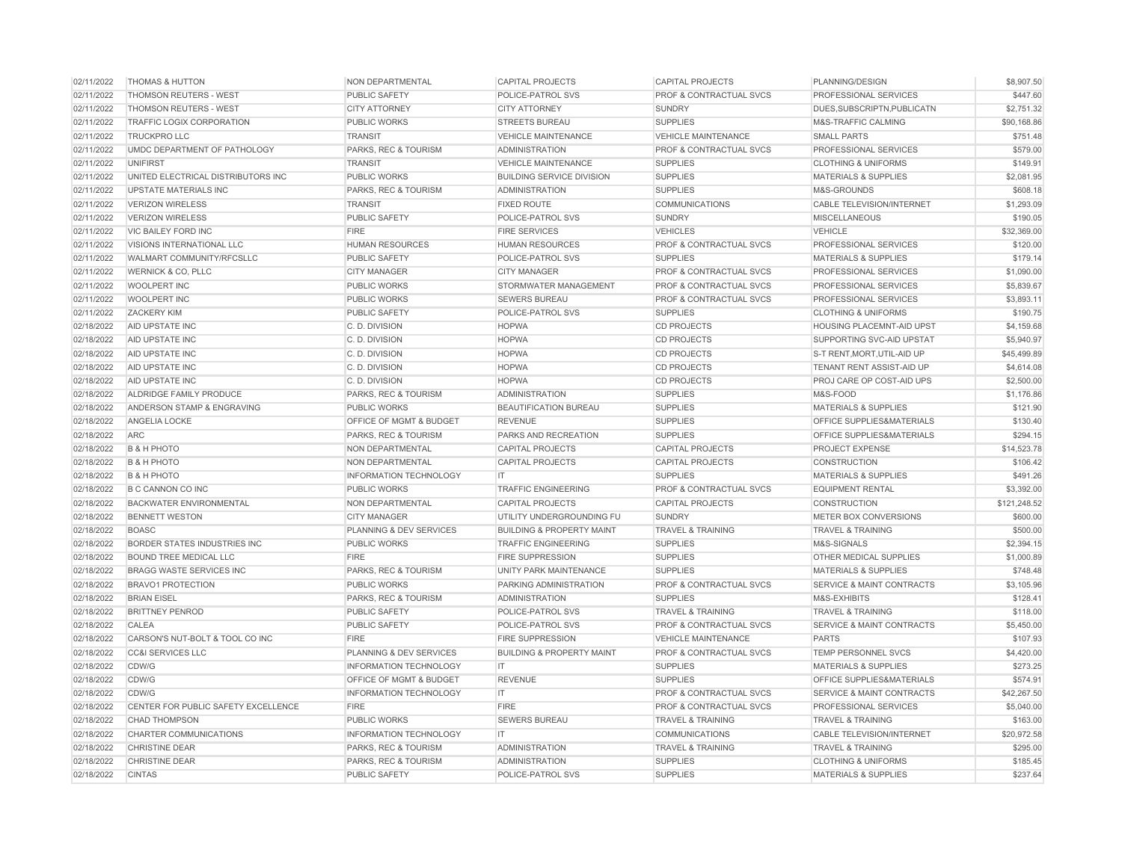| 02/11/2022 | <b>THOMAS &amp; HUTTON</b>          | NON DEPARTMENTAL                   | <b>CAPITAL PROJECTS</b>              | <b>CAPITAL PROJECTS</b>            | PLANNING/DESIGN                      | \$8,907.50   |
|------------|-------------------------------------|------------------------------------|--------------------------------------|------------------------------------|--------------------------------------|--------------|
| 02/11/2022 | THOMSON REUTERS - WEST              | <b>PUBLIC SAFETY</b>               | POLICE-PATROL SVS                    | PROF & CONTRACTUAL SVCS            | PROFESSIONAL SERVICES                | \$447.60     |
| 02/11/2022 | <b>THOMSON REUTERS - WEST</b>       | <b>CITY ATTORNEY</b>               | <b>CITY ATTORNEY</b>                 | <b>SUNDRY</b>                      | DUES.SUBSCRIPTN.PUBLICATN            | \$2,751.32   |
| 02/11/2022 | TRAFFIC LOGIX CORPORATION           | <b>PUBLIC WORKS</b>                | <b>STREETS BUREAU</b>                | <b>SUPPLIES</b>                    | M&S-TRAFFIC CALMING                  | \$90,168.86  |
| 02/11/2022 | <b>TRUCKPRO LLC</b>                 | <b>TRANSIT</b>                     | <b>VEHICLE MAINTENANCE</b>           | <b>VEHICLE MAINTENANCE</b>         | <b>SMALL PARTS</b>                   | \$751.48     |
| 02/11/2022 | UMDC DEPARTMENT OF PATHOLOGY        | PARKS, REC & TOURISM               | <b>ADMINISTRATION</b>                | PROF & CONTRACTUAL SVCS            | PROFESSIONAL SERVICES                | \$579.00     |
| 02/11/2022 | <b>UNIFIRST</b>                     | <b>TRANSIT</b>                     | <b>VEHICLE MAINTENANCE</b>           | <b>SUPPLIES</b>                    | <b>CLOTHING &amp; UNIFORMS</b>       | \$149.91     |
| 02/11/2022 | UNITED ELECTRICAL DISTRIBUTORS INC  | <b>PUBLIC WORKS</b>                | <b>BUILDING SERVICE DIVISION</b>     | <b>SUPPLIES</b>                    | <b>MATERIALS &amp; SUPPLIES</b>      | \$2,081.95   |
| 02/11/2022 | <b>UPSTATE MATERIALS INC</b>        | PARKS, REC & TOURISM               | <b>ADMINISTRATION</b>                | <b>SUPPLIES</b>                    | M&S-GROUNDS                          | \$608.18     |
| 02/11/2022 | <b>VERIZON WIRELESS</b>             | <b>TRANSIT</b>                     | <b>FIXED ROUTE</b>                   | <b>COMMUNICATIONS</b>              | CABLE TELEVISION/INTERNET            | \$1,293.09   |
| 02/11/2022 | <b>VERIZON WIRELESS</b>             | <b>PUBLIC SAFETY</b>               | POLICE-PATROL SVS                    | <b>SUNDRY</b>                      | <b>MISCELLANEOUS</b>                 | \$190.05     |
| 02/11/2022 | VIC BAILEY FORD INC                 | <b>FIRE</b>                        | <b>FIRE SERVICES</b>                 | <b>VEHICLES</b>                    | <b>VEHICLE</b>                       | \$32,369.00  |
| 02/11/2022 | VISIONS INTERNATIONAL LLC           | <b>HUMAN RESOURCES</b>             | <b>HUMAN RESOURCES</b>               | PROF & CONTRACTUAL SVCS            | PROFESSIONAL SERVICES                | \$120.00     |
| 02/11/2022 | WALMART COMMUNITY/RFCSLLC           | <b>PUBLIC SAFETY</b>               | POLICE-PATROL SVS                    | <b>SUPPLIES</b>                    | <b>MATERIALS &amp; SUPPLIES</b>      | \$179.14     |
| 02/11/2022 | <b>WERNICK &amp; CO, PLLC</b>       | <b>CITY MANAGER</b>                | <b>CITY MANAGER</b>                  | PROF & CONTRACTUAL SVCS            | PROFESSIONAL SERVICES                | \$1,090.00   |
| 02/11/2022 | <b>WOOLPERT INC</b>                 | <b>PUBLIC WORKS</b>                | STORMWATER MANAGEMENT                | <b>PROF &amp; CONTRACTUAL SVCS</b> | <b>PROFESSIONAL SERVICES</b>         | \$5,839.67   |
| 02/11/2022 | WOOLPERT INC                        | <b>PUBLIC WORKS</b>                | <b>SEWERS BUREAU</b>                 | PROF & CONTRACTUAL SVCS            | PROFESSIONAL SERVICES                | \$3,893.11   |
| 02/11/2022 | <b>ZACKERY KIM</b>                  | <b>PUBLIC SAFETY</b>               | POLICE-PATROL SVS                    | <b>SUPPLIES</b>                    | <b>CLOTHING &amp; UNIFORMS</b>       | \$190.75     |
| 02/18/2022 | AID UPSTATE INC                     | C. D. DIVISION                     | <b>HOPWA</b>                         | <b>CD PROJECTS</b>                 | <b>HOUSING PLACEMNT-AID UPST</b>     | \$4,159.68   |
| 02/18/2022 | AID UPSTATE INC                     | C. D. DIVISION                     | <b>HOPWA</b>                         | <b>CD PROJECTS</b>                 | SUPPORTING SVC-AID UPSTAT            | \$5,940.97   |
| 02/18/2022 | AID UPSTATE INC                     | C.D. DIVISION                      | <b>HOPWA</b>                         | <b>CD PROJECTS</b>                 | S-T RENT, MORT, UTIL-AID UP          | \$45,499.89  |
| 02/18/2022 | AID UPSTATE INC                     | C.D. DIVISION                      | <b>HOPWA</b>                         | <b>CD PROJECTS</b>                 | TENANT RENT ASSIST-AID UP            | \$4,614.08   |
| 02/18/2022 | AID UPSTATE INC                     | C.D. DIVISION                      | <b>HOPWA</b>                         | <b>CD PROJECTS</b>                 | PROJ CARE OP COST-AID UPS            | \$2,500.00   |
| 02/18/2022 | ALDRIDGE FAMILY PRODUCE             | PARKS, REC & TOURISM               | <b>ADMINISTRATION</b>                | <b>SUPPLIES</b>                    | M&S-FOOD                             | \$1,176.86   |
| 02/18/2022 | ANDERSON STAMP & ENGRAVING          | <b>PUBLIC WORKS</b>                | BEAUTIFICATION BUREAU                | <b>SUPPLIES</b>                    | <b>MATERIALS &amp; SUPPLIES</b>      | \$121.90     |
| 02/18/2022 | ANGELIA LOCKE                       | OFFICE OF MGMT & BUDGET            | <b>REVENUE</b>                       | <b>SUPPLIES</b>                    | OFFICE SUPPLIES&MATERIALS            | \$130.40     |
| 02/18/2022 | <b>ARC</b>                          | PARKS, REC & TOURISM               | PARKS AND RECREATION                 | <b>SUPPLIES</b>                    | OFFICE SUPPLIES&MATERIALS            | \$294.15     |
| 02/18/2022 | <b>B &amp; H PHOTO</b>              | NON DEPARTMENTAL                   | <b>CAPITAL PROJECTS</b>              | <b>CAPITAL PROJECTS</b>            | <b>PROJECT EXPENSE</b>               | \$14,523.78  |
| 02/18/2022 | <b>B &amp; H PHOTO</b>              | NON DEPARTMENTAL                   | CAPITAL PROJECTS                     | <b>CAPITAL PROJECTS</b>            | <b>CONSTRUCTION</b>                  | \$106.42     |
| 02/18/2022 | <b>B &amp; H PHOTO</b>              | <b>INFORMATION TECHNOLOGY</b>      | IT                                   | <b>SUPPLIES</b>                    | <b>MATERIALS &amp; SUPPLIES</b>      | \$491.26     |
| 02/18/2022 | B C CANNON CO INC                   | <b>PUBLIC WORKS</b>                | <b>TRAFFIC ENGINEERING</b>           | PROF & CONTRACTUAL SVCS            | <b>EQUIPMENT RENTAL</b>              | \$3,392.00   |
| 02/18/2022 | <b>BACKWATER ENVIRONMENTAL</b>      | NON DEPARTMENTAL                   | <b>CAPITAL PROJECTS</b>              | <b>CAPITAL PROJECTS</b>            | <b>CONSTRUCTION</b>                  | \$121,248.52 |
| 02/18/2022 | <b>BENNETT WESTON</b>               | <b>CITY MANAGER</b>                | UTILITY UNDERGROUNDING FU            | <b>SUNDRY</b>                      | METER BOX CONVERSIONS                | \$600.00     |
| 02/18/2022 | <b>BOASC</b>                        | PLANNING & DEV SERVICES            | <b>BUILDING &amp; PROPERTY MAINT</b> | <b>TRAVEL &amp; TRAINING</b>       | <b>TRAVEL &amp; TRAINING</b>         | \$500.00     |
| 02/18/2022 | BORDER STATES INDUSTRIES INC        | PUBLIC WORKS                       | <b>TRAFFIC ENGINEERING</b>           | <b>SUPPLIES</b>                    | M&S-SIGNALS                          | \$2,394.15   |
| 02/18/2022 | <b>BOUND TREE MEDICAL LLC</b>       | <b>FIRE</b>                        | <b>FIRE SUPPRESSION</b>              | <b>SUPPLIES</b>                    | OTHER MEDICAL SUPPLIES               | \$1,000.89   |
| 02/18/2022 | <b>BRAGG WASTE SERVICES INC</b>     | PARKS, REC & TOURISM               | UNITY PARK MAINTENANCE               | <b>SUPPLIES</b>                    | <b>MATERIALS &amp; SUPPLIES</b>      | \$748.48     |
| 02/18/2022 | <b>BRAVO1 PROTECTION</b>            | <b>PUBLIC WORKS</b>                | PARKING ADMINISTRATION               | PROF & CONTRACTUAL SVCS            | <b>SERVICE &amp; MAINT CONTRACTS</b> | \$3,105.96   |
| 02/18/2022 | <b>BRIAN EISEL</b>                  | PARKS, REC & TOURISM               | <b>ADMINISTRATION</b>                | <b>SUPPLIES</b>                    | M&S-EXHIBITS                         | \$128.41     |
| 02/18/2022 | <b>BRITTNEY PENROD</b>              | <b>PUBLIC SAFETY</b>               | POLICE-PATROL SVS                    | <b>TRAVEL &amp; TRAINING</b>       | <b>TRAVEL &amp; TRAINING</b>         | \$118.00     |
| 02/18/2022 | CALEA                               | <b>PUBLIC SAFETY</b>               | POLICE-PATROL SVS                    | PROF & CONTRACTUAL SVCS            | <b>SERVICE &amp; MAINT CONTRACTS</b> | \$5,450.00   |
| 02/18/2022 | CARSON'S NUT-BOLT & TOOL CO INC     | <b>FIRE</b>                        | <b>FIRE SUPPRESSION</b>              | <b>VEHICLE MAINTENANCE</b>         | <b>PARTS</b>                         | \$107.93     |
| 02/18/2022 | <b>CC&amp;I SERVICES LLC</b>        | PLANNING & DEV SERVICES            | <b>BUILDING &amp; PROPERTY MAINT</b> | PROF & CONTRACTUAL SVCS            | <b>TEMP PERSONNEL SVCS</b>           | \$4,420.00   |
| 02/18/2022 | CDW/G                               | <b>INFORMATION TECHNOLOGY</b>      | IT.                                  | <b>SUPPLIES</b>                    | <b>MATERIALS &amp; SUPPLIES</b>      | \$273.25     |
| 02/18/2022 | CDW/G                               | <b>OFFICE OF MGMT &amp; BUDGET</b> | <b>REVENUE</b>                       | <b>SUPPLIES</b>                    | OFFICE SUPPLIES&MATERIALS            | \$574.91     |
| 02/18/2022 | CDW/G                               | <b>INFORMATION TECHNOLOGY</b>      | IT                                   | <b>PROF &amp; CONTRACTUAL SVCS</b> | <b>SERVICE &amp; MAINT CONTRACTS</b> | \$42,267.50  |
| 02/18/2022 | CENTER FOR PUBLIC SAFETY EXCELLENCE | <b>FIRE</b>                        | <b>FIRE</b>                          | PROF & CONTRACTUAL SVCS            | PROFESSIONAL SERVICES                | \$5,040.00   |
| 02/18/2022 | <b>CHAD THOMPSON</b>                | <b>PUBLIC WORKS</b>                | SEWERS BUREAU                        | <b>TRAVEL &amp; TRAINING</b>       | <b>TRAVEL &amp; TRAINING</b>         | \$163.00     |
| 02/18/2022 | CHARTER COMMUNICATIONS              | <b>INFORMATION TECHNOLOGY</b>      | IT.                                  | <b>COMMUNICATIONS</b>              | <b>CABLE TELEVISION/INTERNET</b>     | \$20,972.58  |
| 02/18/2022 | CHRISTINE DEAR                      | PARKS, REC & TOURISM               | <b>ADMINISTRATION</b>                | <b>TRAVEL &amp; TRAINING</b>       | <b>TRAVEL &amp; TRAINING</b>         | \$295.00     |
| 02/18/2022 | CHRISTINE DEAR                      | PARKS, REC & TOURISM               | <b>ADMINISTRATION</b>                | <b>SUPPLIES</b>                    | <b>CLOTHING &amp; UNIFORMS</b>       | \$185.45     |
| 02/18/2022 | <b>CINTAS</b>                       | PUBLIC SAFETY                      | POLICE-PATROL SVS                    | <b>SUPPLIES</b>                    | <b>MATERIALS &amp; SUPPLIES</b>      | \$237.64     |
|            |                                     |                                    |                                      |                                    |                                      |              |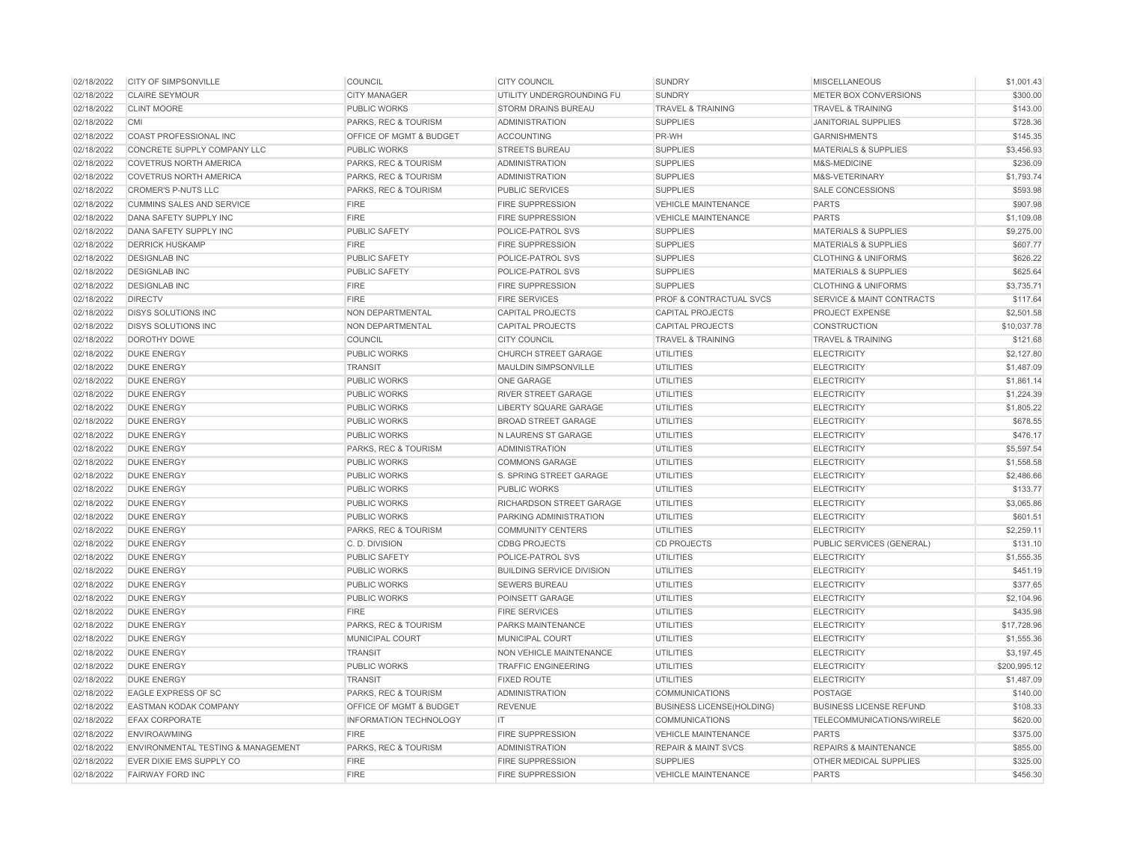| 02/18/2022 | <b>CITY OF SIMPSONVILLE</b>                   | <b>COUNCIL</b>                | <b>CITY COUNCIL</b>              | <b>SUNDRY</b>                    | <b>MISCELLANEOUS</b>             | \$1,001.43   |
|------------|-----------------------------------------------|-------------------------------|----------------------------------|----------------------------------|----------------------------------|--------------|
| 02/18/2022 | <b>CLAIRE SEYMOUR</b>                         | <b>CITY MANAGER</b>           | UTILITY UNDERGROUNDING FU        | <b>SUNDRY</b>                    | METER BOX CONVERSIONS            | \$300.00     |
| 02/18/2022 | <b>CLINT MOORE</b>                            | <b>PUBLIC WORKS</b>           | <b>STORM DRAINS BUREAU</b>       | <b>TRAVEL &amp; TRAINING</b>     | <b>TRAVEL &amp; TRAINING</b>     | \$143.00     |
| 02/18/2022 | <b>CMI</b>                                    | PARKS, REC & TOURISM          | <b>ADMINISTRATION</b>            | <b>SUPPLIES</b>                  | <b>JANITORIAL SUPPLIES</b>       | \$728.36     |
| 02/18/2022 | COAST PROFESSIONAL INC                        | OFFICE OF MGMT & BUDGET       | <b>ACCOUNTING</b>                | PR-WH                            | <b>GARNISHMENTS</b>              | \$145.35     |
| 02/18/2022 | CONCRETE SUPPLY COMPANY LLC                   | PUBLIC WORKS                  | <b>STREETS BUREAU</b>            | <b>SUPPLIES</b>                  | <b>MATERIALS &amp; SUPPLIES</b>  | \$3,456.93   |
| 02/18/2022 | <b>COVETRUS NORTH AMERICA</b>                 | PARKS, REC & TOURISM          | <b>ADMINISTRATION</b>            | <b>SUPPLIES</b>                  | M&S-MEDICINE                     | \$236.09     |
| 02/18/2022 | <b>COVETRUS NORTH AMERICA</b>                 | PARKS, REC & TOURISM          | <b>ADMINISTRATION</b>            | <b>SUPPLIES</b>                  | M&S-VETERINARY                   | \$1,793.74   |
| 02/18/2022 | <b>CROMER'S P-NUTS LLC</b>                    | PARKS, REC & TOURISM          | <b>PUBLIC SERVICES</b>           | <b>SUPPLIES</b>                  | SALE CONCESSIONS                 | \$593.98     |
| 02/18/2022 | <b>CUMMINS SALES AND SERVICE</b>              | <b>FIRE</b>                   | <b>FIRE SUPPRESSION</b>          | <b>VEHICLE MAINTENANCE</b>       | <b>PARTS</b>                     | \$907.98     |
| 02/18/2022 | <b>DANA SAFETY SUPPLY INC</b>                 | <b>FIRE</b>                   | <b>FIRE SUPPRESSION</b>          | <b>VEHICLE MAINTENANCE</b>       | <b>PARTS</b>                     | \$1,109.08   |
| 02/18/2022 | DANA SAFETY SUPPLY INC                        | <b>PUBLIC SAFETY</b>          | POLICE-PATROL SVS                | <b>SUPPLIES</b>                  | <b>MATERIALS &amp; SUPPLIES</b>  | \$9,275.00   |
| 02/18/2022 | <b>DERRICK HUSKAMP</b>                        | <b>FIRE</b>                   | <b>FIRE SUPPRESSION</b>          | <b>SUPPLIES</b>                  | <b>MATERIALS &amp; SUPPLIES</b>  | \$607.77     |
| 02/18/2022 | <b>DESIGNLAB INC</b>                          | PUBLIC SAFETY                 | POLICE-PATROL SVS                | <b>SUPPLIES</b>                  | <b>CLOTHING &amp; UNIFORMS</b>   | \$626.22     |
| 02/18/2022 | <b>DESIGNLAB INC</b>                          | PUBLIC SAFETY                 | POLICE-PATROL SVS                | <b>SUPPLIES</b>                  | <b>MATERIALS &amp; SUPPLIES</b>  | \$625.64     |
| 02/18/2022 | <b>DESIGNLAB INC</b>                          | <b>FIRE</b>                   | <b>FIRE SUPPRESSION</b>          | <b>SUPPLIES</b>                  | <b>CLOTHING &amp; UNIFORMS</b>   | \$3,735.71   |
| 02/18/2022 | <b>DIRECTV</b>                                | <b>FIRE</b>                   | <b>FIRE SERVICES</b>             | PROF & CONTRACTUAL SVCS          | SERVICE & MAINT CONTRACTS        | \$117.64     |
| 02/18/2022 | <b>DISYS SOLUTIONS INC</b>                    | NON DEPARTMENTAL              | <b>CAPITAL PROJECTS</b>          | <b>CAPITAL PROJECTS</b>          | PROJECT EXPENSE                  | \$2,501.58   |
| 02/18/2022 | <b>DISYS SOLUTIONS INC</b>                    | NON DEPARTMENTAL              | <b>CAPITAL PROJECTS</b>          | <b>CAPITAL PROJECTS</b>          | CONSTRUCTION                     | \$10,037.78  |
| 02/18/2022 | <b>DOROTHY DOWE</b>                           | COUNCIL                       | <b>CITY COUNCIL</b>              | <b>TRAVEL &amp; TRAINING</b>     | <b>TRAVEL &amp; TRAINING</b>     | \$121.68     |
| 02/18/2022 | <b>DUKE ENERGY</b>                            | <b>PUBLIC WORKS</b>           | <b>CHURCH STREET GARAGE</b>      | <b>UTILITIES</b>                 | <b>ELECTRICITY</b>               | \$2,127.80   |
| 02/18/2022 | <b>DUKE ENERGY</b>                            | <b>TRANSIT</b>                | MAULDIN SIMPSONVILLE             | <b>UTILITIES</b>                 | <b>ELECTRICITY</b>               | \$1,487.09   |
| 02/18/2022 | <b>DUKE ENERGY</b>                            | PUBLIC WORKS                  | ONE GARAGE                       | <b>UTILITIES</b>                 | <b>ELECTRICITY</b>               | \$1,861.14   |
| 02/18/2022 | <b>DUKE ENERGY</b>                            | <b>PUBLIC WORKS</b>           | RIVER STREET GARAGE              | <b>UTILITIES</b>                 | <b>ELECTRICITY</b>               | \$1,224.39   |
| 02/18/2022 | <b>DUKE ENERGY</b>                            | <b>PUBLIC WORKS</b>           | <b>LIBERTY SQUARE GARAGE</b>     | <b>UTILITIES</b>                 | <b>ELECTRICITY</b>               | \$1,805.22   |
| 02/18/2022 | <b>DUKE ENERGY</b>                            | <b>PUBLIC WORKS</b>           | <b>BROAD STREET GARAGE</b>       | <b>UTILITIES</b>                 | <b>ELECTRICITY</b>               | \$678.55     |
| 02/18/2022 | <b>DUKE ENERGY</b>                            | PUBLIC WORKS                  | N LAURENS ST GARAGE              | <b>UTILITIES</b>                 | <b>ELECTRICITY</b>               | \$476.17     |
| 02/18/2022 | <b>DUKE ENERGY</b>                            | PARKS, REC & TOURISM          | <b>ADMINISTRATION</b>            | <b>UTILITIES</b>                 | <b>ELECTRICITY</b>               | \$5,597.54   |
| 02/18/2022 | <b>DUKE ENERGY</b>                            | <b>PUBLIC WORKS</b>           | <b>COMMONS GARAGE</b>            | <b>UTILITIES</b>                 | <b>ELECTRICITY</b>               | \$1,558.58   |
| 02/18/2022 | <b>DUKE ENERGY</b>                            | <b>PUBLIC WORKS</b>           | S. SPRING STREET GARAGE          | <b>UTILITIES</b>                 | <b>ELECTRICITY</b>               | \$2,486.66   |
| 02/18/2022 | <b>DUKE ENERGY</b>                            | <b>PUBLIC WORKS</b>           | <b>PUBLIC WORKS</b>              | <b>UTILITIES</b>                 | <b>ELECTRICITY</b>               | \$133.77     |
| 02/18/2022 | <b>DUKE ENERGY</b>                            | <b>PUBLIC WORKS</b>           | RICHARDSON STREET GARAGE         | <b>UTILITIES</b>                 | <b>ELECTRICITY</b>               | \$3,065.86   |
| 02/18/2022 | <b>DUKE ENERGY</b>                            | <b>PUBLIC WORKS</b>           | PARKING ADMINISTRATION           | <b>UTILITIES</b>                 | <b>ELECTRICITY</b>               | \$601.51     |
| 02/18/2022 | <b>DUKE ENERGY</b>                            | PARKS, REC & TOURISM          | <b>COMMUNITY CENTERS</b>         | <b>UTILITIES</b>                 | <b>ELECTRICITY</b>               | \$2,259.11   |
| 02/18/2022 | <b>DUKE ENERGY</b>                            | C. D. DIVISION                | <b>CDBG PROJECTS</b>             | <b>CD PROJECTS</b>               | PUBLIC SERVICES (GENERAL)        | \$131.10     |
| 02/18/2022 | <b>DUKE ENERGY</b>                            | <b>PUBLIC SAFETY</b>          | POLICE-PATROL SVS                | <b>UTILITIES</b>                 | <b>ELECTRICITY</b>               | \$1,555.35   |
| 02/18/2022 | <b>DUKE ENERGY</b>                            | <b>PUBLIC WORKS</b>           | <b>BUILDING SERVICE DIVISION</b> | <b>UTILITIES</b>                 | <b>ELECTRICITY</b>               | \$451.19     |
| 02/18/2022 | <b>DUKE ENERGY</b>                            | <b>PUBLIC WORKS</b>           | <b>SEWERS BUREAU</b>             | <b>UTILITIES</b>                 | <b>ELECTRICITY</b>               | \$377.65     |
| 02/18/2022 | <b>DUKE ENERGY</b>                            | PUBLIC WORKS                  | POINSETT GARAGE                  | <b>UTILITIES</b>                 | <b>ELECTRICITY</b>               | \$2,104.96   |
| 02/18/2022 | <b>DUKE ENERGY</b>                            | <b>FIRE</b>                   | <b>FIRE SERVICES</b>             | <b>UTILITIES</b>                 | <b>ELECTRICITY</b>               | \$435.98     |
| 02/18/2022 | <b>DUKE ENERGY</b>                            | PARKS, REC & TOURISM          | PARKS MAINTENANCE                | <b>UTILITIES</b>                 | <b>ELECTRICITY</b>               | \$17,728.96  |
| 02/18/2022 | <b>DUKE ENERGY</b>                            | MUNICIPAL COURT               | MUNICIPAL COURT                  | <b>UTILITIES</b>                 | <b>ELECTRICITY</b>               | \$1,555.36   |
| 02/18/2022 | <b>DUKE ENERGY</b>                            | <b>TRANSIT</b>                | NON VEHICLE MAINTENANCE          | <b>UTILITIES</b>                 | <b>ELECTRICITY</b>               | \$3,197.45   |
| 02/18/2022 | <b>DUKE ENERGY</b>                            | PUBLIC WORKS                  | <b>TRAFFIC ENGINEERING</b>       | UTILITIES                        | <b>ELECTRICITY</b>               | \$200,995.12 |
| 02/18/2022 | <b>DUKE ENERGY</b>                            | <b>TRANSIT</b>                | <b>FIXED ROUTE</b>               | <b>UTILITIES</b>                 | <b>ELECTRICITY</b>               | \$1,487.09   |
| 02/18/2022 | EAGLE EXPRESS OF SC                           | PARKS, REC & TOURISM          | <b>ADMINISTRATION</b>            | <b>COMMUNICATIONS</b>            | <b>POSTAGE</b>                   | \$140.00     |
| 02/18/2022 | EASTMAN KODAK COMPANY                         | OFFICE OF MGMT & BUDGET       | <b>REVENUE</b>                   | <b>BUSINESS LICENSE(HOLDING)</b> | <b>BUSINESS LICENSE REFUND</b>   | \$108.33     |
| 02/18/2022 | <b>EFAX CORPORATE</b>                         | <b>INFORMATION TECHNOLOGY</b> | IT                               | COMMUNICATIONS                   | TELECOMMUNICATIONS/WIRELE        | \$620.00     |
| 02/18/2022 | <b>ENVIROAWMING</b>                           | <b>FIRE</b>                   | <b>FIRE SUPPRESSION</b>          | <b>VEHICLE MAINTENANCE</b>       | <b>PARTS</b>                     | \$375.00     |
| 02/18/2022 | <b>ENVIRONMENTAL TESTING &amp; MANAGEMENT</b> | PARKS, REC & TOURISM          | <b>ADMINISTRATION</b>            | <b>REPAIR &amp; MAINT SVCS</b>   | <b>REPAIRS &amp; MAINTENANCE</b> | \$855.00     |
| 02/18/2022 | EVER DIXIE EMS SUPPLY CO                      | <b>FIRE</b>                   | <b>FIRE SUPPRESSION</b>          | <b>SUPPLIES</b>                  | <b>OTHER MEDICAL SUPPLIES</b>    | \$325.00     |
| 02/18/2022 | <b>FAIRWAY FORD INC</b>                       | <b>FIRE</b>                   | FIRE SUPPRESSION                 | <b>VEHICLE MAINTENANCE</b>       | <b>PARTS</b>                     | \$456.30     |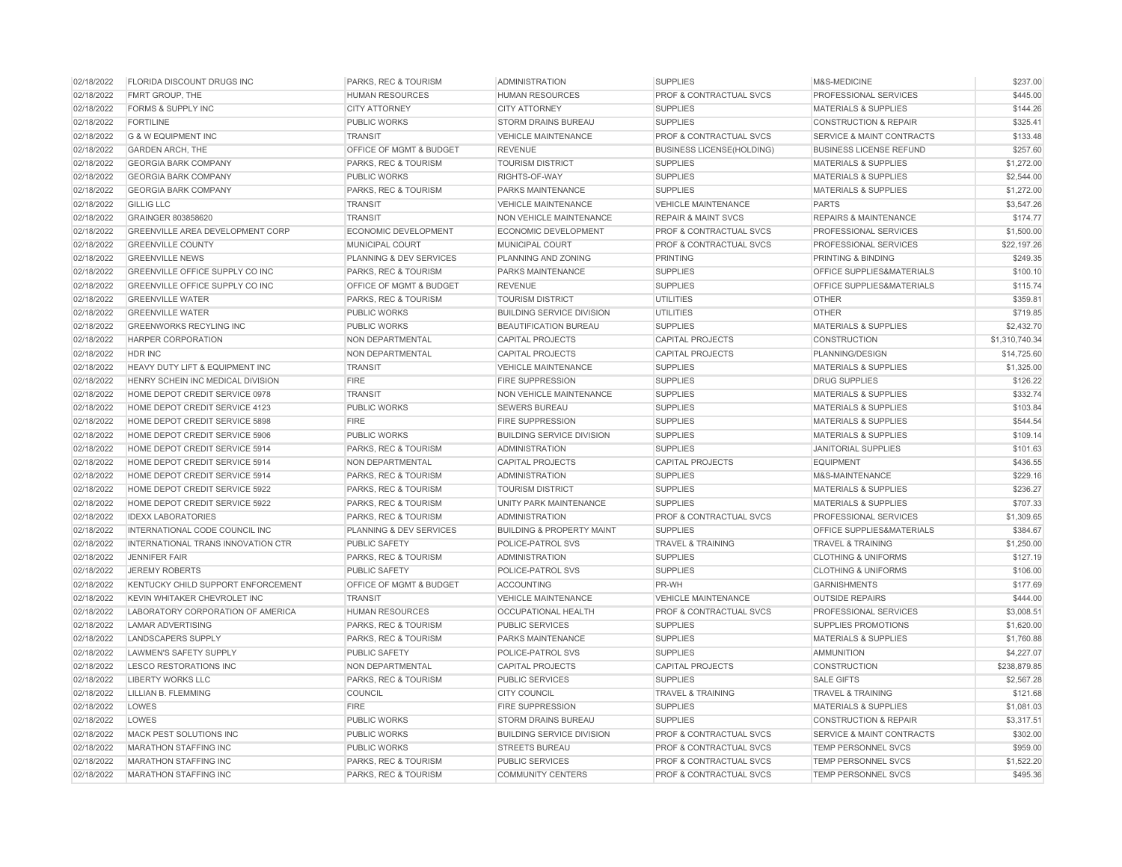| 02/18/2022 | FLORIDA DISCOUNT DRUGS INC                 | PARKS, REC & TOURISM    | <b>ADMINISTRATION</b>                | <b>SUPPLIES</b>                    | M&S-MEDICINE                         | \$237.00       |
|------------|--------------------------------------------|-------------------------|--------------------------------------|------------------------------------|--------------------------------------|----------------|
| 02/18/2022 | FMRT GROUP, THE                            | <b>HUMAN RESOURCES</b>  | <b>HUMAN RESOURCES</b>               | PROF & CONTRACTUAL SVCS            | PROFESSIONAL SERVICES                | \$445.00       |
| 02/18/2022 | <b>FORMS &amp; SUPPLY INC</b>              | <b>CITY ATTORNEY</b>    | <b>CITY ATTORNEY</b>                 | <b>SUPPLIES</b>                    | <b>MATERIALS &amp; SUPPLIES</b>      | \$144.26       |
| 02/18/2022 | <b>FORTILINE</b>                           | PUBLIC WORKS            | STORM DRAINS BUREAU                  | <b>SUPPLIES</b>                    | <b>CONSTRUCTION &amp; REPAIR</b>     | \$325.41       |
| 02/18/2022 | <b>G &amp; W EQUIPMENT INC</b>             | <b>TRANSIT</b>          | <b>VEHICLE MAINTENANCE</b>           | PROF & CONTRACTUAL SVCS            | <b>SERVICE &amp; MAINT CONTRACTS</b> | \$133.48       |
| 02/18/2022 | <b>GARDEN ARCH, THE</b>                    | OFFICE OF MGMT & BUDGET | <b>REVENUE</b>                       | <b>BUSINESS LICENSE(HOLDING)</b>   | <b>BUSINESS LICENSE REFUND</b>       | \$257.60       |
| 02/18/2022 | <b>GEORGIA BARK COMPANY</b>                | PARKS, REC & TOURISM    | <b>TOURISM DISTRICT</b>              | <b>SUPPLIES</b>                    | <b>MATERIALS &amp; SUPPLIES</b>      | \$1,272.00     |
| 02/18/2022 | <b>GEORGIA BARK COMPANY</b>                | <b>PUBLIC WORKS</b>     | RIGHTS-OF-WAY                        | <b>SUPPLIES</b>                    | <b>MATERIALS &amp; SUPPLIES</b>      | \$2,544.00     |
| 02/18/2022 | <b>GEORGIA BARK COMPANY</b>                | PARKS, REC & TOURISM    | PARKS MAINTENANCE                    | <b>SUPPLIES</b>                    | MATERIALS & SUPPLIES                 | \$1,272.00     |
| 02/18/2022 | <b>GILLIG LLC</b>                          | <b>TRANSIT</b>          | <b>VEHICLE MAINTENANCE</b>           | <b>VEHICLE MAINTENANCE</b>         | <b>PARTS</b>                         | \$3,547.26     |
| 02/18/2022 | GRAINGER 803858620                         | <b>TRANSIT</b>          | <b>NON VEHICLE MAINTENANCE</b>       | <b>REPAIR &amp; MAINT SVCS</b>     | <b>REPAIRS &amp; MAINTENANCE</b>     | \$174.77       |
| 02/18/2022 | GREENVILLE AREA DEVELOPMENT CORP           | ECONOMIC DEVELOPMENT    | <b>ECONOMIC DEVELOPMENT</b>          | <b>PROF &amp; CONTRACTUAL SVCS</b> | PROFESSIONAL SERVICES                | \$1,500.00     |
| 02/18/2022 | <b>GREENVILLE COUNTY</b>                   | <b>MUNICIPAL COURT</b>  | MUNICIPAL COURT                      | PROF & CONTRACTUAL SVCS            | PROFESSIONAL SERVICES                | \$22,197.26    |
| 02/18/2022 | <b>GREENVILLE NEWS</b>                     | PLANNING & DEV SERVICES | PLANNING AND ZONING                  | <b>PRINTING</b>                    | <b>PRINTING &amp; BINDING</b>        | \$249.35       |
| 02/18/2022 | GREENVILLE OFFICE SUPPLY CO INC            | PARKS, REC & TOURISM    | PARKS MAINTENANCE                    | <b>SUPPLIES</b>                    | OFFICE SUPPLIES&MATERIALS            | \$100.10       |
| 02/18/2022 | GREENVILLE OFFICE SUPPLY CO INC            | OFFICE OF MGMT & BUDGET | <b>REVENUE</b>                       | <b>SUPPLIES</b>                    | OFFICE SUPPLIES&MATERIALS            | \$115.74       |
| 02/18/2022 | <b>GREENVILLE WATER</b>                    | PARKS, REC & TOURISM    | <b>TOURISM DISTRICT</b>              | <b>UTILITIES</b>                   | <b>OTHER</b>                         | \$359.81       |
| 02/18/2022 | <b>GREENVILLE WATER</b>                    | PUBLIC WORKS            | <b>BUILDING SERVICE DIVISION</b>     | <b>UTILITIES</b>                   | <b>OTHER</b>                         | \$719.85       |
| 02/18/2022 | <b>GREENWORKS RECYLING INC</b>             | <b>PUBLIC WORKS</b>     | <b>BEAUTIFICATION BUREAU</b>         | <b>SUPPLIES</b>                    | <b>MATERIALS &amp; SUPPLIES</b>      | \$2,432.70     |
| 02/18/2022 | <b>HARPER CORPORATION</b>                  | NON DEPARTMENTAL        | <b>CAPITAL PROJECTS</b>              | <b>CAPITAL PROJECTS</b>            | <b>CONSTRUCTION</b>                  | \$1,310,740,34 |
| 02/18/2022 | <b>HDR INC</b>                             | NON DEPARTMENTAL        | <b>CAPITAL PROJECTS</b>              | <b>CAPITAL PROJECTS</b>            | PLANNING/DESIGN                      | \$14,725.60    |
| 02/18/2022 | <b>HEAVY DUTY LIFT &amp; EQUIPMENT INC</b> | <b>TRANSIT</b>          | <b>VEHICLE MAINTENANCE</b>           | <b>SUPPLIES</b>                    | <b>MATERIALS &amp; SUPPLIES</b>      | \$1,325.00     |
| 02/18/2022 | HENRY SCHEIN INC MEDICAL DIVISION          | <b>FIRE</b>             | <b>FIRE SUPPRESSION</b>              | <b>SUPPLIES</b>                    | <b>DRUG SUPPLIES</b>                 | \$126.22       |
| 02/18/2022 | HOME DEPOT CREDIT SERVICE 0978             | <b>TRANSIT</b>          | <b>NON VEHICLE MAINTENANCE</b>       | <b>SUPPLIES</b>                    | <b>MATERIALS &amp; SUPPLIES</b>      | \$332.74       |
| 02/18/2022 | HOME DEPOT CREDIT SERVICE 4123             | PUBLIC WORKS            | <b>SEWERS BUREAU</b>                 | <b>SUPPLIES</b>                    | <b>MATERIALS &amp; SUPPLIES</b>      | \$103.84       |
| 02/18/2022 | HOME DEPOT CREDIT SERVICE 5898             | <b>FIRE</b>             | <b>FIRE SUPPRESSION</b>              | <b>SUPPLIES</b>                    | <b>MATERIALS &amp; SUPPLIES</b>      | \$544.54       |
| 02/18/2022 | HOME DEPOT CREDIT SERVICE 5906             | PUBLIC WORKS            | <b>BUILDING SERVICE DIVISION</b>     | <b>SUPPLIES</b>                    | <b>MATERIALS &amp; SUPPLIES</b>      | \$109.14       |
| 02/18/2022 | HOME DEPOT CREDIT SERVICE 5914             | PARKS, REC & TOURISM    | <b>ADMINISTRATION</b>                | <b>SUPPLIES</b>                    | <b>JANITORIAL SUPPLIES</b>           | \$101.63       |
| 02/18/2022 | HOME DEPOT CREDIT SERVICE 5914             | NON DEPARTMENTAL        | <b>CAPITAL PROJECTS</b>              | <b>CAPITAL PROJECTS</b>            | <b>EQUIPMENT</b>                     | \$436.55       |
| 02/18/2022 | HOME DEPOT CREDIT SERVICE 5914             | PARKS, REC & TOURISM    | <b>ADMINISTRATION</b>                | <b>SUPPLIES</b>                    | M&S-MAINTENANCE                      | \$229.16       |
| 02/18/2022 | HOME DEPOT CREDIT SERVICE 5922             | PARKS, REC & TOURISM    | <b>TOURISM DISTRICT</b>              | <b>SUPPLIES</b>                    | <b>MATERIALS &amp; SUPPLIES</b>      | \$236.27       |
| 02/18/2022 | HOME DEPOT CREDIT SERVICE 5922             | PARKS, REC & TOURISM    | UNITY PARK MAINTENANCE               | <b>SUPPLIES</b>                    | <b>MATERIALS &amp; SUPPLIES</b>      | \$707.33       |
| 02/18/2022 | <b>IDEXX LABORATORIES</b>                  | PARKS, REC & TOURISM    | <b>ADMINISTRATION</b>                | PROF & CONTRACTUAL SVCS            | PROFESSIONAL SERVICES                | \$1,309.65     |
| 02/18/2022 | INTERNATIONAL CODE COUNCIL INC             | PLANNING & DEV SERVICES | <b>BUILDING &amp; PROPERTY MAINT</b> | <b>SUPPLIES</b>                    | OFFICE SUPPLIES&MATERIALS            | \$384.67       |
| 02/18/2022 | INTERNATIONAL TRANS INNOVATION CTR         | <b>PUBLIC SAFETY</b>    | POLICE-PATROL SVS                    | <b>TRAVEL &amp; TRAINING</b>       | <b>TRAVEL &amp; TRAINING</b>         | \$1,250.00     |
| 02/18/2022 | <b>JENNIFER FAIR</b>                       | PARKS, REC & TOURISM    | <b>ADMINISTRATION</b>                | <b>SUPPLIES</b>                    | <b>CLOTHING &amp; UNIFORMS</b>       | \$127.19       |
| 02/18/2022 | <b>JEREMY ROBERTS</b>                      | <b>PUBLIC SAFETY</b>    | POLICE-PATROL SVS                    | <b>SUPPLIES</b>                    | <b>CLOTHING &amp; UNIFORMS</b>       | \$106.00       |
| 02/18/2022 | KENTUCKY CHILD SUPPORT ENFORCEMENT         | OFFICE OF MGMT & BUDGET | <b>ACCOUNTING</b>                    | PR-WH                              | <b>GARNISHMENTS</b>                  | \$177.69       |
| 02/18/2022 | KEVIN WHITAKER CHEVROLET INC               | <b>TRANSIT</b>          | <b>VEHICLE MAINTENANCE</b>           | <b>VEHICLE MAINTENANCE</b>         | <b>OUTSIDE REPAIRS</b>               | \$444.00       |
| 02/18/2022 | LABORATORY CORPORATION OF AMERICA          | <b>HUMAN RESOURCES</b>  | <b>OCCUPATIONAL HEALTH</b>           | PROF & CONTRACTUAL SVCS            | PROFESSIONAL SERVICES                | \$3,008.51     |
| 02/18/2022 | <b>LAMAR ADVERTISING</b>                   | PARKS, REC & TOURISM    | <b>PUBLIC SERVICES</b>               | <b>SUPPLIES</b>                    | SUPPLIES PROMOTIONS                  | \$1,620.00     |
| 02/18/2022 | <b>LANDSCAPERS SUPPLY</b>                  | PARKS, REC & TOURISM    | <b>PARKS MAINTENANCE</b>             | <b>SUPPLIES</b>                    | <b>MATERIALS &amp; SUPPLIES</b>      | \$1,760.88     |
| 02/18/2022 | <b>LAWMEN'S SAFETY SUPPLY</b>              | <b>PUBLIC SAFETY</b>    | POLICE-PATROL SVS                    | <b>SUPPLIES</b>                    | <b>AMMUNITION</b>                    | \$4,227.07     |
| 02/18/2022 | LESCO RESTORATIONS INC                     | NON DEPARTMENTAL        | <b>CAPITAL PROJECTS</b>              | <b>CAPITAL PROJECTS</b>            | <b>CONSTRUCTION</b>                  | \$238,879.85   |
| 02/18/2022 | <b>LIBERTY WORKS LLC</b>                   | PARKS, REC & TOURISM    | <b>PUBLIC SERVICES</b>               | <b>SUPPLIES</b>                    | <b>SALE GIFTS</b>                    | \$2,567.28     |
| 02/18/2022 | <b>LILLIAN B. FLEMMING</b>                 | COUNCIL                 | <b>CITY COUNCIL</b>                  | <b>TRAVEL &amp; TRAINING</b>       | <b>TRAVEL &amp; TRAINING</b>         | \$121.68       |
| 02/18/2022 | LOWES                                      | <b>FIRE</b>             | <b>FIRE SUPPRESSION</b>              | <b>SUPPLIES</b>                    | <b>MATERIALS &amp; SUPPLIES</b>      | \$1.081.03     |
| 02/18/2022 | LOWES                                      | <b>PUBLIC WORKS</b>     | <b>STORM DRAINS BUREAU</b>           | <b>SUPPLIES</b>                    | <b>CONSTRUCTION &amp; REPAIR</b>     | \$3,317.51     |
| 02/18/2022 | MACK PEST SOLUTIONS INC                    | <b>PUBLIC WORKS</b>     | <b>BUILDING SERVICE DIVISION</b>     | PROF & CONTRACTUAL SVCS            | <b>SERVICE &amp; MAINT CONTRACTS</b> | \$302.00       |
| 02/18/2022 | <b>MARATHON STAFFING INC</b>               | <b>PUBLIC WORKS</b>     | <b>STREETS BUREAU</b>                | PROF & CONTRACTUAL SVCS            | TEMP PERSONNEL SVCS                  | \$959.00       |
| 02/18/2022 | <b>MARATHON STAFFING INC</b>               | PARKS, REC & TOURISM    | <b>PUBLIC SERVICES</b>               | <b>PROF &amp; CONTRACTUAL SVCS</b> | <b>TEMP PERSONNEL SVCS</b>           | \$1,522.20     |
| 02/18/2022 | <b>MARATHON STAFFING INC</b>               | PARKS, REC & TOURISM    | <b>COMMUNITY CENTERS</b>             | PROF & CONTRACTUAL SVCS            | <b>TEMP PERSONNEL SVCS</b>           | \$495.36       |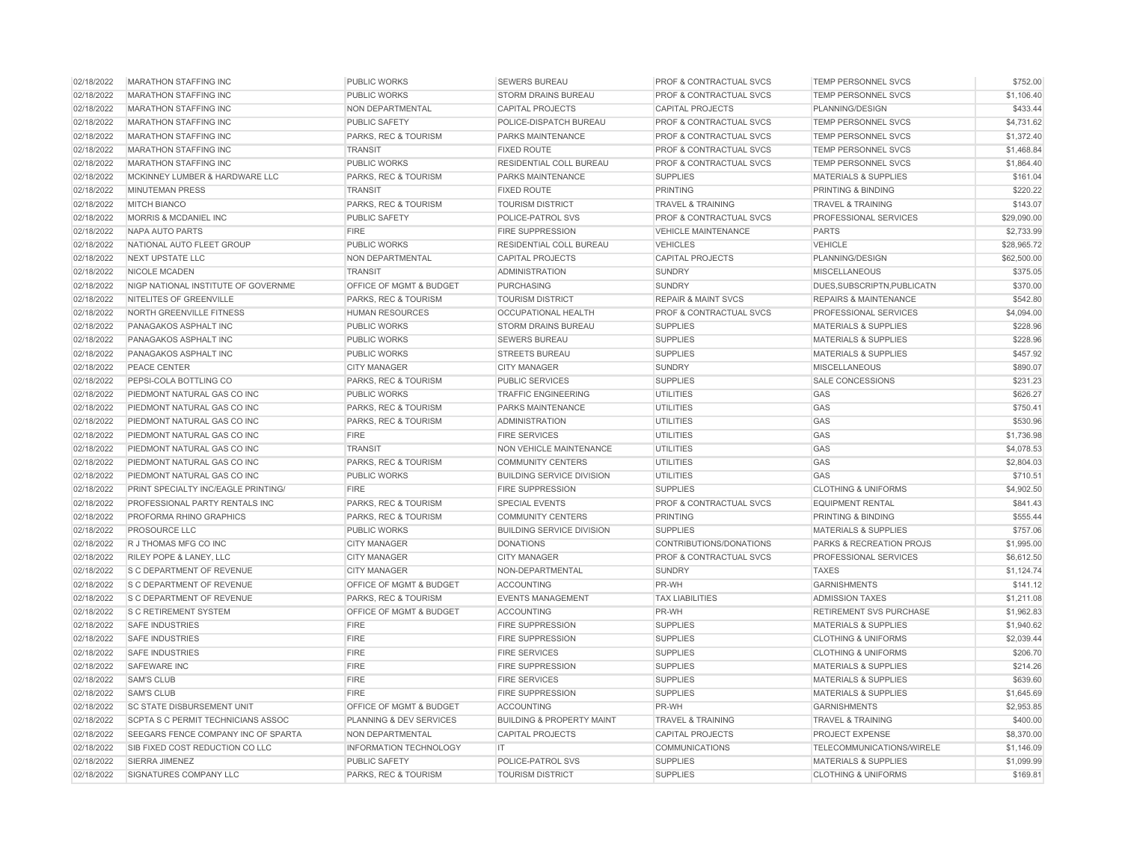| 02/18/2022 | <b>MARATHON STAFFING INC</b>        | <b>PUBLIC WORKS</b>           | <b>SEWERS BUREAU</b>                 | <b>PROF &amp; CONTRACTUAL SVCS</b> | <b>TEMP PERSONNEL SVCS</b>       | \$752.00    |
|------------|-------------------------------------|-------------------------------|--------------------------------------|------------------------------------|----------------------------------|-------------|
| 02/18/2022 | <b>MARATHON STAFFING INC</b>        | <b>PUBLIC WORKS</b>           | STORM DRAINS BUREAU                  | PROF & CONTRACTUAL SVCS            | <b>TEMP PERSONNEL SVCS</b>       | \$1,106.40  |
| 02/18/2022 | <b>MARATHON STAFFING INC</b>        | NON DEPARTMENTAL              | <b>CAPITAL PROJECTS</b>              | <b>CAPITAL PROJECTS</b>            | PLANNING/DESIGN                  | \$433.44    |
| 02/18/2022 | <b>MARATHON STAFFING INC</b>        | PUBLIC SAFETY                 | POLICE-DISPATCH BUREAU               | <b>PROF &amp; CONTRACTUAL SVCS</b> | <b>TEMP PERSONNEL SVCS</b>       | \$4,731.62  |
| 02/18/2022 | <b>MARATHON STAFFING INC</b>        | PARKS, REC & TOURISM          | PARKS MAINTENANCE                    | PROF & CONTRACTUAL SVCS            | <b>TEMP PERSONNEL SVCS</b>       | \$1,372.40  |
| 02/18/2022 | <b>MARATHON STAFFING INC</b>        | <b>TRANSIT</b>                | <b>FIXED ROUTE</b>                   | <b>PROF &amp; CONTRACTUAL SVCS</b> | <b>TEMP PERSONNEL SVCS</b>       | \$1,468.84  |
| 02/18/2022 | <b>MARATHON STAFFING INC</b>        | PUBLIC WORKS                  | RESIDENTIAL COLL BUREAU              | PROF & CONTRACTUAL SVCS            | <b>TEMP PERSONNEL SVCS</b>       | \$1,864.40  |
| 02/18/2022 | MCKINNEY LUMBER & HARDWARE LLC      | PARKS, REC & TOURISM          | PARKS MAINTENANCE                    | <b>SUPPLIES</b>                    | <b>MATERIALS &amp; SUPPLIES</b>  | \$161.04    |
| 02/18/2022 | <b>MINUTEMAN PRESS</b>              | <b>TRANSIT</b>                | <b>FIXED ROUTE</b>                   | <b>PRINTING</b>                    | PRINTING & BINDING               | \$220.22    |
| 02/18/2022 | <b>MITCH BIANCO</b>                 | PARKS, REC & TOURISM          | <b>TOURISM DISTRICT</b>              | <b>TRAVEL &amp; TRAINING</b>       | <b>TRAVEL &amp; TRAINING</b>     | \$143.07    |
| 02/18/2022 | MORRIS & MCDANIEL INC               | <b>PUBLIC SAFETY</b>          | POLICE-PATROL SVS                    | PROF & CONTRACTUAL SVCS            | PROFESSIONAL SERVICES            | \$29,090.00 |
| 02/18/2022 | NAPA AUTO PARTS                     | <b>FIRE</b>                   | <b>FIRE SUPPRESSION</b>              | <b>VEHICLE MAINTENANCE</b>         | <b>PARTS</b>                     | \$2,733.99  |
| 02/18/2022 | NATIONAL AUTO FLEET GROUP           | <b>PUBLIC WORKS</b>           | <b>RESIDENTIAL COLL BUREAU</b>       | <b>VEHICLES</b>                    | <b>VEHICLE</b>                   | \$28,965.72 |
| 02/18/2022 | <b>NEXT UPSTATE LLC</b>             | NON DEPARTMENTAL              | <b>CAPITAL PROJECTS</b>              | <b>CAPITAL PROJECTS</b>            | PLANNING/DESIGN                  | \$62,500.00 |
| 02/18/2022 | <b>NICOLE MCADEN</b>                | <b>TRANSIT</b>                | <b>ADMINISTRATION</b>                | <b>SUNDRY</b>                      | <b>MISCELLANEOUS</b>             | \$375.05    |
| 02/18/2022 | NIGP NATIONAL INSTITUTE OF GOVERNME | OFFICE OF MGMT & BUDGET       | <b>PURCHASING</b>                    | <b>SUNDRY</b>                      | DUES, SUBSCRIPTN, PUBLICATN      | \$370.00    |
| 02/18/2022 | NITELITES OF GREENVILLE             | PARKS, REC & TOURISM          | <b>TOURISM DISTRICT</b>              | <b>REPAIR &amp; MAINT SVCS</b>     | <b>REPAIRS &amp; MAINTENANCE</b> | \$542.80    |
| 02/18/2022 | NORTH GREENVILLE FITNESS            | <b>HUMAN RESOURCES</b>        | <b>OCCUPATIONAL HEALTH</b>           | PROF & CONTRACTUAL SVCS            | PROFESSIONAL SERVICES            | \$4,094.00  |
| 02/18/2022 | PANAGAKOS ASPHALT INC               | <b>PUBLIC WORKS</b>           | <b>STORM DRAINS BUREAU</b>           | <b>SUPPLIES</b>                    | <b>MATERIALS &amp; SUPPLIES</b>  | \$228.96    |
| 02/18/2022 | PANAGAKOS ASPHALT INC               | PUBLIC WORKS                  | <b>SEWERS BUREAU</b>                 | <b>SUPPLIES</b>                    | <b>MATERIALS &amp; SUPPLIES</b>  | \$228.96    |
| 02/18/2022 | PANAGAKOS ASPHALT INC               | <b>PUBLIC WORKS</b>           | <b>STREETS BUREAU</b>                | <b>SUPPLIES</b>                    | <b>MATERIALS &amp; SUPPLIES</b>  | \$457.92    |
| 02/18/2022 | PEACE CENTER                        | <b>CITY MANAGER</b>           | <b>CITY MANAGER</b>                  | <b>SUNDRY</b>                      | <b>MISCELLANEOUS</b>             | \$890.07    |
| 02/18/2022 | PEPSI-COLA BOTTLING CO              | PARKS, REC & TOURISM          | <b>PUBLIC SERVICES</b>               | <b>SUPPLIES</b>                    | <b>SALE CONCESSIONS</b>          | \$231.23    |
| 02/18/2022 | PIEDMONT NATURAL GAS CO INC         | <b>PUBLIC WORKS</b>           | <b>TRAFFIC ENGINEERING</b>           | <b>UTILITIES</b>                   | GAS                              | \$626.27    |
| 02/18/2022 | PIEDMONT NATURAL GAS CO INC         | PARKS, REC & TOURISM          | PARKS MAINTENANCE                    | <b>UTILITIES</b>                   | GAS                              | \$750.41    |
| 02/18/2022 | PIEDMONT NATURAL GAS CO INC         | PARKS, REC & TOURISM          | <b>ADMINISTRATION</b>                | <b>UTILITIES</b>                   | GAS                              | \$530.96    |
| 02/18/2022 | PIEDMONT NATURAL GAS CO INC         | <b>FIRE</b>                   | <b>FIRE SERVICES</b>                 | <b>UTILITIES</b>                   | GAS                              | \$1,736.98  |
| 02/18/2022 | PIEDMONT NATURAL GAS CO INC         | <b>TRANSIT</b>                | <b>NON VEHICLE MAINTENANCE</b>       | <b>UTILITIES</b>                   | GAS                              | \$4,078.53  |
| 02/18/2022 | PIEDMONT NATURAL GAS CO INC         | PARKS, REC & TOURISM          | <b>COMMUNITY CENTERS</b>             | <b>UTILITIES</b>                   | GAS                              | \$2,804.03  |
| 02/18/2022 | PIEDMONT NATURAL GAS CO INC         | <b>PUBLIC WORKS</b>           | <b>BUILDING SERVICE DIVISION</b>     | <b>UTILITIES</b>                   | GAS                              | \$710.51    |
| 02/18/2022 | PRINT SPECIALTY INC/EAGLE PRINTING/ | <b>FIRE</b>                   | FIRE SUPPRESSION                     | <b>SUPPLIES</b>                    | <b>CLOTHING &amp; UNIFORMS</b>   | \$4,902.50  |
| 02/18/2022 | PROFESSIONAL PARTY RENTALS INC      | PARKS, REC & TOURISM          | <b>SPECIAL EVENTS</b>                | PROF & CONTRACTUAL SVCS            | <b>EQUIPMENT RENTAL</b>          | \$841.43    |
| 02/18/2022 | PROFORMA RHINO GRAPHICS             | PARKS, REC & TOURISM          | <b>COMMUNITY CENTERS</b>             | <b>PRINTING</b>                    | <b>PRINTING &amp; BINDING</b>    | \$555.44    |
| 02/18/2022 | PROSOURCE LLC                       | PUBLIC WORKS                  | <b>BUILDING SERVICE DIVISION</b>     | <b>SUPPLIES</b>                    | <b>MATERIALS &amp; SUPPLIES</b>  | \$757.06    |
| 02/18/2022 | R J THOMAS MFG CO INC               | <b>CITY MANAGER</b>           | <b>DONATIONS</b>                     | CONTRIBUTIONS/DONATIONS            | PARKS & RECREATION PROJS         | \$1,995.00  |
| 02/18/2022 | RILEY POPE & LANEY, LLC             | <b>CITY MANAGER</b>           | <b>CITY MANAGER</b>                  | PROF & CONTRACTUAL SVCS            | PROFESSIONAL SERVICES            | \$6,612.50  |
| 02/18/2022 | S C DEPARTMENT OF REVENUE           | <b>CITY MANAGER</b>           | NON-DEPARTMENTAL                     | <b>SUNDRY</b>                      | <b>TAXES</b>                     | \$1,124.74  |
| 02/18/2022 | S C DEPARTMENT OF REVENUE           | OFFICE OF MGMT & BUDGET       | <b>ACCOUNTING</b>                    | PR-WH                              | <b>GARNISHMENTS</b>              | \$141.12    |
| 02/18/2022 | S C DEPARTMENT OF REVENUE           | PARKS, REC & TOURISM          | <b>EVENTS MANAGEMENT</b>             | <b>TAX LIABILITIES</b>             | <b>ADMISSION TAXES</b>           | \$1,211.08  |
| 02/18/2022 | S C RETIREMENT SYSTEM               | OFFICE OF MGMT & BUDGET       | ACCOUNTING                           | PR-WH                              | RETIREMENT SVS PURCHASE          | \$1,962.83  |
| 02/18/2022 | <b>SAFE INDUSTRIES</b>              | <b>FIRE</b>                   | <b>FIRE SUPPRESSION</b>              | <b>SUPPLIES</b>                    | <b>MATERIALS &amp; SUPPLIES</b>  | \$1,940.62  |
| 02/18/2022 | <b>SAFE INDUSTRIES</b>              | <b>FIRE</b>                   | <b>FIRE SUPPRESSION</b>              | <b>SUPPLIES</b>                    | <b>CLOTHING &amp; UNIFORMS</b>   | \$2.039.44  |
| 02/18/2022 | <b>SAFE INDUSTRIES</b>              | <b>FIRE</b>                   | <b>FIRE SERVICES</b>                 | <b>SUPPLIES</b>                    | <b>CLOTHING &amp; UNIFORMS</b>   | \$206.70    |
| 02/18/2022 | <b>SAFEWARE INC</b>                 | <b>FIRE</b>                   | <b>FIRE SUPPRESSION</b>              | <b>SUPPLIES</b>                    | <b>MATERIALS &amp; SUPPLIES</b>  | \$214.26    |
| 02/18/2022 | <b>SAM'S CLUB</b>                   | <b>FIRE</b>                   | <b>FIRE SERVICES</b>                 | <b>SUPPLIES</b>                    | <b>MATERIALS &amp; SUPPLIES</b>  | \$639.60    |
| 02/18/2022 | <b>SAM'S CLUB</b>                   | FIRE                          | <b>FIRE SUPPRESSION</b>              | <b>SUPPLIES</b>                    | <b>MATERIALS &amp; SUPPLIES</b>  | \$1,645.69  |
| 02/18/2022 | SC STATE DISBURSEMENT UNIT          | OFFICE OF MGMT & BUDGET       | <b>ACCOUNTING</b>                    | PR-WH                              | <b>GARNISHMENTS</b>              | \$2,953.85  |
| 02/18/2022 | SCPTA S C PERMIT TECHNICIANS ASSOC  | PLANNING & DEV SERVICES       | <b>BUILDING &amp; PROPERTY MAINT</b> | <b>TRAVEL &amp; TRAINING</b>       | <b>TRAVEL &amp; TRAINING</b>     | \$400.00    |
| 02/18/2022 | SEEGARS FENCE COMPANY INC OF SPARTA | NON DEPARTMENTAL              | <b>CAPITAL PROJECTS</b>              | <b>CAPITAL PROJECTS</b>            | PROJECT EXPENSE                  | \$8,370.00  |
| 02/18/2022 | SIB FIXED COST REDUCTION CO LLC     | <b>INFORMATION TECHNOLOGY</b> | IT.                                  | COMMUNICATIONS                     | TELECOMMUNICATIONS/WIRELE        | \$1,146.09  |
| 02/18/2022 | SIERRA JIMENEZ                      | <b>PUBLIC SAFETY</b>          | POLICE-PATROL SVS                    | <b>SUPPLIES</b>                    | <b>MATERIALS &amp; SUPPLIES</b>  | \$1,099.99  |
| 02/18/2022 | SIGNATURES COMPANY LLC              | PARKS, REC & TOURISM          | <b>TOURISM DISTRICT</b>              | <b>SUPPLIES</b>                    | <b>CLOTHING &amp; UNIFORMS</b>   | \$169.81    |
|            |                                     |                               |                                      |                                    |                                  |             |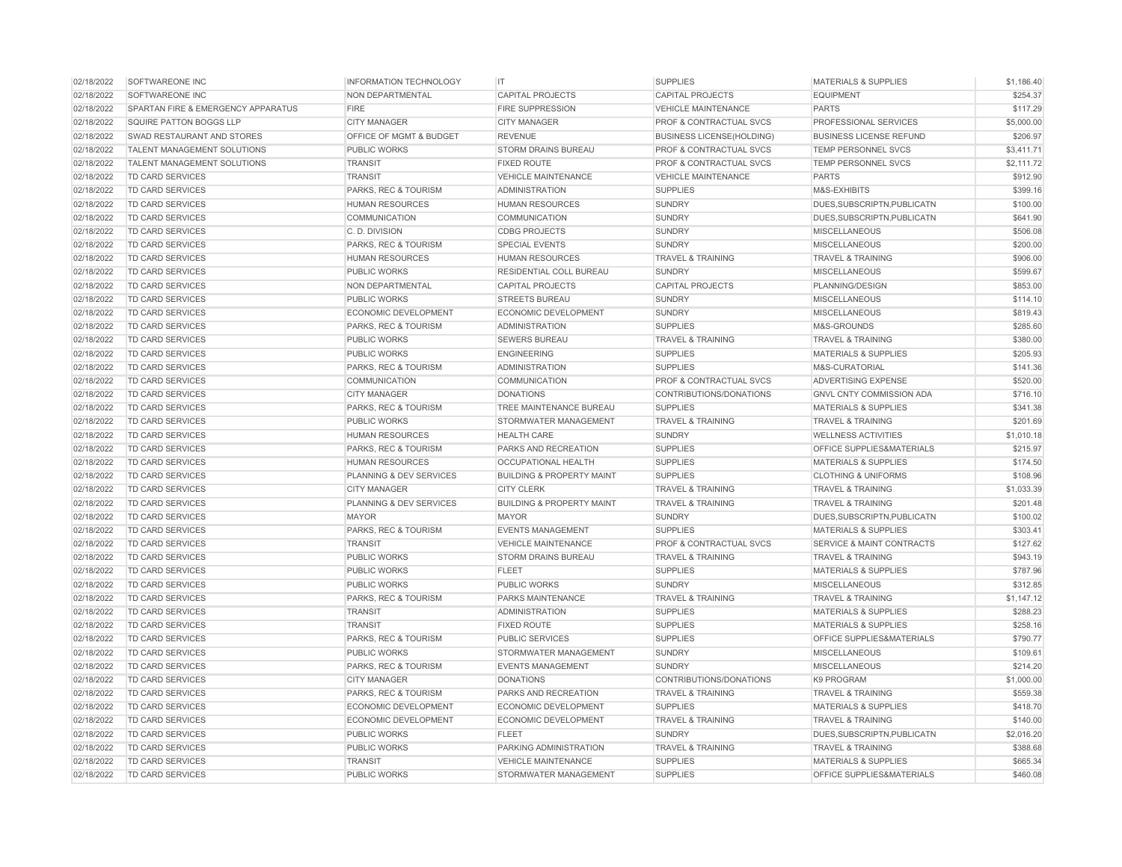| 02/18/2022 | SOFTWAREONE INC                    | <b>INFORMATION TECHNOLOGY</b> | IT                                   | <b>SUPPLIES</b>                    | <b>MATERIALS &amp; SUPPLIES</b>      | \$1,186.40 |
|------------|------------------------------------|-------------------------------|--------------------------------------|------------------------------------|--------------------------------------|------------|
| 02/18/2022 | SOFTWAREONE INC                    | NON DEPARTMENTAL              | <b>CAPITAL PROJECTS</b>              | <b>CAPITAL PROJECTS</b>            | <b>EQUIPMENT</b>                     | \$254.37   |
| 02/18/2022 | SPARTAN FIRE & EMERGENCY APPARATUS | <b>FIRE</b>                   | <b>FIRE SUPPRESSION</b>              | <b>VEHICLE MAINTENANCE</b>         | <b>PARTS</b>                         | \$117.29   |
| 02/18/2022 | <b>SQUIRE PATTON BOGGS LLP</b>     | <b>CITY MANAGER</b>           | <b>CITY MANAGER</b>                  | PROF & CONTRACTUAL SVCS            | PROFESSIONAL SERVICES                | \$5,000.00 |
| 02/18/2022 | SWAD RESTAURANT AND STORES         | OFFICE OF MGMT & BUDGET       | <b>REVENUE</b>                       | <b>BUSINESS LICENSE(HOLDING)</b>   | <b>BUSINESS LICENSE REFUND</b>       | \$206.97   |
| 02/18/2022 | <b>TALENT MANAGEMENT SOLUTIONS</b> | <b>PUBLIC WORKS</b>           | <b>STORM DRAINS BUREAU</b>           | <b>PROF &amp; CONTRACTUAL SVCS</b> | <b>TEMP PERSONNEL SVCS</b>           | \$3,411.71 |
| 02/18/2022 | TALENT MANAGEMENT SOLUTIONS        | <b>TRANSIT</b>                | <b>FIXED ROUTE</b>                   | PROF & CONTRACTUAL SVCS            | TEMP PERSONNEL SVCS                  | \$2,111.72 |
| 02/18/2022 | <b>TD CARD SERVICES</b>            | <b>TRANSIT</b>                | <b>VEHICLE MAINTENANCE</b>           | <b>VEHICLE MAINTENANCE</b>         | <b>PARTS</b>                         | \$912.90   |
| 02/18/2022 | <b>TD CARD SERVICES</b>            | PARKS, REC & TOURISM          | <b>ADMINISTRATION</b>                | <b>SUPPLIES</b>                    | M&S-EXHIBITS                         | \$399.16   |
| 02/18/2022 | <b>TD CARD SERVICES</b>            | <b>HUMAN RESOURCES</b>        | <b>HUMAN RESOURCES</b>               | <b>SUNDRY</b>                      | DUES, SUBSCRIPTN, PUBLICATN          | \$100.00   |
| 02/18/2022 | <b>TD CARD SERVICES</b>            | <b>COMMUNICATION</b>          | COMMUNICATION                        | <b>SUNDRY</b>                      | DUES, SUBSCRIPTN, PUBLICATN          | \$641.90   |
| 02/18/2022 | <b>TD CARD SERVICES</b>            | C. D. DIVISION                | <b>CDBG PROJECTS</b>                 | <b>SUNDRY</b>                      | <b>MISCELLANEOUS</b>                 | \$506.08   |
| 02/18/2022 | TD CARD SERVICES                   | PARKS, REC & TOURISM          | <b>SPECIAL EVENTS</b>                | <b>SUNDRY</b>                      | <b>MISCELLANEOUS</b>                 | \$200.00   |
| 02/18/2022 | <b>TD CARD SERVICES</b>            | <b>HUMAN RESOURCES</b>        | <b>HUMAN RESOURCES</b>               | <b>TRAVEL &amp; TRAINING</b>       | <b>TRAVEL &amp; TRAINING</b>         | \$906.00   |
| 02/18/2022 | <b>TD CARD SERVICES</b>            | <b>PUBLIC WORKS</b>           | RESIDENTIAL COLL BUREAU              | <b>SUNDRY</b>                      | <b>MISCELLANEOUS</b>                 | \$599.67   |
| 02/18/2022 | <b>TD CARD SERVICES</b>            | <b>NON DEPARTMENTAL</b>       | <b>CAPITAL PROJECTS</b>              | <b>CAPITAL PROJECTS</b>            | PLANNING/DESIGN                      | \$853.00   |
| 02/18/2022 | TD CARD SERVICES                   | PUBLIC WORKS                  | <b>STREETS BUREAU</b>                | <b>SUNDRY</b>                      | <b>MISCELLANEOUS</b>                 | \$114.10   |
| 02/18/2022 | TD CARD SERVICES                   | ECONOMIC DEVELOPMENT          | ECONOMIC DEVELOPMENT                 | <b>SUNDRY</b>                      | <b>MISCELLANEOUS</b>                 | \$819.43   |
| 02/18/2022 | <b>TD CARD SERVICES</b>            | PARKS, REC & TOURISM          | <b>ADMINISTRATION</b>                | <b>SUPPLIES</b>                    | M&S-GROUNDS                          | \$285.60   |
| 02/18/2022 | <b>TD CARD SERVICES</b>            | PUBLIC WORKS                  | <b>SEWERS BUREAU</b>                 | <b>TRAVEL &amp; TRAINING</b>       | <b>TRAVEL &amp; TRAINING</b>         | \$380.00   |
| 02/18/2022 | <b>TD CARD SERVICES</b>            | <b>PUBLIC WORKS</b>           | <b>ENGINEERING</b>                   | <b>SUPPLIES</b>                    | <b>MATERIALS &amp; SUPPLIES</b>      | \$205.93   |
| 02/18/2022 | TD CARD SERVICES                   | PARKS, REC & TOURISM          | <b>ADMINISTRATION</b>                | <b>SUPPLIES</b>                    | M&S-CURATORIAL                       | \$141.36   |
| 02/18/2022 | TD CARD SERVICES                   | <b>COMMUNICATION</b>          | <b>COMMUNICATION</b>                 | PROF & CONTRACTUAL SVCS            | ADVERTISING EXPENSE                  | \$520.00   |
| 02/18/2022 | <b>TD CARD SERVICES</b>            | <b>CITY MANAGER</b>           | <b>DONATIONS</b>                     | CONTRIBUTIONS/DONATIONS            | <b>GNVL CNTY COMMISSION ADA</b>      | \$716.10   |
| 02/18/2022 | TD CARD SERVICES                   | PARKS, REC & TOURISM          | TREE MAINTENANCE BUREAU              | <b>SUPPLIES</b>                    | <b>MATERIALS &amp; SUPPLIES</b>      | \$341.38   |
| 02/18/2022 | <b>TD CARD SERVICES</b>            | <b>PUBLIC WORKS</b>           | STORMWATER MANAGEMENT                | <b>TRAVEL &amp; TRAINING</b>       | <b>TRAVEL &amp; TRAINING</b>         | \$201.69   |
| 02/18/2022 | TD CARD SERVICES                   | <b>HUMAN RESOURCES</b>        | <b>HEALTH CARE</b>                   | <b>SUNDRY</b>                      | <b>WELLNESS ACTIVITIES</b>           | \$1,010.18 |
| 02/18/2022 | TD CARD SERVICES                   | PARKS, REC & TOURISM          | PARKS AND RECREATION                 | <b>SUPPLIES</b>                    | OFFICE SUPPLIES&MATERIALS            | \$215.97   |
| 02/18/2022 | TD CARD SERVICES                   | <b>HUMAN RESOURCES</b>        | <b>OCCUPATIONAL HEALTH</b>           | <b>SUPPLIES</b>                    | <b>MATERIALS &amp; SUPPLIES</b>      | \$174.50   |
| 02/18/2022 | <b>TD CARD SERVICES</b>            | PLANNING & DEV SERVICES       | <b>BUILDING &amp; PROPERTY MAINT</b> | <b>SUPPLIES</b>                    | <b>CLOTHING &amp; UNIFORMS</b>       | \$108.96   |
| 02/18/2022 | TD CARD SERVICES                   | <b>CITY MANAGER</b>           | <b>CITY CLERK</b>                    | <b>TRAVEL &amp; TRAINING</b>       | <b>TRAVEL &amp; TRAINING</b>         | \$1,033.39 |
| 02/18/2022 | TD CARD SERVICES                   | PLANNING & DEV SERVICES       | <b>BUILDING &amp; PROPERTY MAINT</b> | <b>TRAVEL &amp; TRAINING</b>       | <b>TRAVEL &amp; TRAINING</b>         | \$201.48   |
| 02/18/2022 | TD CARD SERVICES                   | <b>MAYOR</b>                  | <b>MAYOR</b>                         | <b>SUNDRY</b>                      | DUES, SUBSCRIPTN, PUBLICATN          | \$100.02   |
| 02/18/2022 | <b>TD CARD SERVICES</b>            | PARKS, REC & TOURISM          | <b>EVENTS MANAGEMENT</b>             | <b>SUPPLIES</b>                    | <b>MATERIALS &amp; SUPPLIES</b>      | \$303.41   |
| 02/18/2022 | <b>TD CARD SERVICES</b>            | <b>TRANSIT</b>                | <b>VEHICLE MAINTENANCE</b>           | <b>PROF &amp; CONTRACTUAL SVCS</b> | <b>SERVICE &amp; MAINT CONTRACTS</b> | \$127.62   |
| 02/18/2022 | <b>TD CARD SERVICES</b>            | <b>PUBLIC WORKS</b>           | <b>STORM DRAINS BUREAU</b>           | <b>TRAVEL &amp; TRAINING</b>       | <b>TRAVEL &amp; TRAINING</b>         | \$943.19   |
| 02/18/2022 | TD CARD SERVICES                   | PUBLIC WORKS                  | <b>FLEET</b>                         | <b>SUPPLIES</b>                    | MATERIALS & SUPPLIES                 | \$787.96   |
| 02/18/2022 | TD CARD SERVICES                   | PUBLIC WORKS                  | PUBLIC WORKS                         | <b>SUNDRY</b>                      | <b>MISCELLANEOUS</b>                 | \$312.85   |
| 02/18/2022 | <b>TD CARD SERVICES</b>            | PARKS, REC & TOURISM          | PARKS MAINTENANCE                    | <b>TRAVEL &amp; TRAINING</b>       | <b>TRAVEL &amp; TRAINING</b>         | \$1,147.12 |
| 02/18/2022 | <b>TD CARD SERVICES</b>            | <b>TRANSIT</b>                | <b>ADMINISTRATION</b>                | <b>SUPPLIES</b>                    | <b>MATERIALS &amp; SUPPLIES</b>      | \$288.23   |
| 02/18/2022 | TD CARD SERVICES                   | <b>TRANSIT</b>                | <b>FIXED ROUTE</b>                   | <b>SUPPLIES</b>                    | <b>MATERIALS &amp; SUPPLIES</b>      | \$258.16   |
| 02/18/2022 | TD CARD SERVICES                   | PARKS, REC & TOURISM          | PUBLIC SERVICES                      | <b>SUPPLIES</b>                    | OFFICE SUPPLIES&MATERIALS            | \$790.77   |
| 02/18/2022 | <b>TD CARD SERVICES</b>            | PUBLIC WORKS                  | STORMWATER MANAGEMENT                | <b>SUNDRY</b>                      | <b>MISCELLANEOUS</b>                 | \$109.61   |
| 02/18/2022 | <b>TD CARD SERVICES</b>            | PARKS, REC & TOURISM          | <b>EVENTS MANAGEMENT</b>             | <b>SUNDRY</b>                      | <b>MISCELLANEOUS</b>                 | \$214.20   |
| 02/18/2022 | <b>TD CARD SERVICES</b>            | <b>CITY MANAGER</b>           | <b>DONATIONS</b>                     | CONTRIBUTIONS/DONATIONS            | K9 PROGRAM                           | \$1,000.00 |
| 02/18/2022 | <b>TD CARD SERVICES</b>            | PARKS, REC & TOURISM          | PARKS AND RECREATION                 | <b>TRAVEL &amp; TRAINING</b>       | <b>TRAVEL &amp; TRAINING</b>         | \$559.38   |
| 02/18/2022 | TD CARD SERVICES                   | ECONOMIC DEVELOPMENT          | ECONOMIC DEVELOPMENT                 | <b>SUPPLIES</b>                    | <b>MATERIALS &amp; SUPPLIES</b>      | \$418.70   |
| 02/18/2022 | <b>TD CARD SERVICES</b>            | <b>ECONOMIC DEVELOPMENT</b>   | <b>ECONOMIC DEVELOPMENT</b>          | <b>TRAVEL &amp; TRAINING</b>       | <b>TRAVEL &amp; TRAINING</b>         | \$140.00   |
| 02/18/2022 | <b>TD CARD SERVICES</b>            | PUBLIC WORKS                  | <b>FLEET</b>                         | <b>SUNDRY</b>                      | DUES, SUBSCRIPTN, PUBLICATN          | \$2,016.20 |
| 02/18/2022 | <b>TD CARD SERVICES</b>            | <b>PUBLIC WORKS</b>           | PARKING ADMINISTRATION               | <b>TRAVEL &amp; TRAINING</b>       | <b>TRAVEL &amp; TRAINING</b>         | \$388.68   |
| 02/18/2022 | TD CARD SERVICES                   | <b>TRANSIT</b>                | <b>VEHICLE MAINTENANCE</b>           | <b>SUPPLIES</b>                    | <b>MATERIALS &amp; SUPPLIES</b>      | \$665.34   |
| 02/18/2022 | <b>TD CARD SERVICES</b>            | PUBLIC WORKS                  | STORMWATER MANAGEMENT                | <b>SUPPLIES</b>                    | OFFICE SUPPLIES&MATERIALS            | \$460.08   |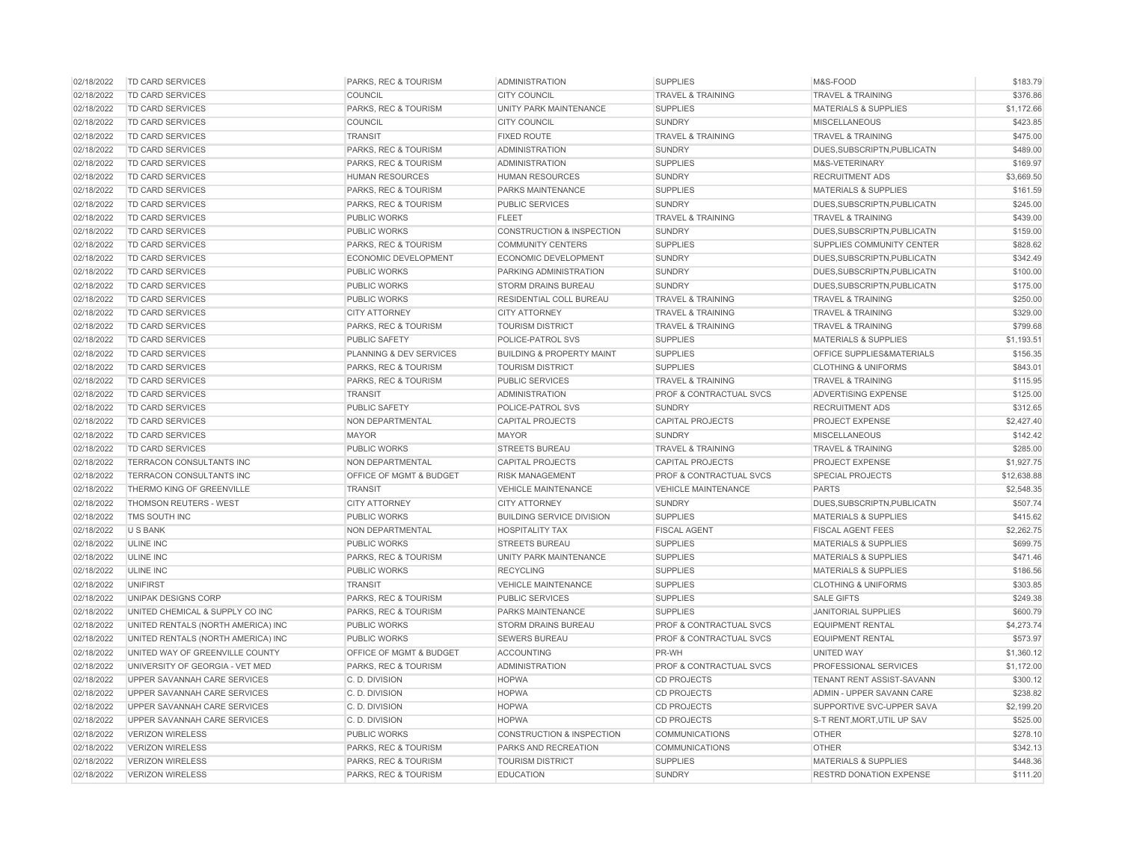| 02/18/2022 | <b>TD CARD SERVICES</b>            | PARKS, REC & TOURISM                   | <b>ADMINISTRATION</b>                | <b>SUPPLIES</b>                    | M&S-FOOD                        | \$183.79    |
|------------|------------------------------------|----------------------------------------|--------------------------------------|------------------------------------|---------------------------------|-------------|
| 02/18/2022 | TD CARD SERVICES                   | COUNCIL                                | <b>CITY COUNCIL</b>                  | <b>TRAVEL &amp; TRAINING</b>       | <b>TRAVEL &amp; TRAINING</b>    | \$376.86    |
| 02/18/2022 | <b>TD CARD SERVICES</b>            | PARKS, REC & TOURISM                   | UNITY PARK MAINTENANCE               | <b>SUPPLIES</b>                    | <b>MATERIALS &amp; SUPPLIES</b> | \$1,172.66  |
| 02/18/2022 | TD CARD SERVICES                   | COUNCIL                                | <b>CITY COUNCIL</b>                  | <b>SUNDRY</b>                      | <b>MISCELLANEOUS</b>            | \$423.85    |
| 02/18/2022 | TD CARD SERVICES                   | <b>TRANSIT</b>                         | <b>FIXED ROUTE</b>                   | <b>TRAVEL &amp; TRAINING</b>       | <b>TRAVEL &amp; TRAINING</b>    | \$475.00    |
| 02/18/2022 | TD CARD SERVICES                   | PARKS, REC & TOURISM                   | <b>ADMINISTRATION</b>                | <b>SUNDRY</b>                      | DUES, SUBSCRIPTN, PUBLICATN     | \$489.00    |
| 02/18/2022 | TD CARD SERVICES                   | PARKS, REC & TOURISM                   | <b>ADMINISTRATION</b>                | <b>SUPPLIES</b>                    | M&S-VETERINARY                  | \$169.97    |
| 02/18/2022 | TD CARD SERVICES                   | <b>HUMAN RESOURCES</b>                 | <b>HUMAN RESOURCES</b>               | <b>SUNDRY</b>                      | <b>RECRUITMENT ADS</b>          | \$3,669.50  |
| 02/18/2022 | TD CARD SERVICES                   | PARKS, REC & TOURISM                   | PARKS MAINTENANCE                    | <b>SUPPLIES</b>                    | MATERIALS & SUPPLIES            | \$161.59    |
| 02/18/2022 | <b>TD CARD SERVICES</b>            | PARKS, REC & TOURISM                   | <b>PUBLIC SERVICES</b>               | <b>SUNDRY</b>                      | DUES.SUBSCRIPTN.PUBLICATN       | \$245.00    |
| 02/18/2022 | TD CARD SERVICES                   | <b>PUBLIC WORKS</b>                    | <b>FLEET</b>                         | <b>TRAVEL &amp; TRAINING</b>       | <b>TRAVEL &amp; TRAINING</b>    | \$439.00    |
| 02/18/2022 | TD CARD SERVICES                   | PUBLIC WORKS                           | <b>CONSTRUCTION &amp; INSPECTION</b> | <b>SUNDRY</b>                      | DUES, SUBSCRIPTN, PUBLICATN     | \$159.00    |
| 02/18/2022 | <b>TD CARD SERVICES</b>            | PARKS, REC & TOURISM                   | <b>COMMUNITY CENTERS</b>             | <b>SUPPLIES</b>                    | SUPPLIES COMMUNITY CENTER       | \$828.62    |
| 02/18/2022 | TD CARD SERVICES                   | ECONOMIC DEVELOPMENT                   | <b>ECONOMIC DEVELOPMENT</b>          | <b>SUNDRY</b>                      | DUES, SUBSCRIPTN, PUBLICATN     | \$342.49    |
| 02/18/2022 | TD CARD SERVICES                   | <b>PUBLIC WORKS</b>                    | PARKING ADMINISTRATION               | <b>SUNDRY</b>                      | DUES, SUBSCRIPTN, PUBLICATN     | \$100.00    |
| 02/18/2022 | <b>TD CARD SERVICES</b>            | <b>PUBLIC WORKS</b>                    | <b>STORM DRAINS BUREAU</b>           | <b>SUNDRY</b>                      | DUES, SUBSCRIPTN, PUBLICATN     | \$175.00    |
| 02/18/2022 | TD CARD SERVICES                   | <b>PUBLIC WORKS</b>                    | RESIDENTIAL COLL BUREAU              | <b>TRAVEL &amp; TRAINING</b>       | <b>TRAVEL &amp; TRAINING</b>    | \$250.00    |
| 02/18/2022 | TD CARD SERVICES                   | <b>CITY ATTORNEY</b>                   | <b>CITY ATTORNEY</b>                 | <b>TRAVEL &amp; TRAINING</b>       | <b>TRAVEL &amp; TRAINING</b>    | \$329.00    |
| 02/18/2022 | <b>TD CARD SERVICES</b>            | PARKS, REC & TOURISM                   | <b>TOURISM DISTRICT</b>              | <b>TRAVEL &amp; TRAINING</b>       | <b>TRAVEL &amp; TRAINING</b>    | \$799.68    |
| 02/18/2022 | <b>TD CARD SERVICES</b>            | <b>PUBLIC SAFETY</b>                   | POLICE-PATROL SVS                    | <b>SUPPLIES</b>                    | <b>MATERIALS &amp; SUPPLIES</b> | \$1,193.51  |
| 02/18/2022 | TD CARD SERVICES                   | <b>PLANNING &amp; DEV SERVICES</b>     | <b>BUILDING &amp; PROPERTY MAINT</b> | <b>SUPPLIES</b>                    | OFFICE SUPPLIES&MATERIALS       | \$156.35    |
| 02/18/2022 | <b>TD CARD SERVICES</b>            | <b>PARKS, REC &amp; TOURISM</b>        | <b>TOURISM DISTRICT</b>              | <b>SUPPLIES</b>                    | <b>CLOTHING &amp; UNIFORMS</b>  | \$843.01    |
| 02/18/2022 | <b>TD CARD SERVICES</b>            | PARKS, REC & TOURISM                   | <b>PUBLIC SERVICES</b>               | <b>TRAVEL &amp; TRAINING</b>       | <b>TRAVEL &amp; TRAINING</b>    | \$115.95    |
| 02/18/2022 | <b>TD CARD SERVICES</b>            | <b>TRANSIT</b>                         | <b>ADMINISTRATION</b>                | <b>PROF &amp; CONTRACTUAL SVCS</b> | ADVERTISING EXPENSE             | \$125.00    |
| 02/18/2022 | <b>TD CARD SERVICES</b>            | <b>PUBLIC SAFETY</b>                   | POLICE-PATROL SVS                    | <b>SUNDRY</b>                      | <b>RECRUITMENT ADS</b>          | \$312.65    |
| 02/18/2022 | TD CARD SERVICES                   | NON DEPARTMENTAL                       | <b>CAPITAL PROJECTS</b>              | <b>CAPITAL PROJECTS</b>            | <b>PROJECT EXPENSE</b>          | \$2,427.40  |
| 02/18/2022 | TD CARD SERVICES                   | <b>MAYOR</b>                           | <b>MAYOR</b>                         | <b>SUNDRY</b>                      | <b>MISCELLANEOUS</b>            | \$142.42    |
| 02/18/2022 | <b>TD CARD SERVICES</b>            | <b>PUBLIC WORKS</b>                    | <b>STREETS BUREAU</b>                | <b>TRAVEL &amp; TRAINING</b>       | <b>TRAVEL &amp; TRAINING</b>    | \$285.00    |
| 02/18/2022 | TERRACON CONSULTANTS INC           | NON DEPARTMENTAL                       | <b>CAPITAL PROJECTS</b>              | <b>CAPITAL PROJECTS</b>            | PROJECT EXPENSE                 | \$1,927.75  |
| 02/18/2022 | <b>TERRACON CONSULTANTS INC</b>    | OFFICE OF MGMT & BUDGET                | <b>RISK MANAGEMENT</b>               | <b>PROF &amp; CONTRACTUAL SVCS</b> | <b>SPECIAL PROJECTS</b>         | \$12,638.88 |
| 02/18/2022 | THERMO KING OF GREENVILLE          | <b>TRANSIT</b>                         | <b>VEHICLE MAINTENANCE</b>           | <b>VEHICLE MAINTENANCE</b>         | <b>PARTS</b>                    | \$2,548.35  |
| 02/18/2022 | THOMSON REUTERS - WEST             | <b>CITY ATTORNEY</b>                   | <b>CITY ATTORNEY</b>                 | <b>SUNDRY</b>                      | DUES, SUBSCRIPTN, PUBLICATN     | \$507.74    |
| 02/18/2022 | TMS SOUTH INC                      | <b>PUBLIC WORKS</b>                    | <b>BUILDING SERVICE DIVISION</b>     | <b>SUPPLIES</b>                    | <b>MATERIALS &amp; SUPPLIES</b> | \$415.62    |
| 02/18/2022 | <b>USBANK</b>                      | NON DEPARTMENTAL                       | <b>HOSPITALITY TAX</b>               | <b>FISCAL AGENT</b>                | <b>FISCAL AGENT FEES</b>        | \$2,262.75  |
| 02/18/2022 | <b>ULINE INC</b>                   | <b>PUBLIC WORKS</b>                    | <b>STREETS BUREAU</b>                | <b>SUPPLIES</b>                    | <b>MATERIALS &amp; SUPPLIES</b> | \$699.75    |
| 02/18/2022 | <b>ULINE INC</b>                   | PARKS, REC & TOURISM                   | UNITY PARK MAINTENANCE               | <b>SUPPLIES</b>                    | <b>MATERIALS &amp; SUPPLIES</b> | \$471.46    |
| 02/18/2022 | <b>ULINE INC</b>                   | <b>PUBLIC WORKS</b>                    | <b>RECYCLING</b>                     | <b>SUPPLIES</b>                    | <b>MATERIALS &amp; SUPPLIES</b> | \$186.56    |
| 02/18/2022 | <b>UNIFIRST</b>                    |                                        | <b>VEHICLE MAINTENANCE</b>           | <b>SUPPLIES</b>                    | <b>CLOTHING &amp; UNIFORMS</b>  | \$303.85    |
| 02/18/2022 | <b>UNIPAK DESIGNS CORP</b>         | <b>TRANSIT</b><br>PARKS, REC & TOURISM | <b>PUBLIC SERVICES</b>               | <b>SUPPLIES</b>                    | <b>SALE GIFTS</b>               | \$249.38    |
| 02/18/2022 | UNITED CHEMICAL & SUPPLY CO INC    | PARKS, REC & TOURISM                   | PARKS MAINTENANCE                    | <b>SUPPLIES</b>                    | <b>JANITORIAL SUPPLIES</b>      | \$600.79    |
|            |                                    |                                        |                                      |                                    |                                 |             |
| 02/18/2022 | UNITED RENTALS (NORTH AMERICA) INC | <b>PUBLIC WORKS</b>                    | <b>STORM DRAINS BUREAU</b>           | PROF & CONTRACTUAL SVCS            | <b>EQUIPMENT RENTAL</b>         | \$4,273.74  |
| 02/18/2022 | UNITED RENTALS (NORTH AMERICA) INC | PUBLIC WORKS                           | <b>SEWERS BUREAU</b>                 | <b>PROF &amp; CONTRACTUAL SVCS</b> | <b>EQUIPMENT RENTAL</b>         | \$573.97    |
| 02/18/2022 | UNITED WAY OF GREENVILLE COUNTY    | OFFICE OF MGMT & BUDGET                | <b>ACCOUNTING</b>                    | PR-WH                              | <b>UNITED WAY</b>               | \$1,360.12  |
| 02/18/2022 | UNIVERSITY OF GEORGIA - VET MED    | PARKS, REC & TOURISM                   | <b>ADMINISTRATION</b>                | PROF & CONTRACTUAL SVCS            | PROFESSIONAL SERVICES           | \$1,172.00  |
| 02/18/2022 | UPPER SAVANNAH CARE SERVICES       | C. D. DIVISION                         | <b>HOPWA</b>                         | <b>CD PROJECTS</b>                 | TENANT RENT ASSIST-SAVANN       | \$300.12    |
| 02/18/2022 | UPPER SAVANNAH CARE SERVICES       | C. D. DIVISION                         | <b>HOPWA</b>                         | <b>CD PROJECTS</b>                 | ADMIN - UPPER SAVANN CARE       | \$238.82    |
| 02/18/2022 | UPPER SAVANNAH CARE SERVICES       | C. D. DIVISION                         | <b>HOPWA</b>                         | CD PROJECTS                        | SUPPORTIVE SVC-UPPER SAVA       | \$2,199.20  |
| 02/18/2022 | UPPER SAVANNAH CARE SERVICES       | C. D. DIVISION                         | <b>HOPWA</b>                         | <b>CD PROJECTS</b>                 | S-T RENT, MORT, UTIL UP SAV     | \$525.00    |
| 02/18/2022 | <b>VERIZON WIRELESS</b>            | <b>PUBLIC WORKS</b>                    | <b>CONSTRUCTION &amp; INSPECTION</b> | <b>COMMUNICATIONS</b>              | <b>OTHER</b>                    | \$278.10    |
| 02/18/2022 | <b>VERIZON WIRELESS</b>            | PARKS, REC & TOURISM                   | PARKS AND RECREATION                 | COMMUNICATIONS                     | <b>OTHER</b>                    | \$342.13    |
| 02/18/2022 | <b>VERIZON WIRELESS</b>            | PARKS, REC & TOURISM                   | <b>TOURISM DISTRICT</b>              | <b>SUPPLIES</b>                    | <b>MATERIALS &amp; SUPPLIES</b> | \$448.36    |
| 02/18/2022 | <b>VERIZON WIRELESS</b>            | PARKS, REC & TOURISM                   | <b>EDUCATION</b>                     | <b>SUNDRY</b>                      | <b>RESTRD DONATION EXPENSE</b>  | \$111.20    |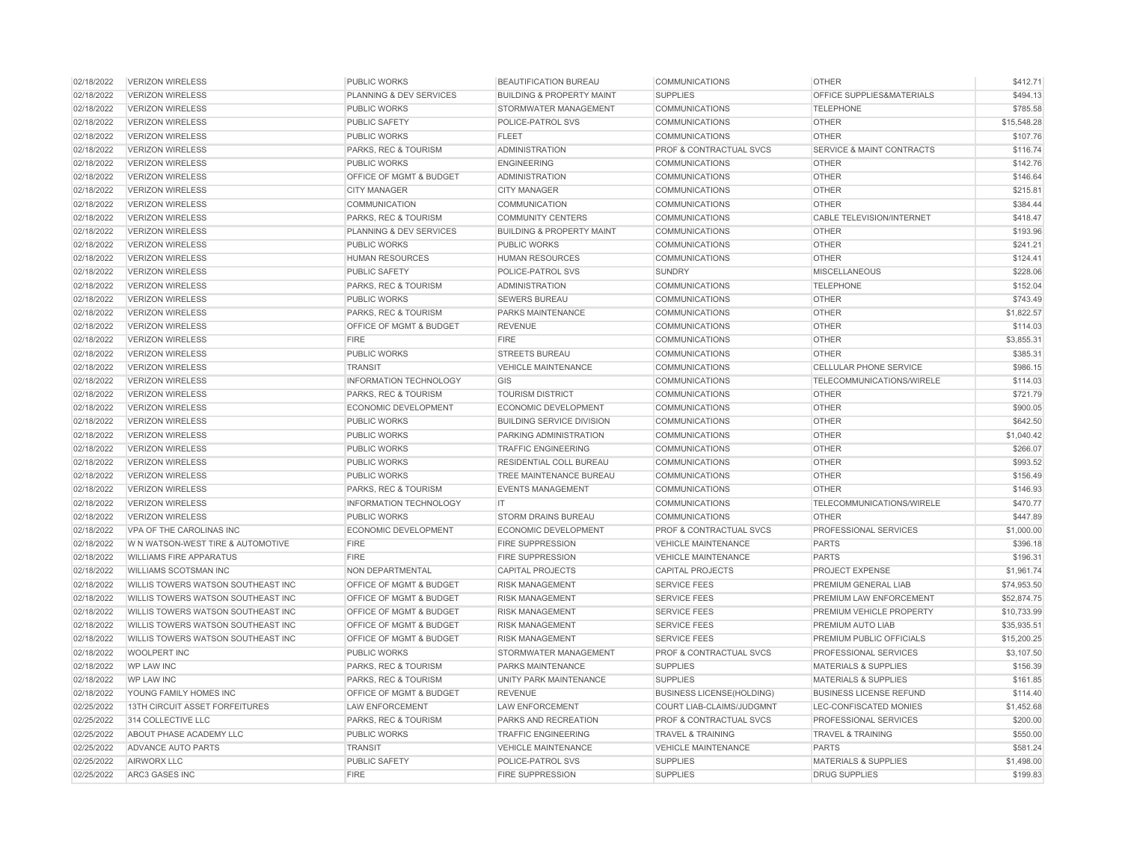| 02/18/2022 | <b>VERIZON WIRELESS</b>            | <b>PUBLIC WORKS</b>                | <b>BEAUTIFICATION BUREAU</b>         | <b>COMMUNICATIONS</b>              | <b>OTHER</b>                         | \$412.71    |
|------------|------------------------------------|------------------------------------|--------------------------------------|------------------------------------|--------------------------------------|-------------|
| 02/18/2022 | <b>VERIZON WIRELESS</b>            | PLANNING & DEV SERVICES            | <b>BUILDING &amp; PROPERTY MAINT</b> | <b>SUPPLIES</b>                    | OFFICE SUPPLIES&MATERIALS            | \$494.13    |
| 02/18/2022 | <b>VERIZON WIRELESS</b>            | <b>PUBLIC WORKS</b>                | STORMWATER MANAGEMENT                | <b>COMMUNICATIONS</b>              | <b>TELEPHONE</b>                     | \$785.58    |
| 02/18/2022 | <b>VERIZON WIRELESS</b>            | <b>PUBLIC SAFETY</b>               | POLICE-PATROL SVS                    | <b>COMMUNICATIONS</b>              | <b>OTHER</b>                         | \$15,548.28 |
| 02/18/2022 | <b>VERIZON WIRELESS</b>            | <b>PUBLIC WORKS</b>                | <b>FLEET</b>                         | <b>COMMUNICATIONS</b>              | <b>OTHER</b>                         | \$107.76    |
| 02/18/2022 | <b>VERIZON WIRELESS</b>            | PARKS, REC & TOURISM               | <b>ADMINISTRATION</b>                | PROF & CONTRACTUAL SVCS            | <b>SERVICE &amp; MAINT CONTRACTS</b> | \$116.74    |
| 02/18/2022 | <b>VERIZON WIRELESS</b>            | PUBLIC WORKS                       | <b>ENGINEERING</b>                   | <b>COMMUNICATIONS</b>              | <b>OTHER</b>                         | \$142.76    |
| 02/18/2022 | <b>VERIZON WIRELESS</b>            | OFFICE OF MGMT & BUDGET            | <b>ADMINISTRATION</b>                | <b>COMMUNICATIONS</b>              | <b>OTHER</b>                         | \$146.64    |
| 02/18/2022 | <b>VERIZON WIRELESS</b>            | <b>CITY MANAGER</b>                | <b>CITY MANAGER</b>                  | COMMUNICATIONS                     | <b>OTHER</b>                         | \$215.81    |
| 02/18/2022 | <b>VERIZON WIRELESS</b>            | <b>COMMUNICATION</b>               | <b>COMMUNICATION</b>                 | <b>COMMUNICATIONS</b>              | <b>OTHER</b>                         | \$384.44    |
| 02/18/2022 | <b>VERIZON WIRELESS</b>            | PARKS, REC & TOURISM               | <b>COMMUNITY CENTERS</b>             | <b>COMMUNICATIONS</b>              | <b>CABLE TELEVISION/INTERNET</b>     | \$418.47    |
| 02/18/2022 | <b>VERIZON WIRELESS</b>            | PLANNING & DEV SERVICES            | <b>BUILDING &amp; PROPERTY MAINT</b> | <b>COMMUNICATIONS</b>              | <b>OTHER</b>                         | \$193.96    |
| 02/18/2022 | <b>VERIZON WIRELESS</b>            | <b>PUBLIC WORKS</b>                | PUBLIC WORKS                         | <b>COMMUNICATIONS</b>              | <b>OTHER</b>                         | \$241.21    |
| 02/18/2022 | <b>VERIZON WIRELESS</b>            | <b>HUMAN RESOURCES</b>             | <b>HUMAN RESOURCES</b>               | <b>COMMUNICATIONS</b>              | <b>OTHER</b>                         | \$124.41    |
| 02/18/2022 | <b>VERIZON WIRELESS</b>            | PUBLIC SAFETY                      | POLICE-PATROL SVS                    | <b>SUNDRY</b>                      | <b>MISCELLANEOUS</b>                 | \$228.06    |
| 02/18/2022 | <b>VERIZON WIRELESS</b>            | PARKS, REC & TOURISM               | <b>ADMINISTRATION</b>                | <b>COMMUNICATIONS</b>              | <b>TELEPHONE</b>                     | \$152.04    |
| 02/18/2022 | <b>VERIZON WIRELESS</b>            | <b>PUBLIC WORKS</b>                | <b>SEWERS BUREAU</b>                 | <b>COMMUNICATIONS</b>              | <b>OTHER</b>                         | \$743.49    |
| 02/18/2022 | <b>VERIZON WIRELESS</b>            | PARKS, REC & TOURISM               | PARKS MAINTENANCE                    | <b>COMMUNICATIONS</b>              | <b>OTHER</b>                         | \$1,822.57  |
| 02/18/2022 | <b>VERIZON WIRELESS</b>            | <b>OFFICE OF MGMT &amp; BUDGET</b> | <b>REVENUE</b>                       | <b>COMMUNICATIONS</b>              | <b>OTHER</b>                         | \$114.03    |
| 02/18/2022 | <b>VERIZON WIRELESS</b>            | <b>FIRE</b>                        | <b>FIRE</b>                          | <b>COMMUNICATIONS</b>              | <b>OTHER</b>                         | \$3,855.31  |
| 02/18/2022 | <b>VERIZON WIRELESS</b>            | <b>PUBLIC WORKS</b>                | <b>STREETS BUREAU</b>                | <b>COMMUNICATIONS</b>              | <b>OTHER</b>                         | \$385.31    |
| 02/18/2022 | <b>VERIZON WIRELESS</b>            | <b>TRANSIT</b>                     | <b>VEHICLE MAINTENANCE</b>           | <b>COMMUNICATIONS</b>              | <b>CELLULAR PHONE SERVICE</b>        | \$986.15    |
| 02/18/2022 | <b>VERIZON WIRELESS</b>            | <b>INFORMATION TECHNOLOGY</b>      | GIS                                  | <b>COMMUNICATIONS</b>              | TELECOMMUNICATIONS/WIRELE            | \$114.03    |
| 02/18/2022 | <b>VERIZON WIRELESS</b>            | PARKS, REC & TOURISM               | <b>TOURISM DISTRICT</b>              | COMMUNICATIONS                     | <b>OTHER</b>                         | \$721.79    |
| 02/18/2022 | <b>VERIZON WIRELESS</b>            | ECONOMIC DEVELOPMENT               | <b>ECONOMIC DEVELOPMENT</b>          | <b>COMMUNICATIONS</b>              | <b>OTHER</b>                         | \$900.05    |
| 02/18/2022 | <b>VERIZON WIRELESS</b>            | <b>PUBLIC WORKS</b>                | <b>BUILDING SERVICE DIVISION</b>     | <b>COMMUNICATIONS</b>              | <b>OTHER</b>                         | \$642.50    |
| 02/18/2022 | <b>VERIZON WIRELESS</b>            | PUBLIC WORKS                       | PARKING ADMINISTRATION               | <b>COMMUNICATIONS</b>              | <b>OTHER</b>                         | \$1,040.42  |
| 02/18/2022 | <b>VERIZON WIRELESS</b>            | PUBLIC WORKS                       | <b>TRAFFIC ENGINEERING</b>           | <b>COMMUNICATIONS</b>              | <b>OTHER</b>                         | \$266.07    |
| 02/18/2022 | <b>VERIZON WIRELESS</b>            | <b>PUBLIC WORKS</b>                | RESIDENTIAL COLL BUREAU              | <b>COMMUNICATIONS</b>              | <b>OTHER</b>                         | \$993.52    |
| 02/18/2022 | <b>VERIZON WIRELESS</b>            | PUBLIC WORKS                       | TREE MAINTENANCE BUREAU              | COMMUNICATIONS                     | <b>OTHER</b>                         | \$156.49    |
| 02/18/2022 | <b>VERIZON WIRELESS</b>            | PARKS, REC & TOURISM               | <b>EVENTS MANAGEMENT</b>             | <b>COMMUNICATIONS</b>              | <b>OTHER</b>                         | \$146.93    |
| 02/18/2022 | <b>VERIZON WIRELESS</b>            | <b>INFORMATION TECHNOLOGY</b>      | IT.                                  | <b>COMMUNICATIONS</b>              | TELECOMMUNICATIONS/WIRELE            | \$470.77    |
| 02/18/2022 | <b>VERIZON WIRELESS</b>            | <b>PUBLIC WORKS</b>                | <b>STORM DRAINS BUREAU</b>           | <b>COMMUNICATIONS</b>              | <b>OTHER</b>                         | \$447.89    |
| 02/18/2022 | VPA OF THE CAROLINAS INC           | ECONOMIC DEVELOPMENT               | <b>ECONOMIC DEVELOPMENT</b>          | <b>PROF &amp; CONTRACTUAL SVCS</b> | PROFESSIONAL SERVICES                | \$1,000.00  |
| 02/18/2022 | W N WATSON-WEST TIRE & AUTOMOTIVE  | <b>FIRE</b>                        | <b>FIRE SUPPRESSION</b>              | <b>VEHICLE MAINTENANCE</b>         | <b>PARTS</b>                         | \$396.18    |
| 02/18/2022 | <b>WILLIAMS FIRE APPARATUS</b>     | FIRE                               | <b>FIRE SUPPRESSION</b>              | <b>VEHICLE MAINTENANCE</b>         | <b>PARTS</b>                         | \$196.31    |
| 02/18/2022 | WILLIAMS SCOTSMAN INC              | NON DEPARTMENTAL                   | <b>CAPITAL PROJECTS</b>              | <b>CAPITAL PROJECTS</b>            | <b>PROJECT EXPENSE</b>               | \$1,961.74  |
| 02/18/2022 | WILLIS TOWERS WATSON SOUTHEAST INC | <b>OFFICE OF MGMT &amp; BUDGET</b> | <b>RISK MANAGEMENT</b>               | <b>SERVICE FEES</b>                | PREMIUM GENERAL LIAB                 | \$74,953.50 |
| 02/18/2022 | WILLIS TOWERS WATSON SOUTHEAST INC | OFFICE OF MGMT & BUDGET            | <b>RISK MANAGEMENT</b>               | <b>SERVICE FEES</b>                | PREMIUM LAW ENFORCEMENT              | \$52,874.75 |
| 02/18/2022 | WILLIS TOWERS WATSON SOUTHEAST INC | OFFICE OF MGMT & BUDGET            | <b>RISK MANAGEMENT</b>               | <b>SERVICE FEES</b>                | PREMIUM VEHICLE PROPERTY             | \$10,733.99 |
| 02/18/2022 | WILLIS TOWERS WATSON SOUTHEAST INC | OFFICE OF MGMT & BUDGET            | <b>RISK MANAGEMENT</b>               | <b>SERVICE FEES</b>                | PREMIUM AUTO LIAB                    | \$35,935.51 |
| 02/18/2022 | WILLIS TOWERS WATSON SOUTHEAST INC | OFFICE OF MGMT & BUDGET            | <b>RISK MANAGEMENT</b>               | <b>SERVICE FEES</b>                | PREMIUM PUBLIC OFFICIALS             | \$15,200.25 |
| 02/18/2022 | WOOLPERT INC                       | PUBLIC WORKS                       | STORMWATER MANAGEMENT                | PROF & CONTRACTUAL SVCS            | PROFESSIONAL SERVICES                | \$3,107.50  |
| 02/18/2022 | WP LAW INC                         | PARKS, REC & TOURISM               | PARKS MAINTENANCE                    | <b>SUPPLIES</b>                    | MATERIALS & SUPPLIES                 | \$156.39    |
| 02/18/2022 | <b>WP LAW INC</b>                  | PARKS, REC & TOURISM               | <b>UNITY PARK MAINTENANCE</b>        | <b>SUPPLIES</b>                    | <b>MATERIALS &amp; SUPPLIES</b>      | \$161.85    |
| 02/18/2022 | YOUNG FAMILY HOMES INC             | OFFICE OF MGMT & BUDGET            | <b>REVENUE</b>                       | <b>BUSINESS LICENSE(HOLDING)</b>   | <b>BUSINESS LICENSE REFUND</b>       | \$114.40    |
| 02/25/2022 | 13TH CIRCUIT ASSET FORFEITURES     | <b>LAW ENFORCEMENT</b>             | <b>LAW ENFORCEMENT</b>               | COURT LIAB-CLAIMS/JUDGMNT          | LEC-CONFISCATED MONIES               | \$1,452.68  |
| 02/25/2022 | 314 COLLECTIVE LLC                 | PARKS, REC & TOURISM               | PARKS AND RECREATION                 | PROF & CONTRACTUAL SVCS            | PROFESSIONAL SERVICES                | \$200.00    |
| 02/25/2022 | ABOUT PHASE ACADEMY LLC            | <b>PUBLIC WORKS</b>                | <b>TRAFFIC ENGINEERING</b>           | <b>TRAVEL &amp; TRAINING</b>       | <b>TRAVEL &amp; TRAINING</b>         | \$550.00    |
| 02/25/2022 | <b>ADVANCE AUTO PARTS</b>          | <b>TRANSIT</b>                     | <b>VEHICLE MAINTENANCE</b>           | <b>VEHICLE MAINTENANCE</b>         | <b>PARTS</b>                         | \$581.24    |
| 02/25/2022 | <b>AIRWORX LLC</b>                 | <b>PUBLIC SAFETY</b>               | POLICE-PATROL SVS                    | <b>SUPPLIES</b>                    | <b>MATERIALS &amp; SUPPLIES</b>      | \$1,498.00  |
| 02/25/2022 | <b>ARC3 GASES INC</b>              | <b>FIRE</b>                        | <b>FIRE SUPPRESSION</b>              | <b>SUPPLIES</b>                    | <b>DRUG SUPPLIES</b>                 | \$199.83    |
|            |                                    |                                    |                                      |                                    |                                      |             |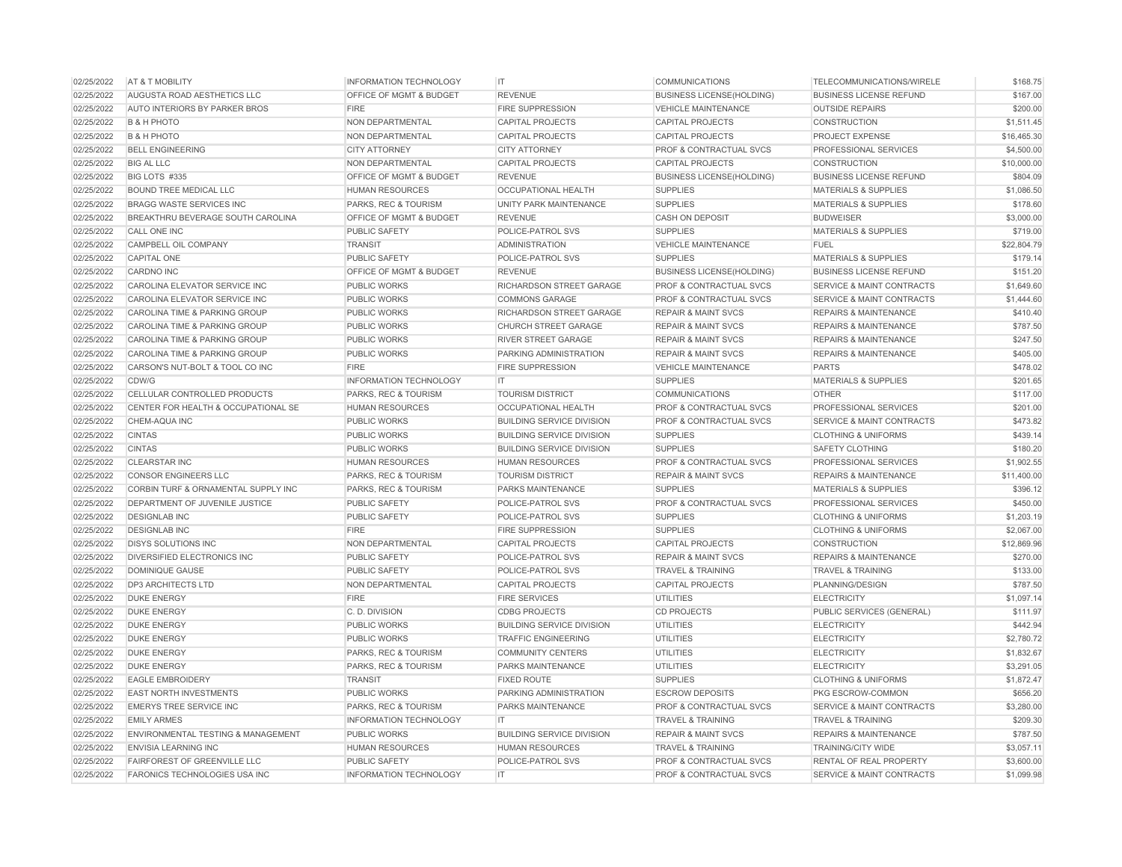| 02/25/2022 | AT & T MOBILITY                               | <b>INFORMATION TECHNOLOGY</b> | IT                               | <b>COMMUNICATIONS</b>              | TELECOMMUNICATIONS/WIRELE            | \$168.75    |
|------------|-----------------------------------------------|-------------------------------|----------------------------------|------------------------------------|--------------------------------------|-------------|
| 02/25/2022 | AUGUSTA ROAD AESTHETICS LLC                   | OFFICE OF MGMT & BUDGET       | <b>REVENUE</b>                   | <b>BUSINESS LICENSE(HOLDING)</b>   | <b>BUSINESS LICENSE REFUND</b>       | \$167.00    |
| 02/25/2022 | <b>AUTO INTERIORS BY PARKER BROS</b>          | <b>FIRE</b>                   | <b>FIRE SUPPRESSION</b>          | <b>VEHICLE MAINTENANCE</b>         | <b>OUTSIDE REPAIRS</b>               | \$200.00    |
| 02/25/2022 | <b>B &amp; H PHOTO</b>                        | <b>NON DEPARTMENTAL</b>       | <b>CAPITAL PROJECTS</b>          | <b>CAPITAL PROJECTS</b>            | CONSTRUCTION                         | \$1,511.45  |
| 02/25/2022 | <b>B &amp; H PHOTO</b>                        | <b>NON DEPARTMENTAL</b>       | <b>CAPITAL PROJECTS</b>          | <b>CAPITAL PROJECTS</b>            | <b>PROJECT EXPENSE</b>               | \$16,465.30 |
| 02/25/2022 | <b>BELL ENGINEERING</b>                       | <b>CITY ATTORNEY</b>          | <b>CITY ATTORNEY</b>             | <b>PROF &amp; CONTRACTUAL SVCS</b> | <b>PROFESSIONAL SERVICES</b>         | \$4,500.00  |
| 02/25/2022 | <b>BIG AL LLC</b>                             | NON DEPARTMENTAL              | <b>CAPITAL PROJECTS</b>          | <b>CAPITAL PROJECTS</b>            | <b>CONSTRUCTION</b>                  | \$10,000.00 |
| 02/25/2022 | BIG LOTS #335                                 | OFFICE OF MGMT & BUDGET       | <b>REVENUE</b>                   | <b>BUSINESS LICENSE(HOLDING)</b>   | <b>BUSINESS LICENSE REFUND</b>       | \$804.09    |
| 02/25/2022 | BOUND TREE MEDICAL LLC                        | <b>HUMAN RESOURCES</b>        | <b>OCCUPATIONAL HEALTH</b>       | <b>SUPPLIES</b>                    | <b>MATERIALS &amp; SUPPLIES</b>      | \$1,086.50  |
| 02/25/2022 | <b>BRAGG WASTE SERVICES INC</b>               | PARKS, REC & TOURISM          | <b>UNITY PARK MAINTENANCE</b>    | <b>SUPPLIES</b>                    | <b>MATERIALS &amp; SUPPLIES</b>      | \$178.60    |
| 02/25/2022 | BREAKTHRU BEVERAGE SOUTH CAROLINA             | OFFICE OF MGMT & BUDGET       | <b>REVENUE</b>                   | <b>CASH ON DEPOSIT</b>             | <b>BUDWEISER</b>                     | \$3,000.00  |
| 02/25/2022 | CALL ONE INC                                  | <b>PUBLIC SAFETY</b>          | POLICE-PATROL SVS                | <b>SUPPLIES</b>                    | <b>MATERIALS &amp; SUPPLIES</b>      | \$719.00    |
| 02/25/2022 | CAMPBELL OIL COMPANY                          | <b>TRANSIT</b>                | <b>ADMINISTRATION</b>            | <b>VEHICLE MAINTENANCE</b>         | <b>FUEL</b>                          | \$22,804.79 |
| 02/25/2022 | <b>CAPITAL ONE</b>                            | <b>PUBLIC SAFETY</b>          | POLICE-PATROL SVS                | <b>SUPPLIES</b>                    | <b>MATERIALS &amp; SUPPLIES</b>      | \$179.14    |
| 02/25/2022 | <b>CARDNO INC</b>                             | OFFICE OF MGMT & BUDGET       | <b>REVENUE</b>                   | <b>BUSINESS LICENSE(HOLDING)</b>   | <b>BUSINESS LICENSE REFUND</b>       | \$151.20    |
| 02/25/2022 | CAROLINA ELEVATOR SERVICE INC                 | <b>PUBLIC WORKS</b>           | RICHARDSON STREET GARAGE         | <b>PROF &amp; CONTRACTUAL SVCS</b> | <b>SERVICE &amp; MAINT CONTRACTS</b> | \$1,649.60  |
| 02/25/2022 | CAROLINA ELEVATOR SERVICE INC                 | PUBLIC WORKS                  | <b>COMMONS GARAGE</b>            | <b>PROF &amp; CONTRACTUAL SVCS</b> | <b>SERVICE &amp; MAINT CONTRACTS</b> | \$1,444.60  |
| 02/25/2022 | CAROLINA TIME & PARKING GROUP                 | PUBLIC WORKS                  | RICHARDSON STREET GARAGE         | <b>REPAIR &amp; MAINT SVCS</b>     | <b>REPAIRS &amp; MAINTENANCE</b>     | \$410.40    |
| 02/25/2022 | CAROLINA TIME & PARKING GROUP                 | PUBLIC WORKS                  | <b>CHURCH STREET GARAGE</b>      | <b>REPAIR &amp; MAINT SVCS</b>     | <b>REPAIRS &amp; MAINTENANCE</b>     | \$787.50    |
| 02/25/2022 | CAROLINA TIME & PARKING GROUP                 | <b>PUBLIC WORKS</b>           | <b>RIVER STREET GARAGE</b>       | <b>REPAIR &amp; MAINT SVCS</b>     | <b>REPAIRS &amp; MAINTENANCE</b>     | \$247.50    |
| 02/25/2022 | CAROLINA TIME & PARKING GROUP                 | <b>PUBLIC WORKS</b>           | PARKING ADMINISTRATION           | <b>REPAIR &amp; MAINT SVCS</b>     | <b>REPAIRS &amp; MAINTENANCE</b>     | \$405.00    |
| 02/25/2022 | CARSON'S NUT-BOLT & TOOL CO INC               | <b>FIRE</b>                   | <b>FIRE SUPPRESSION</b>          | <b>VEHICLE MAINTENANCE</b>         | <b>PARTS</b>                         | \$478.02    |
| 02/25/2022 | CDW/G                                         | <b>INFORMATION TECHNOLOGY</b> | IT.                              | <b>SUPPLIES</b>                    | <b>MATERIALS &amp; SUPPLIES</b>      | \$201.65    |
| 02/25/2022 | CELLULAR CONTROLLED PRODUCTS                  | PARKS, REC & TOURISM          | <b>TOURISM DISTRICT</b>          | <b>COMMUNICATIONS</b>              | <b>OTHER</b>                         | \$117.00    |
| 02/25/2022 | CENTER FOR HEALTH & OCCUPATIONAL SE           | <b>HUMAN RESOURCES</b>        | <b>OCCUPATIONAL HEALTH</b>       | <b>PROF &amp; CONTRACTUAL SVCS</b> | PROFESSIONAL SERVICES                | \$201.00    |
| 02/25/2022 | CHEM-AQUA INC                                 | PUBLIC WORKS                  | <b>BUILDING SERVICE DIVISION</b> | <b>PROF &amp; CONTRACTUAL SVCS</b> | <b>SERVICE &amp; MAINT CONTRACTS</b> | \$473.82    |
| 02/25/2022 | <b>CINTAS</b>                                 | PUBLIC WORKS                  | <b>BUILDING SERVICE DIVISION</b> | <b>SUPPLIES</b>                    | <b>CLOTHING &amp; UNIFORMS</b>       | \$439.14    |
| 02/25/2022 | <b>CINTAS</b>                                 | PUBLIC WORKS                  | <b>BUILDING SERVICE DIVISION</b> | <b>SUPPLIES</b>                    | <b>SAFETY CLOTHING</b>               | \$180.20    |
| 02/25/2022 | <b>CLEARSTAR INC</b>                          | <b>HUMAN RESOURCES</b>        | <b>HUMAN RESOURCES</b>           | <b>PROF &amp; CONTRACTUAL SVCS</b> | PROFESSIONAL SERVICES                | \$1,902.55  |
| 02/25/2022 | <b>CONSOR ENGINEERS LLC</b>                   | PARKS, REC & TOURISM          | <b>TOURISM DISTRICT</b>          | <b>REPAIR &amp; MAINT SVCS</b>     | <b>REPAIRS &amp; MAINTENANCE</b>     | \$11,400.00 |
| 02/25/2022 | CORBIN TURF & ORNAMENTAL SUPPLY INC           | PARKS, REC & TOURISM          | PARKS MAINTENANCE                | <b>SUPPLIES</b>                    | <b>MATERIALS &amp; SUPPLIES</b>      | \$396.12    |
| 02/25/2022 | DEPARTMENT OF JUVENILE JUSTICE                | <b>PUBLIC SAFETY</b>          | POLICE-PATROL SVS                | <b>PROF &amp; CONTRACTUAL SVCS</b> | PROFESSIONAL SERVICES                | \$450.00    |
| 02/25/2022 | <b>DESIGNLAB INC</b>                          | <b>PUBLIC SAFETY</b>          | POLICE-PATROL SVS                | <b>SUPPLIES</b>                    | <b>CLOTHING &amp; UNIFORMS</b>       | \$1,203.19  |
| 02/25/2022 | <b>DESIGNLAB INC</b>                          | <b>FIRE</b>                   | <b>FIRE SUPPRESSION</b>          | <b>SUPPLIES</b>                    | <b>CLOTHING &amp; UNIFORMS</b>       | \$2,067.00  |
| 02/25/2022 | <b>DISYS SOLUTIONS INC</b>                    | NON DEPARTMENTAL              | <b>CAPITAL PROJECTS</b>          | <b>CAPITAL PROJECTS</b>            | CONSTRUCTION                         | \$12,869.96 |
| 02/25/2022 | DIVERSIFIED ELECTRONICS INC                   | <b>PUBLIC SAFETY</b>          | POLICE-PATROL SVS                | <b>REPAIR &amp; MAINT SVCS</b>     | <b>REPAIRS &amp; MAINTENANCE</b>     | \$270.00    |
| 02/25/2022 | <b>DOMINIQUE GAUSE</b>                        | <b>PUBLIC SAFETY</b>          | POLICE-PATROL SVS                | <b>TRAVEL &amp; TRAINING</b>       | <b>TRAVEL &amp; TRAINING</b>         | \$133.00    |
| 02/25/2022 | <b>DP3 ARCHITECTS LTD</b>                     | NON DEPARTMENTAL              | <b>CAPITAL PROJECTS</b>          | <b>CAPITAL PROJECTS</b>            | PLANNING/DESIGN                      | \$787.50    |
| 02/25/2022 | <b>DUKE ENERGY</b>                            | <b>FIRE</b>                   | <b>FIRE SERVICES</b>             | <b>UTILITIES</b>                   | <b>ELECTRICITY</b>                   | \$1,097.14  |
| 02/25/2022 | <b>DUKE ENERGY</b>                            | C.D. DIVISION                 | <b>CDBG PROJECTS</b>             | <b>CD PROJECTS</b>                 | PUBLIC SERVICES (GENERAL)            | \$111.97    |
| 02/25/2022 | <b>DUKE ENERGY</b>                            | <b>PUBLIC WORKS</b>           | <b>BUILDING SERVICE DIVISION</b> | <b>UTILITIES</b>                   | <b>ELECTRICITY</b>                   | \$442.94    |
| 02/25/2022 | <b>DUKE ENERGY</b>                            | <b>PUBLIC WORKS</b>           | <b>TRAFFIC ENGINEERING</b>       | UTILITIES                          | <b>ELECTRICITY</b>                   | \$2,780.72  |
| 02/25/2022 | <b>DUKE ENERGY</b>                            | PARKS, REC & TOURISM          | <b>COMMUNITY CENTERS</b>         | <b>UTILITIES</b>                   | <b>ELECTRICITY</b>                   | \$1,832.67  |
| 02/25/2022 | <b>DUKE ENERGY</b>                            | PARKS, REC & TOURISM          | PARKS MAINTENANCE                | <b>UTILITIES</b>                   | <b>ELECTRICITY</b>                   | \$3,291.05  |
| 02/25/2022 | <b>EAGLE EMBROIDERY</b>                       | <b>TRANSIT</b>                | <b>FIXED ROUTE</b>               | <b>SUPPLIES</b>                    | <b>CLOTHING &amp; UNIFORMS</b>       | \$1,872.47  |
| 02/25/2022 | <b>EAST NORTH INVESTMENTS</b>                 | <b>PUBLIC WORKS</b>           | PARKING ADMINISTRATION           | <b>ESCROW DEPOSITS</b>             | PKG ESCROW-COMMON                    | \$656.20    |
| 02/25/2022 | <b>EMERYS TREE SERVICE INC</b>                | PARKS, REC & TOURISM          | PARKS MAINTENANCE                | <b>PROF &amp; CONTRACTUAL SVCS</b> | <b>SERVICE &amp; MAINT CONTRACTS</b> | \$3,280.00  |
| 02/25/2022 | <b>EMILY ARMES</b>                            | <b>INFORMATION TECHNOLOGY</b> | IT                               | <b>TRAVEL &amp; TRAINING</b>       | <b>TRAVEL &amp; TRAINING</b>         | \$209.30    |
| 02/25/2022 | <b>ENVIRONMENTAL TESTING &amp; MANAGEMENT</b> | PUBLIC WORKS                  | <b>BUILDING SERVICE DIVISION</b> | <b>REPAIR &amp; MAINT SVCS</b>     | <b>REPAIRS &amp; MAINTENANCE</b>     | \$787.50    |
| 02/25/2022 | <b>ENVISIA LEARNING INC</b>                   | <b>HUMAN RESOURCES</b>        | <b>HUMAN RESOURCES</b>           | <b>TRAVEL &amp; TRAINING</b>       | <b>TRAINING/CITY WIDE</b>            | \$3,057.11  |
| 02/25/2022 | <b>FAIRFOREST OF GREENVILLE LLC</b>           | <b>PUBLIC SAFETY</b>          | POLICE-PATROL SVS                | <b>PROF &amp; CONTRACTUAL SVCS</b> | <b>RENTAL OF REAL PROPERTY</b>       | \$3,600.00  |
| 02/25/2022 | FARONICS TECHNOLOGIES USA INC                 | <b>INFORMATION TECHNOLOGY</b> | IT.                              | PROF & CONTRACTUAL SVCS            | <b>SERVICE &amp; MAINT CONTRACTS</b> | \$1,099.98  |
|            |                                               |                               |                                  |                                    |                                      |             |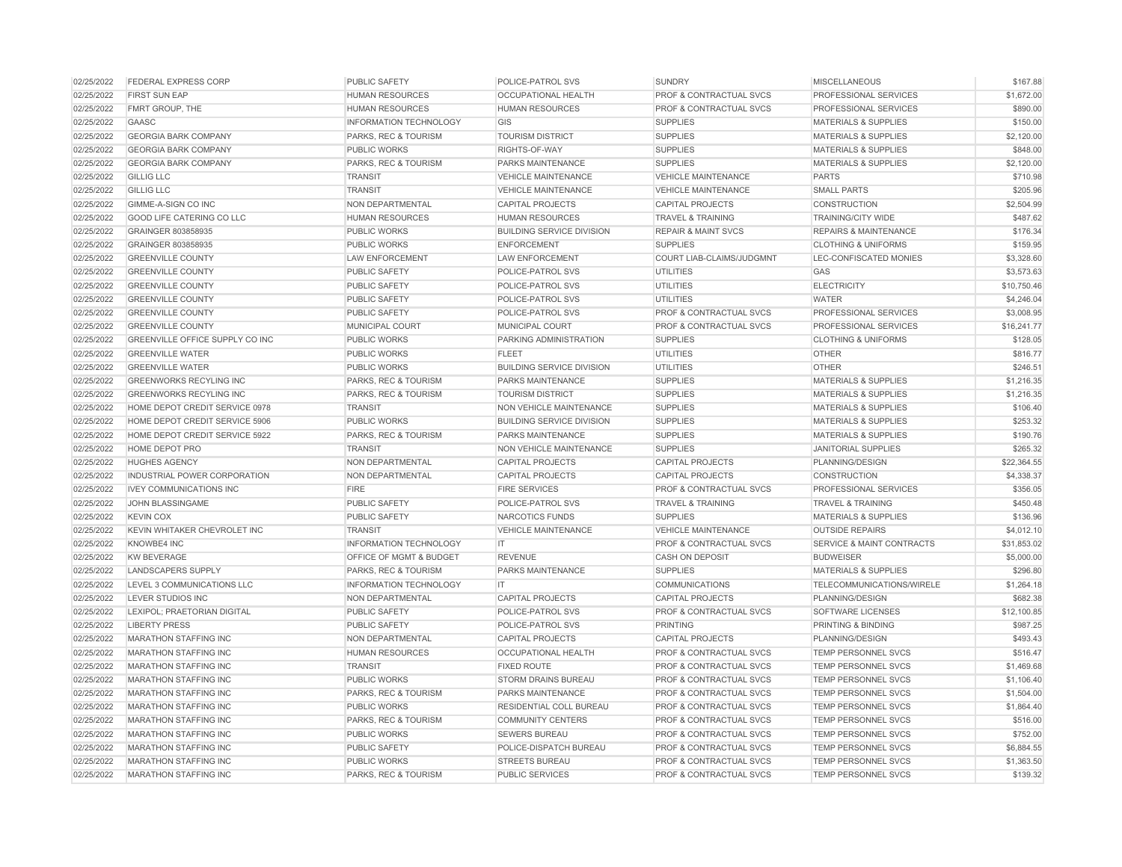| 02/25/2022 | <b>FEDERAL EXPRESS CORP</b>      | <b>PUBLIC SAFETY</b>          | POLICE-PATROL SVS                | <b>SUNDRY</b>                      | <b>MISCELLANEOUS</b>                 | \$167.88    |
|------------|----------------------------------|-------------------------------|----------------------------------|------------------------------------|--------------------------------------|-------------|
| 02/25/2022 | <b>FIRST SUN EAP</b>             | <b>HUMAN RESOURCES</b>        | <b>OCCUPATIONAL HEALTH</b>       | PROF & CONTRACTUAL SVCS            | PROFESSIONAL SERVICES                | \$1,672.00  |
| 02/25/2022 | FMRT GROUP, THE                  | <b>HUMAN RESOURCES</b>        | <b>HUMAN RESOURCES</b>           | PROF & CONTRACTUAL SVCS            | PROFESSIONAL SERVICES                | \$890.00    |
| 02/25/2022 | GAASC                            | INFORMATION TECHNOLOGY        | GIS                              | <b>SUPPLIES</b>                    | <b>MATERIALS &amp; SUPPLIES</b>      | \$150.00    |
| 02/25/2022 | <b>GEORGIA BARK COMPANY</b>      | PARKS, REC & TOURISM          | <b>TOURISM DISTRICT</b>          | <b>SUPPLIES</b>                    | <b>MATERIALS &amp; SUPPLIES</b>      | \$2,120.00  |
| 02/25/2022 | <b>GEORGIA BARK COMPANY</b>      | <b>PUBLIC WORKS</b>           | RIGHTS-OF-WAY                    | <b>SUPPLIES</b>                    | <b>MATERIALS &amp; SUPPLIES</b>      | \$848.00    |
| 02/25/2022 | <b>GEORGIA BARK COMPANY</b>      | PARKS, REC & TOURISM          | PARKS MAINTENANCE                | <b>SUPPLIES</b>                    | <b>MATERIALS &amp; SUPPLIES</b>      | \$2,120.00  |
| 02/25/2022 | <b>GILLIG LLC</b>                | <b>TRANSIT</b>                | <b>VEHICLE MAINTENANCE</b>       | <b>VEHICLE MAINTENANCE</b>         | <b>PARTS</b>                         | \$710.98    |
| 02/25/2022 | <b>GILLIG LLC</b>                | <b>TRANSIT</b>                | <b>VEHICLE MAINTENANCE</b>       | <b>VEHICLE MAINTENANCE</b>         | <b>SMALL PARTS</b>                   | \$205.96    |
| 02/25/2022 | GIMME-A-SIGN CO INC              | NON DEPARTMENTAL              | <b>CAPITAL PROJECTS</b>          | <b>CAPITAL PROJECTS</b>            | <b>CONSTRUCTION</b>                  | \$2,504.99  |
| 02/25/2022 | <b>GOOD LIFE CATERING CO LLC</b> | <b>HUMAN RESOURCES</b>        | <b>HUMAN RESOURCES</b>           | <b>TRAVEL &amp; TRAINING</b>       | <b>TRAINING/CITY WIDE</b>            | \$487.62    |
| 02/25/2022 | GRAINGER 803858935               | <b>PUBLIC WORKS</b>           | <b>BUILDING SERVICE DIVISION</b> | <b>REPAIR &amp; MAINT SVCS</b>     | <b>REPAIRS &amp; MAINTENANCE</b>     | \$176.34    |
| 02/25/2022 | GRAINGER 803858935               | <b>PUBLIC WORKS</b>           | <b>ENFORCEMENT</b>               | <b>SUPPLIES</b>                    | <b>CLOTHING &amp; UNIFORMS</b>       | \$159.95    |
| 02/25/2022 | <b>GREENVILLE COUNTY</b>         | <b>LAW ENFORCEMENT</b>        | <b>LAW ENFORCEMENT</b>           | COURT LIAB-CLAIMS/JUDGMNT          | LEC-CONFISCATED MONIES               | \$3,328.60  |
| 02/25/2022 | <b>GREENVILLE COUNTY</b>         | <b>PUBLIC SAFETY</b>          | POLICE-PATROL SVS                | <b>UTILITIES</b>                   | GAS                                  | \$3,573.63  |
| 02/25/2022 | <b>GREENVILLE COUNTY</b>         | <b>PUBLIC SAFETY</b>          | POLICE-PATROL SVS                | <b>UTILITIES</b>                   | <b>ELECTRICITY</b>                   | \$10,750.46 |
| 02/25/2022 | <b>GREENVILLE COUNTY</b>         | <b>PUBLIC SAFETY</b>          | POLICE-PATROL SVS                | <b>UTILITIES</b>                   | <b>WATER</b>                         | \$4,246.04  |
| 02/25/2022 | <b>GREENVILLE COUNTY</b>         | <b>PUBLIC SAFETY</b>          | POLICE-PATROL SVS                | <b>PROF &amp; CONTRACTUAL SVCS</b> | PROFESSIONAL SERVICES                | \$3,008.95  |
| 02/25/2022 | <b>GREENVILLE COUNTY</b>         | <b>MUNICIPAL COURT</b>        | MUNICIPAL COURT                  | <b>PROF &amp; CONTRACTUAL SVCS</b> | <b>PROFESSIONAL SERVICES</b>         | \$16,241.77 |
| 02/25/2022 | GREENVILLE OFFICE SUPPLY CO INC  | <b>PUBLIC WORKS</b>           | PARKING ADMINISTRATION           | <b>SUPPLIES</b>                    | <b>CLOTHING &amp; UNIFORMS</b>       | \$128.05    |
| 02/25/2022 | <b>GREENVILLE WATER</b>          | <b>PUBLIC WORKS</b>           | <b>FLEET</b>                     | <b>UTILITIES</b>                   | <b>OTHER</b>                         | \$816.77    |
| 02/25/2022 | <b>GREENVILLE WATER</b>          | <b>PUBLIC WORKS</b>           | <b>BUILDING SERVICE DIVISION</b> | <b>UTILITIES</b>                   | <b>OTHER</b>                         | \$246.51    |
| 02/25/2022 | <b>GREENWORKS RECYLING INC</b>   | PARKS, REC & TOURISM          | PARKS MAINTENANCE                | <b>SUPPLIES</b>                    | <b>MATERIALS &amp; SUPPLIES</b>      | \$1,216.35  |
| 02/25/2022 | <b>GREENWORKS RECYLING INC</b>   | PARKS, REC & TOURISM          | <b>TOURISM DISTRICT</b>          | <b>SUPPLIES</b>                    | <b>MATERIALS &amp; SUPPLIES</b>      | \$1,216,35  |
| 02/25/2022 | HOME DEPOT CREDIT SERVICE 0978   | <b>TRANSIT</b>                | NON VEHICLE MAINTENANCE          | <b>SUPPLIES</b>                    | <b>MATERIALS &amp; SUPPLIES</b>      | \$106.40    |
| 02/25/2022 | HOME DEPOT CREDIT SERVICE 5906   | <b>PUBLIC WORKS</b>           | <b>BUILDING SERVICE DIVISION</b> | <b>SUPPLIES</b>                    | <b>MATERIALS &amp; SUPPLIES</b>      | \$253.32    |
| 02/25/2022 | HOME DEPOT CREDIT SERVICE 5922   | PARKS, REC & TOURISM          | PARKS MAINTENANCE                | <b>SUPPLIES</b>                    | <b>MATERIALS &amp; SUPPLIES</b>      | \$190.76    |
| 02/25/2022 | <b>HOME DEPOT PRO</b>            | <b>TRANSIT</b>                | <b>NON VEHICLE MAINTENANCE</b>   | <b>SUPPLIES</b>                    | <b>JANITORIAL SUPPLIES</b>           | \$265.32    |
| 02/25/2022 | <b>HUGHES AGENCY</b>             | NON DEPARTMENTAL              | <b>CAPITAL PROJECTS</b>          | <b>CAPITAL PROJECTS</b>            | PLANNING/DESIGN                      | \$22,364.55 |
| 02/25/2022 | INDUSTRIAL POWER CORPORATION     | NON DEPARTMENTAL              | <b>CAPITAL PROJECTS</b>          | <b>CAPITAL PROJECTS</b>            | <b>CONSTRUCTION</b>                  | \$4,338.37  |
| 02/25/2022 | <b>IVEY COMMUNICATIONS INC</b>   | <b>FIRE</b>                   | <b>FIRE SERVICES</b>             | PROF & CONTRACTUAL SVCS            | <b>PROFESSIONAL SERVICES</b>         | \$356.05    |
| 02/25/2022 | JOHN BLASSINGAME                 | <b>PUBLIC SAFETY</b>          | POLICE-PATROL SVS                | <b>TRAVEL &amp; TRAINING</b>       | <b>TRAVEL &amp; TRAINING</b>         | \$450.48    |
| 02/25/2022 | <b>KEVIN COX</b>                 | <b>PUBLIC SAFETY</b>          | NARCOTICS FUNDS                  | <b>SUPPLIES</b>                    | <b>MATERIALS &amp; SUPPLIES</b>      | \$136.96    |
| 02/25/2022 | KEVIN WHITAKER CHEVROLET INC     | <b>TRANSIT</b>                | <b>VEHICLE MAINTENANCE</b>       | <b>VEHICLE MAINTENANCE</b>         | <b>OUTSIDE REPAIRS</b>               | \$4,012.10  |
| 02/25/2022 | KNOWBE4 INC                      | <b>INFORMATION TECHNOLOGY</b> | IT                               | PROF & CONTRACTUAL SVCS            | <b>SERVICE &amp; MAINT CONTRACTS</b> | \$31,853.02 |
| 02/25/2022 | <b>KW BEVERAGE</b>               | OFFICE OF MGMT & BUDGET       | <b>REVENUE</b>                   | <b>CASH ON DEPOSIT</b>             | <b>BUDWEISER</b>                     | \$5,000.00  |
| 02/25/2022 | <b>LANDSCAPERS SUPPLY</b>        | PARKS, REC & TOURISM          | PARKS MAINTENANCE                | <b>SUPPLIES</b>                    | <b>MATERIALS &amp; SUPPLIES</b>      | \$296.80    |
| 02/25/2022 | LEVEL 3 COMMUNICATIONS LLC       | <b>INFORMATION TECHNOLOGY</b> | IT.                              | <b>COMMUNICATIONS</b>              | TELECOMMUNICATIONS/WIRELE            | \$1,264.18  |
| 02/25/2022 | <b>LEVER STUDIOS INC</b>         | NON DEPARTMENTAL              | <b>CAPITAL PROJECTS</b>          | <b>CAPITAL PROJECTS</b>            | PLANNING/DESIGN                      | \$682.38    |
| 02/25/2022 | LEXIPOL; PRAETORIAN DIGITAL      | <b>PUBLIC SAFETY</b>          | POLICE-PATROL SVS                | PROF & CONTRACTUAL SVCS            | SOFTWARE LICENSES                    | \$12,100.85 |
| 02/25/2022 | <b>LIBERTY PRESS</b>             | PUBLIC SAFETY                 | POLICE-PATROL SVS                | <b>PRINTING</b>                    | PRINTING & BINDING                   | \$987.25    |
| 02/25/2022 | <b>MARATHON STAFFING INC</b>     | NON DEPARTMENTAL              | <b>CAPITAL PROJECTS</b>          | <b>CAPITAL PROJECTS</b>            | PLANNING/DESIGN                      | \$493.43    |
| 02/25/2022 | <b>MARATHON STAFFING INC</b>     | <b>HUMAN RESOURCES</b>        | <b>OCCUPATIONAL HEALTH</b>       | <b>PROF &amp; CONTRACTUAL SVCS</b> | <b>TEMP PERSONNEL SVCS</b>           | \$516.47    |
| 02/25/2022 | <b>MARATHON STAFFING INC</b>     | <b>TRANSIT</b>                | <b>FIXED ROUTE</b>               | PROF & CONTRACTUAL SVCS            | TEMP PERSONNEL SVCS                  | \$1,469.68  |
| 02/25/2022 | <b>MARATHON STAFFING INC</b>     | <b>PUBLIC WORKS</b>           | STORM DRAINS BUREAU              | <b>PROF &amp; CONTRACTUAL SVCS</b> | <b>TEMP PERSONNEL SVCS</b>           | \$1,106.40  |
| 02/25/2022 | <b>MARATHON STAFFING INC</b>     | PARKS, REC & TOURISM          | PARKS MAINTENANCE                | <b>PROF &amp; CONTRACTUAL SVCS</b> | <b>TEMP PERSONNEL SVCS</b>           | \$1,504.00  |
| 02/25/2022 | <b>MARATHON STAFFING INC</b>     | <b>PUBLIC WORKS</b>           | <b>RESIDENTIAL COLL BUREAU</b>   | <b>PROF &amp; CONTRACTUAL SVCS</b> | <b>TEMP PERSONNEL SVCS</b>           | \$1,864.40  |
| 02/25/2022 | <b>MARATHON STAFFING INC</b>     | PARKS, REC & TOURISM          | <b>COMMUNITY CENTERS</b>         | PROF & CONTRACTUAL SVCS            | TEMP PERSONNEL SVCS                  | \$516.00    |
| 02/25/2022 | <b>MARATHON STAFFING INC</b>     | <b>PUBLIC WORKS</b>           | <b>SEWERS BUREAU</b>             | PROF & CONTRACTUAL SVCS            | <b>TEMP PERSONNEL SVCS</b>           | \$752.00    |
| 02/25/2022 | <b>MARATHON STAFFING INC</b>     | <b>PUBLIC SAFETY</b>          | POLICE-DISPATCH BUREAU           | PROF & CONTRACTUAL SVCS            | <b>TEMP PERSONNEL SVCS</b>           | \$6,884.55  |
| 02/25/2022 | <b>MARATHON STAFFING INC</b>     | <b>PUBLIC WORKS</b>           | <b>STREETS BUREAU</b>            | <b>PROF &amp; CONTRACTUAL SVCS</b> | <b>TEMP PERSONNEL SVCS</b>           | \$1,363.50  |
| 02/25/2022 | <b>MARATHON STAFFING INC</b>     | PARKS, REC & TOURISM          | <b>PUBLIC SERVICES</b>           | PROF & CONTRACTUAL SVCS            | <b>TEMP PERSONNEL SVCS</b>           | \$139.32    |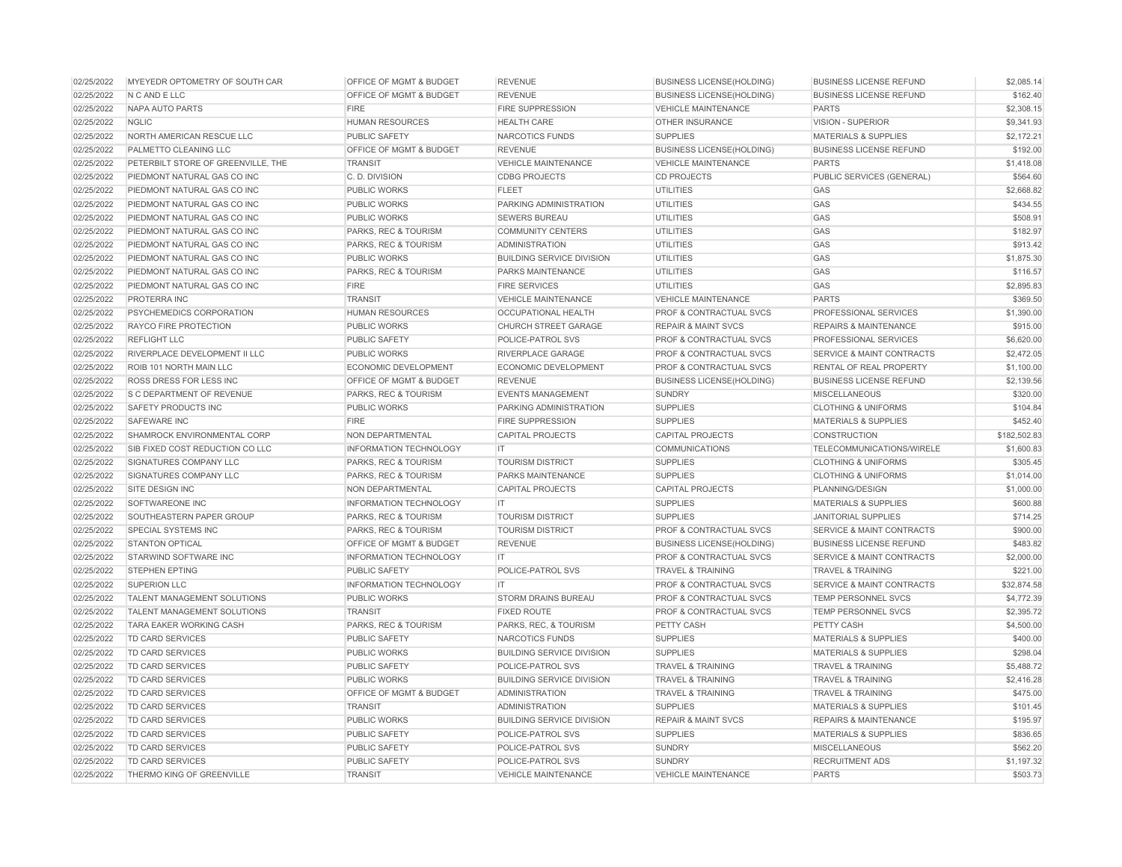| 02/25/2022 | MYEYEDR OPTOMETRY OF SOUTH CAR     | <b>OFFICE OF MGMT &amp; BUDGET</b> | <b>REVENUE</b>                   | <b>BUSINESS LICENSE(HOLDING)</b>   | <b>BUSINESS LICENSE REFUND</b>       | \$2,085.14   |
|------------|------------------------------------|------------------------------------|----------------------------------|------------------------------------|--------------------------------------|--------------|
| 02/25/2022 | N C AND E LLC                      | <b>OFFICE OF MGMT &amp; BUDGET</b> | <b>REVENUE</b>                   | <b>BUSINESS LICENSE(HOLDING)</b>   | <b>BUSINESS LICENSE REFUND</b>       | \$162.40     |
| 02/25/2022 | NAPA AUTO PARTS                    | <b>FIRE</b>                        | <b>FIRE SUPPRESSION</b>          | <b>VEHICLE MAINTENANCE</b>         | <b>PARTS</b>                         | \$2,308.15   |
| 02/25/2022 | <b>NGLIC</b>                       | <b>HUMAN RESOURCES</b>             | <b>HEALTH CARE</b>               | <b>OTHER INSURANCE</b>             | <b>VISION - SUPERIOR</b>             | \$9,341.93   |
| 02/25/2022 | NORTH AMERICAN RESCUE LLC          | <b>PUBLIC SAFETY</b>               | NARCOTICS FUNDS                  | <b>SUPPLIES</b>                    | <b>MATERIALS &amp; SUPPLIES</b>      | \$2,172.21   |
| 02/25/2022 | PALMETTO CLEANING LLC              | <b>OFFICE OF MGMT &amp; BUDGET</b> | <b>REVENUE</b>                   | <b>BUSINESS LICENSE(HOLDING)</b>   | <b>BUSINESS LICENSE REFUND</b>       | \$192.00     |
| 02/25/2022 | PETERBILT STORE OF GREENVILLE, THE | <b>TRANSIT</b>                     | <b>VEHICLE MAINTENANCE</b>       | <b>VEHICLE MAINTENANCE</b>         | <b>PARTS</b>                         | \$1,418.08   |
| 02/25/2022 | PIEDMONT NATURAL GAS CO INC        | C. D. DIVISION                     | <b>CDBG PROJECTS</b>             | <b>CD PROJECTS</b>                 | PUBLIC SERVICES (GENERAL)            | \$564.60     |
| 02/25/2022 | PIEDMONT NATURAL GAS CO INC        | <b>PUBLIC WORKS</b>                | <b>FLEET</b>                     | UTILITIES                          | GAS                                  | \$2,668.82   |
| 02/25/2022 | PIEDMONT NATURAL GAS CO INC        | <b>PUBLIC WORKS</b>                | PARKING ADMINISTRATION           | <b>UTILITIES</b>                   | GAS                                  | \$434.55     |
| 02/25/2022 | PIEDMONT NATURAL GAS CO INC        | <b>PUBLIC WORKS</b>                | <b>SEWERS BUREAU</b>             | <b>UTILITIES</b>                   | GAS                                  | \$508.91     |
| 02/25/2022 | PIEDMONT NATURAL GAS CO INC        | PARKS, REC & TOURISM               | <b>COMMUNITY CENTERS</b>         | <b>UTILITIES</b>                   | GAS                                  | \$182.97     |
| 02/25/2022 | PIEDMONT NATURAL GAS CO INC        | PARKS, REC & TOURISM               | <b>ADMINISTRATION</b>            | <b>UTILITIES</b>                   | GAS                                  | \$913.42     |
| 02/25/2022 | PIEDMONT NATURAL GAS CO INC        | <b>PUBLIC WORKS</b>                | <b>BUILDING SERVICE DIVISION</b> | <b>UTILITIES</b>                   | GAS                                  | \$1,875.30   |
| 02/25/2022 | PIEDMONT NATURAL GAS CO INC        | PARKS, REC & TOURISM               | <b>PARKS MAINTENANCE</b>         | <b>UTILITIES</b>                   | GAS                                  | \$116.57     |
| 02/25/2022 | PIEDMONT NATURAL GAS CO INC        | <b>FIRE</b>                        | <b>FIRE SERVICES</b>             | <b>UTILITIES</b>                   | GAS                                  | \$2,895.83   |
| 02/25/2022 | PROTERRA INC                       | <b>TRANSIT</b>                     | <b>VEHICLE MAINTENANCE</b>       | <b>VEHICLE MAINTENANCE</b>         | <b>PARTS</b>                         | \$369.50     |
| 02/25/2022 | PSYCHEMEDICS CORPORATION           | <b>HUMAN RESOURCES</b>             | <b>OCCUPATIONAL HEALTH</b>       | PROF & CONTRACTUAL SVCS            | PROFESSIONAL SERVICES                | \$1,390.00   |
| 02/25/2022 | <b>RAYCO FIRE PROTECTION</b>       | <b>PUBLIC WORKS</b>                | <b>CHURCH STREET GARAGE</b>      | <b>REPAIR &amp; MAINT SVCS</b>     | <b>REPAIRS &amp; MAINTENANCE</b>     | \$915.00     |
| 02/25/2022 | <b>REFLIGHT LLC</b>                | PUBLIC SAFETY                      | POLICE-PATROL SVS                | <b>PROF &amp; CONTRACTUAL SVCS</b> | PROFESSIONAL SERVICES                | \$6,620.00   |
| 02/25/2022 | RIVERPLACE DEVELOPMENT II LLC      | <b>PUBLIC WORKS</b>                | RIVERPLACE GARAGE                | PROF & CONTRACTUAL SVCS            | <b>SERVICE &amp; MAINT CONTRACTS</b> | \$2,472.05   |
| 02/25/2022 | ROIB 101 NORTH MAIN LLC            | <b>ECONOMIC DEVELOPMENT</b>        | <b>ECONOMIC DEVELOPMENT</b>      | PROF & CONTRACTUAL SVCS            | RENTAL OF REAL PROPERTY              | \$1,100.00   |
| 02/25/2022 | ROSS DRESS FOR LESS INC            | OFFICE OF MGMT & BUDGET            | <b>REVENUE</b>                   | <b>BUSINESS LICENSE(HOLDING)</b>   | <b>BUSINESS LICENSE REFUND</b>       | \$2,139.56   |
| 02/25/2022 | S C DEPARTMENT OF REVENUE          | PARKS, REC & TOURISM               | <b>EVENTS MANAGEMENT</b>         | <b>SUNDRY</b>                      | <b>MISCELLANEOUS</b>                 | \$320.00     |
| 02/25/2022 | <b>SAFETY PRODUCTS INC</b>         | <b>PUBLIC WORKS</b>                | PARKING ADMINISTRATION           | <b>SUPPLIES</b>                    | <b>CLOTHING &amp; UNIFORMS</b>       | \$104.84     |
| 02/25/2022 | <b>SAFEWARE INC</b>                | <b>FIRE</b>                        | <b>FIRE SUPPRESSION</b>          | <b>SUPPLIES</b>                    | <b>MATERIALS &amp; SUPPLIES</b>      | \$452.40     |
| 02/25/2022 | SHAMROCK ENVIRONMENTAL CORP        | NON DEPARTMENTAL                   | <b>CAPITAL PROJECTS</b>          | <b>CAPITAL PROJECTS</b>            | <b>CONSTRUCTION</b>                  | \$182,502.83 |
| 02/25/2022 | SIB FIXED COST REDUCTION CO LLC    | <b>INFORMATION TECHNOLOGY</b>      | IT                               | <b>COMMUNICATIONS</b>              | TELECOMMUNICATIONS/WIRELE            | \$1,600.83   |
| 02/25/2022 | <b>SIGNATURES COMPANY LLC</b>      | PARKS, REC & TOURISM               | <b>TOURISM DISTRICT</b>          | <b>SUPPLIES</b>                    | <b>CLOTHING &amp; UNIFORMS</b>       | \$305.45     |
| 02/25/2022 | SIGNATURES COMPANY LLC             | PARKS, REC & TOURISM               | PARKS MAINTENANCE                | <b>SUPPLIES</b>                    | <b>CLOTHING &amp; UNIFORMS</b>       | \$1,014.00   |
| 02/25/2022 | SITE DESIGN INC                    | NON DEPARTMENTAL                   | <b>CAPITAL PROJECTS</b>          | <b>CAPITAL PROJECTS</b>            | PLANNING/DESIGN                      | \$1,000.00   |
| 02/25/2022 | SOFTWAREONE INC                    | <b>INFORMATION TECHNOLOGY</b>      | IT                               | <b>SUPPLIES</b>                    | <b>MATERIALS &amp; SUPPLIES</b>      | \$600.88     |
| 02/25/2022 | SOUTHEASTERN PAPER GROUP           | PARKS, REC & TOURISM               | <b>TOURISM DISTRICT</b>          | <b>SUPPLIES</b>                    | <b>JANITORIAL SUPPLIES</b>           | \$714.25     |
| 02/25/2022 | <b>SPECIAL SYSTEMS INC</b>         | PARKS, REC & TOURISM               | <b>TOURISM DISTRICT</b>          | <b>PROF &amp; CONTRACTUAL SVCS</b> | <b>SERVICE &amp; MAINT CONTRACTS</b> | \$900.00     |
| 02/25/2022 | <b>STANTON OPTICAL</b>             | OFFICE OF MGMT & BUDGET            | <b>REVENUE</b>                   | <b>BUSINESS LICENSE(HOLDING)</b>   | <b>BUSINESS LICENSE REFUND</b>       | \$483.82     |
| 02/25/2022 | STARWIND SOFTWARE INC              | <b>INFORMATION TECHNOLOGY</b>      | IT.                              | <b>PROF &amp; CONTRACTUAL SVCS</b> | <b>SERVICE &amp; MAINT CONTRACTS</b> | \$2,000.00   |
| 02/25/2022 | <b>STEPHEN EPTING</b>              | PUBLIC SAFETY                      | POLICE-PATROL SVS                | <b>TRAVEL &amp; TRAINING</b>       | <b>TRAVEL &amp; TRAINING</b>         | \$221.00     |
| 02/25/2022 | <b>SUPERION LLC</b>                | <b>INFORMATION TECHNOLOGY</b>      | IT                               | <b>PROF &amp; CONTRACTUAL SVCS</b> | <b>SERVICE &amp; MAINT CONTRACTS</b> | \$32,874.58  |
| 02/25/2022 | <b>TALENT MANAGEMENT SOLUTIONS</b> | <b>PUBLIC WORKS</b>                | <b>STORM DRAINS BUREAU</b>       | <b>PROF &amp; CONTRACTUAL SVCS</b> | <b>TEMP PERSONNEL SVCS</b>           | \$4,772.39   |
| 02/25/2022 | TALENT MANAGEMENT SOLUTIONS        | <b>TRANSIT</b>                     | <b>FIXED ROUTE</b>               | <b>PROF &amp; CONTRACTUAL SVCS</b> | TEMP PERSONNEL SVCS                  | \$2,395.72   |
| 02/25/2022 | <b>TARA EAKER WORKING CASH</b>     | PARKS, REC & TOURISM               | PARKS, REC, & TOURISM            | PETTY CASH                         | PETTY CASH                           | \$4,500.00   |
| 02/25/2022 | TD CARD SERVICES                   | PUBLIC SAFETY                      | NARCOTICS FUNDS                  | <b>SUPPLIES</b>                    | <b>MATERIALS &amp; SUPPLIES</b>      | \$400.00     |
| 02/25/2022 | TD CARD SERVICES                   | <b>PUBLIC WORKS</b>                | <b>BUILDING SERVICE DIVISION</b> | <b>SUPPLIES</b>                    | <b>MATERIALS &amp; SUPPLIES</b>      | \$298.04     |
| 02/25/2022 | TD CARD SERVICES                   | PUBLIC SAFETY                      | POLICE-PATROL SVS                | <b>TRAVEL &amp; TRAINING</b>       | <b>TRAVEL &amp; TRAINING</b>         | \$5,488.72   |
| 02/25/2022 | TD CARD SERVICES                   | <b>PUBLIC WORKS</b>                | <b>BUILDING SERVICE DIVISION</b> | <b>TRAVEL &amp; TRAINING</b>       | <b>TRAVEL &amp; TRAINING</b>         | \$2,416.28   |
| 02/25/2022 | TD CARD SERVICES                   | OFFICE OF MGMT & BUDGET            | <b>ADMINISTRATION</b>            | <b>TRAVEL &amp; TRAINING</b>       | <b>TRAVEL &amp; TRAINING</b>         | \$475.00     |
| 02/25/2022 | TD CARD SERVICES                   | <b>TRANSIT</b>                     | <b>ADMINISTRATION</b>            | <b>SUPPLIES</b>                    | <b>MATERIALS &amp; SUPPLIES</b>      | \$101.45     |
| 02/25/2022 | TD CARD SERVICES                   | <b>PUBLIC WORKS</b>                | <b>BUILDING SERVICE DIVISION</b> | <b>REPAIR &amp; MAINT SVCS</b>     | <b>REPAIRS &amp; MAINTENANCE</b>     | \$195.97     |
| 02/25/2022 | TD CARD SERVICES                   | PUBLIC SAFETY                      | POLICE-PATROL SVS                | <b>SUPPLIES</b>                    | <b>MATERIALS &amp; SUPPLIES</b>      | \$836.65     |
| 02/25/2022 | TD CARD SERVICES                   | <b>PUBLIC SAFETY</b>               | POLICE-PATROL SVS                | <b>SUNDRY</b>                      | <b>MISCELLANEOUS</b>                 | \$562.20     |
| 02/25/2022 | TD CARD SERVICES                   | PUBLIC SAFETY                      | POLICE-PATROL SVS                | <b>SUNDRY</b>                      | <b>RECRUITMENT ADS</b>               | \$1,197.32   |
| 02/25/2022 | THERMO KING OF GREENVILLE          | <b>TRANSIT</b>                     | <b>VEHICLE MAINTENANCE</b>       | <b>VEHICLE MAINTENANCE</b>         | <b>PARTS</b>                         | \$503.73     |